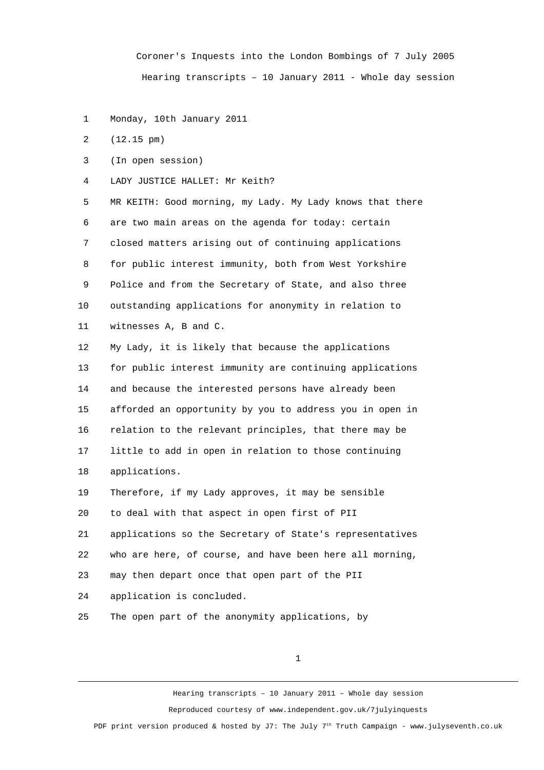Coroner's Inquests into the London Bombings of 7 July 2005 Hearing transcripts – 10 January 2011 - Whole day session

1 Monday, 10th January 2011

2 (12.15 pm)

3 (In open session)

4 LADY JUSTICE HALLET: Mr Keith?

 5 MR KEITH: Good morning, my Lady. My Lady knows that there 6 are two main areas on the agenda for today: certain 7 closed matters arising out of continuing applications 8 for public interest immunity, both from West Yorkshire 9 Police and from the Secretary of State, and also three 10 outstanding applications for anonymity in relation to 11 witnesses A, B and C.

12 My Lady, it is likely that because the applications 13 for public interest immunity are continuing applications 14 and because the interested persons have already been 15 afforded an opportunity by you to address you in open in 16 relation to the relevant principles, that there may be 17 little to add in open in relation to those continuing 18 applications.

19 Therefore, if my Lady approves, it may be sensible

20 to deal with that aspect in open first of PII

21 applications so the Secretary of State's representatives

22 who are here, of course, and have been here all morning,

23 may then depart once that open part of the PII

24 application is concluded.

25 The open part of the anonymity applications, by

1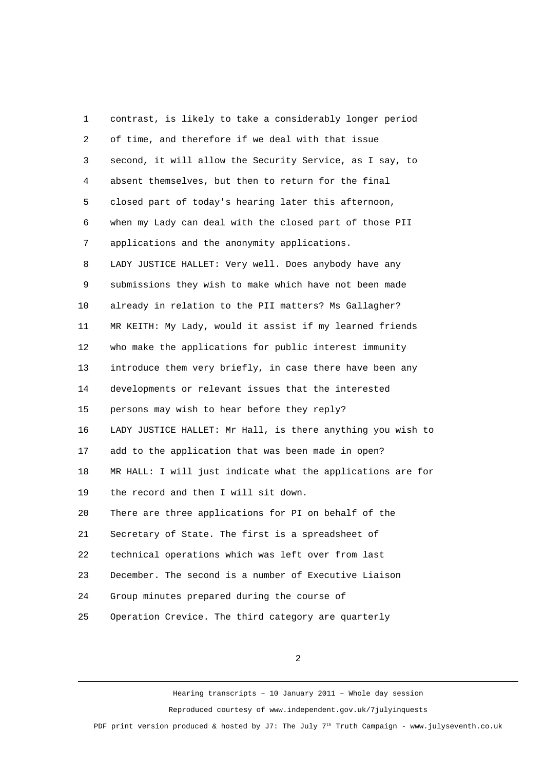1 contrast, is likely to take a considerably longer period 2 of time, and therefore if we deal with that issue 3 second, it will allow the Security Service, as I say, to 4 absent themselves, but then to return for the final 5 closed part of today's hearing later this afternoon, 6 when my Lady can deal with the closed part of those PII 7 applications and the anonymity applications. 8 LADY JUSTICE HALLET: Very well. Does anybody have any 9 submissions they wish to make which have not been made 10 already in relation to the PII matters? Ms Gallagher? 11 MR KEITH: My Lady, would it assist if my learned friends 12 who make the applications for public interest immunity 13 introduce them very briefly, in case there have been any 14 developments or relevant issues that the interested 15 persons may wish to hear before they reply? 16 LADY JUSTICE HALLET: Mr Hall, is there anything you wish to 17 add to the application that was been made in open? 18 MR HALL: I will just indicate what the applications are for 19 the record and then I will sit down. 20 There are three applications for PI on behalf of the 21 Secretary of State. The first is a spreadsheet of 22 technical operations which was left over from last 23 December. The second is a number of Executive Liaison 24 Group minutes prepared during the course of 25 Operation Crevice. The third category are quarterly

2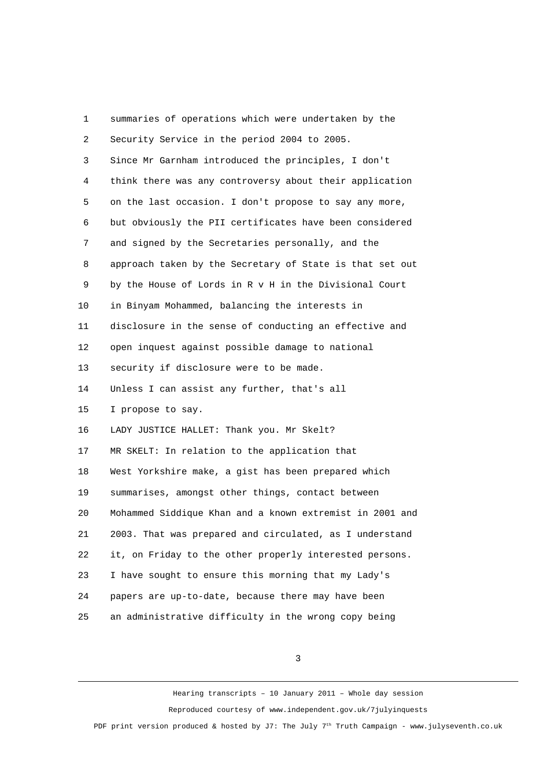| 1              | summaries of operations which were undertaken by the     |
|----------------|----------------------------------------------------------|
| 2              | Security Service in the period 2004 to 2005.             |
| 3              | Since Mr Garnham introduced the principles, I don't      |
| 4              | think there was any controversy about their application  |
| 5              | on the last occasion. I don't propose to say any more,   |
| 6              | but obviously the PII certificates have been considered  |
| $\overline{7}$ | and signed by the Secretaries personally, and the        |
| 8              | approach taken by the Secretary of State is that set out |
| 9              | by the House of Lords in R v H in the Divisional Court   |
| 10             | in Binyam Mohammed, balancing the interests in           |
| 11             | disclosure in the sense of conducting an effective and   |
| 12             | open inquest against possible damage to national         |
| 13             | security if disclosure were to be made.                  |
| 14             | Unless I can assist any further, that's all              |
| 15             | I propose to say.                                        |
| 16             | LADY JUSTICE HALLET: Thank you. Mr Skelt?                |
| 17             | MR SKELT: In relation to the application that            |
| 18             | West Yorkshire make, a gist has been prepared which      |
| 19             | summarises, amongst other things, contact between        |
| 20             | Mohammed Siddique Khan and a known extremist in 2001 and |
| 21             | 2003. That was prepared and circulated, as I understand  |
| 22             | it, on Friday to the other properly interested persons.  |
| 23             | I have sought to ensure this morning that my Lady's      |
| 24             | papers are up-to-date, because there may have been       |
| 25             | an administrative difficulty in the wrong copy being     |

3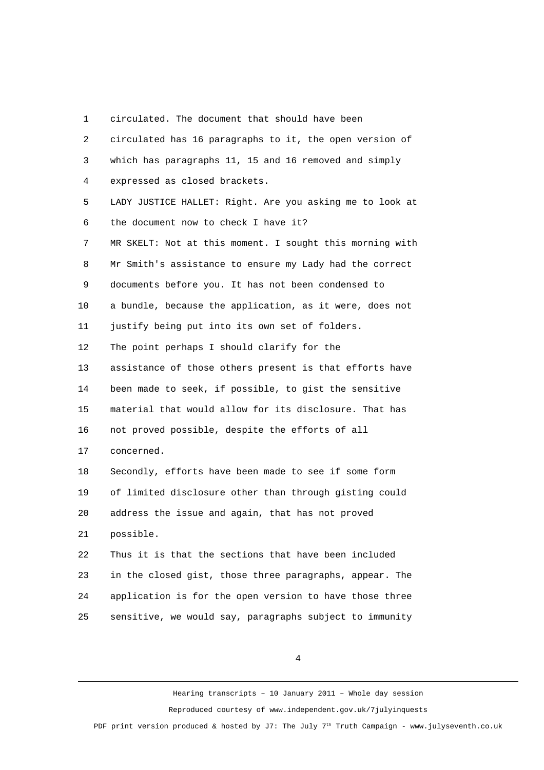1 circulated. The document that should have been

| 2              | circulated has 16 paragraphs to it, the open version of  |
|----------------|----------------------------------------------------------|
| 3              | which has paragraphs 11, 15 and 16 removed and simply    |
| 4              | expressed as closed brackets.                            |
| 5              | LADY JUSTICE HALLET: Right. Are you asking me to look at |
| 6              | the document now to check I have it?                     |
| $\overline{7}$ | MR SKELT: Not at this moment. I sought this morning with |
| 8              | Mr Smith's assistance to ensure my Lady had the correct  |
| 9              | documents before you. It has not been condensed to       |
| 10             | a bundle, because the application, as it were, does not  |
| 11             | justify being put into its own set of folders.           |
| 12             | The point perhaps I should clarify for the               |
| 13             | assistance of those others present is that efforts have  |
| 14             | been made to seek, if possible, to gist the sensitive    |
| 15             | material that would allow for its disclosure. That has   |
| 16             | not proved possible, despite the efforts of all          |
| 17             | concerned.                                               |
| 18             | Secondly, efforts have been made to see if some form     |
| 19             | of limited disclosure other than through gisting could   |
| 20             | address the issue and again, that has not proved         |
| 21             | possible.                                                |
| 22             | Thus it is that the sections that have been included     |
| 23             | in the closed gist, those three paragraphs, appear. The  |
| 24             | application is for the open version to have those three  |
| 25             | sensitive, we would say, paragraphs subject to immunity  |

4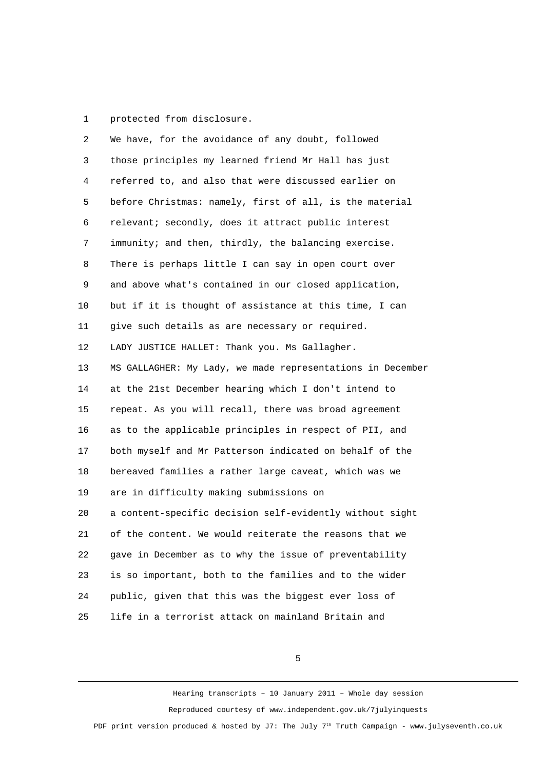1 protected from disclosure.

| 2  | We have, for the avoidance of any doubt, followed          |
|----|------------------------------------------------------------|
| 3  | those principles my learned friend Mr Hall has just        |
| 4  | referred to, and also that were discussed earlier on       |
| 5  | before Christmas: namely, first of all, is the material    |
| 6  | relevant; secondly, does it attract public interest        |
| 7  | immunity; and then, thirdly, the balancing exercise.       |
| 8  | There is perhaps little I can say in open court over       |
| 9  | and above what's contained in our closed application,      |
| 10 | but if it is thought of assistance at this time, I can     |
| 11 | give such details as are necessary or required.            |
| 12 | LADY JUSTICE HALLET: Thank you. Ms Gallagher.              |
| 13 | MS GALLAGHER: My Lady, we made representations in December |
| 14 | at the 21st December hearing which I don't intend to       |
| 15 | repeat. As you will recall, there was broad agreement      |
| 16 | as to the applicable principles in respect of PII, and     |
| 17 | both myself and Mr Patterson indicated on behalf of the    |
| 18 | bereaved families a rather large caveat, which was we      |
| 19 | are in difficulty making submissions on                    |
| 20 | a content-specific decision self-evidently without sight   |
| 21 | of the content. We would reiterate the reasons that we     |
| 22 | gave in December as to why the issue of preventability     |
| 23 | is so important, both to the families and to the wider     |
| 24 | public, given that this was the biggest ever loss of       |
| 25 | life in a terrorist attack on mainland Britain and         |

5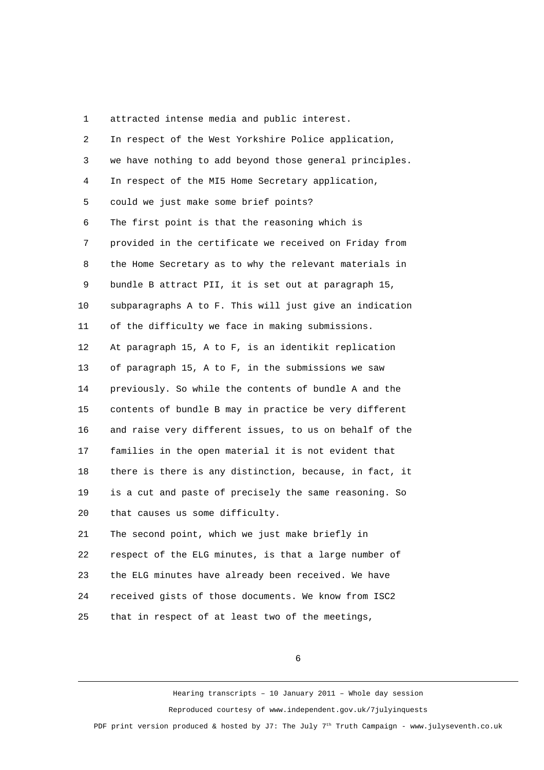1 attracted intense media and public interest.

| $\overline{2}$ | In respect of the West Yorkshire Police application,    |
|----------------|---------------------------------------------------------|
| 3              | we have nothing to add beyond those general principles. |
| 4              | In respect of the MI5 Home Secretary application,       |
| 5              | could we just make some brief points?                   |
| 6              | The first point is that the reasoning which is          |
| 7              | provided in the certificate we received on Friday from  |
| 8              | the Home Secretary as to why the relevant materials in  |
| 9              | bundle B attract PII, it is set out at paragraph 15,    |
| 10             | subparagraphs A to F. This will just give an indication |
| 11             | of the difficulty we face in making submissions.        |
| 12             | At paragraph 15, A to F, is an identikit replication    |
| 13             | of paragraph 15, A to F, in the submissions we saw      |
| 14             | previously. So while the contents of bundle A and the   |
| 15             | contents of bundle B may in practice be very different  |
| 16             | and raise very different issues, to us on behalf of the |
| 17             | families in the open material it is not evident that    |
| 18             | there is there is any distinction, because, in fact, it |
| 19             | is a cut and paste of precisely the same reasoning. So  |
| 20             | that causes us some difficulty.                         |
| 21             | The second point, which we just make briefly in         |
| 22             | respect of the ELG minutes, is that a large number of   |
| 23             | the ELG minutes have already been received. We have     |
| 24             | received gists of those documents. We know from ISC2    |
| 25             | that in respect of at least two of the meetings,        |

6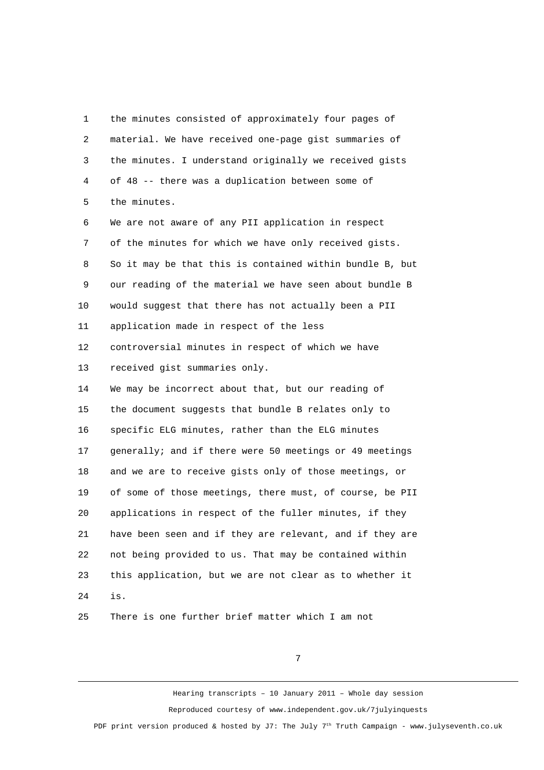1 the minutes consisted of approximately four pages of 2 material. We have received one-page gist summaries of 3 the minutes. I understand originally we received gists 4 of 48 -- there was a duplication between some of 5 the minutes. 6 We are not aware of any PII application in respect 7 of the minutes for which we have only received gists. 8 So it may be that this is contained within bundle B, but 9 our reading of the material we have seen about bundle B 10 would suggest that there has not actually been a PII 11 application made in respect of the less 12 controversial minutes in respect of which we have 13 received gist summaries only. 14 We may be incorrect about that, but our reading of 15 the document suggests that bundle B relates only to 16 specific ELG minutes, rather than the ELG minutes 17 generally; and if there were 50 meetings or 49 meetings 18 and we are to receive gists only of those meetings, or 19 of some of those meetings, there must, of course, be PII 20 applications in respect of the fuller minutes, if they 21 have been seen and if they are relevant, and if they are 22 not being provided to us. That may be contained within 23 this application, but we are not clear as to whether it 24 is.

25 There is one further brief matter which I am not

7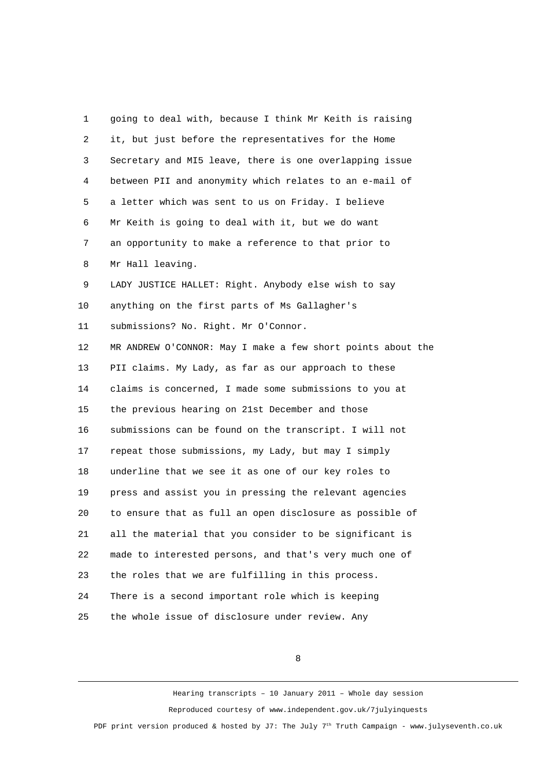1 going to deal with, because I think Mr Keith is raising 2 it, but just before the representatives for the Home 3 Secretary and MI5 leave, there is one overlapping issue 4 between PII and anonymity which relates to an e-mail of 5 a letter which was sent to us on Friday. I believe 6 Mr Keith is going to deal with it, but we do want 7 an opportunity to make a reference to that prior to 8 Mr Hall leaving. 9 LADY JUSTICE HALLET: Right. Anybody else wish to say 10 anything on the first parts of Ms Gallagher's 11 submissions? No. Right. Mr O'Connor. 12 MR ANDREW O'CONNOR: May I make a few short points about the 13 PII claims. My Lady, as far as our approach to these 14 claims is concerned, I made some submissions to you at 15 the previous hearing on 21st December and those 16 submissions can be found on the transcript. I will not 17 repeat those submissions, my Lady, but may I simply 18 underline that we see it as one of our key roles to 19 press and assist you in pressing the relevant agencies 20 to ensure that as full an open disclosure as possible of 21 all the material that you consider to be significant is 22 made to interested persons, and that's very much one of 23 the roles that we are fulfilling in this process. 24 There is a second important role which is keeping 25 the whole issue of disclosure under review. Any

8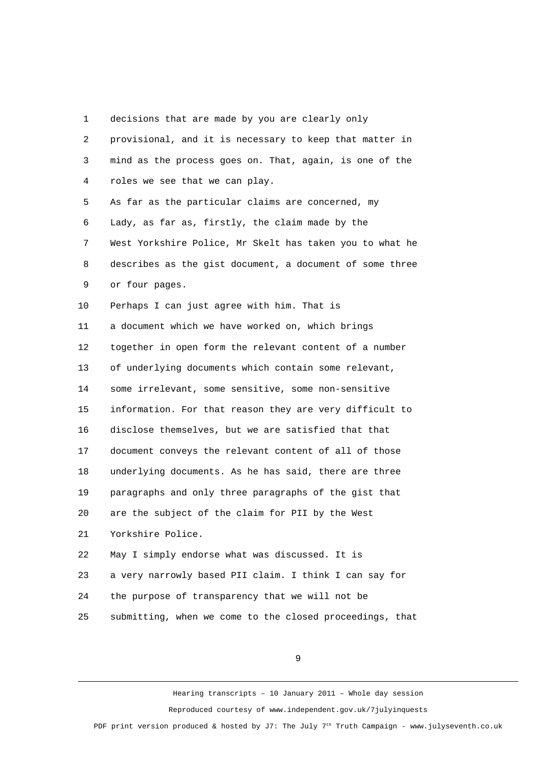1 decisions that are made by you are clearly only

| $\overline{2}$ | provisional, and it is necessary to keep that matter in  |
|----------------|----------------------------------------------------------|
| 3              | mind as the process goes on. That, again, is one of the  |
| 4              | roles we see that we can play.                           |
| 5              | As far as the particular claims are concerned, my        |
| 6              | Lady, as far as, firstly, the claim made by the          |
| 7              | West Yorkshire Police, Mr Skelt has taken you to what he |
| 8              | describes as the gist document, a document of some three |
| 9              | or four pages.                                           |
| 10             | Perhaps I can just agree with him. That is               |
| 11             | a document which we have worked on, which brings         |
| 12             | together in open form the relevant content of a number   |
| 13             | of underlying documents which contain some relevant,     |
| 14             | some irrelevant, some sensitive, some non-sensitive      |
| 15             | information. For that reason they are very difficult to  |
| 16             | disclose themselves, but we are satisfied that that      |
| 17             | document conveys the relevant content of all of those    |
| 18             | underlying documents. As he has said, there are three    |
| 19             | paragraphs and only three paragraphs of the gist that    |
| 20             | are the subject of the claim for PII by the West         |
| 21             | Yorkshire Police.                                        |
| 22             | May I simply endorse what was discussed. It is           |
| 23             | a very narrowly based PII claim. I think I can say for   |
| 24             | the purpose of transparency that we will not be          |
| 25             | submitting, when we come to the closed proceedings, that |

9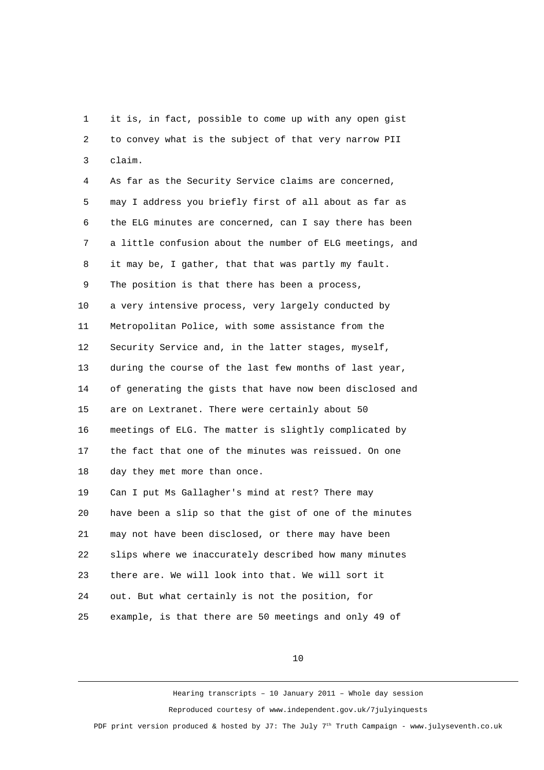1 it is, in fact, possible to come up with any open gist 2 to convey what is the subject of that very narrow PII 3 claim.

 4 As far as the Security Service claims are concerned, 5 may I address you briefly first of all about as far as 6 the ELG minutes are concerned, can I say there has been 7 a little confusion about the number of ELG meetings, and 8 it may be, I gather, that that was partly my fault. 9 The position is that there has been a process, 10 a very intensive process, very largely conducted by 11 Metropolitan Police, with some assistance from the 12 Security Service and, in the latter stages, myself, 13 during the course of the last few months of last year, 14 of generating the gists that have now been disclosed and 15 are on Lextranet. There were certainly about 50 16 meetings of ELG. The matter is slightly complicated by 17 the fact that one of the minutes was reissued. On one 18 day they met more than once. 19 Can I put Ms Gallagher's mind at rest? There may 20 have been a slip so that the gist of one of the minutes 21 may not have been disclosed, or there may have been 22 slips where we inaccurately described how many minutes 23 there are. We will look into that. We will sort it

24 out. But what certainly is not the position, for

25 example, is that there are 50 meetings and only 49 of

10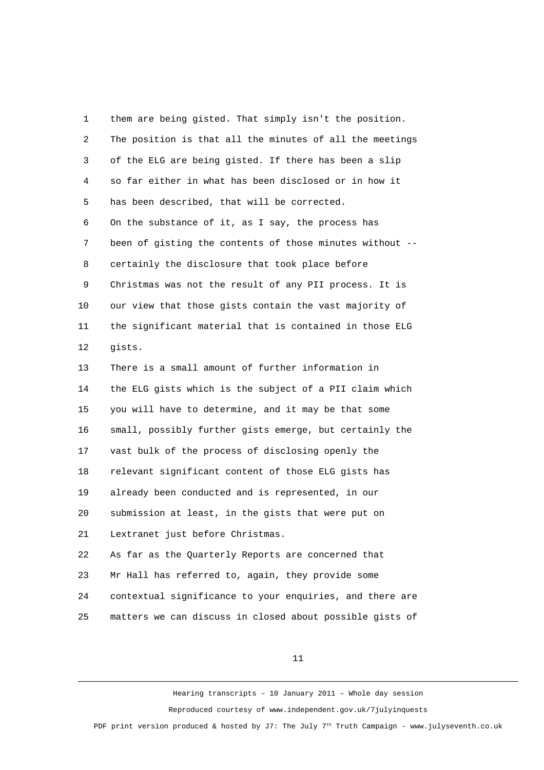1 them are being gisted. That simply isn't the position. 2 The position is that all the minutes of all the meetings 3 of the ELG are being gisted. If there has been a slip 4 so far either in what has been disclosed or in how it 5 has been described, that will be corrected. 6 On the substance of it, as I say, the process has 7 been of gisting the contents of those minutes without -- 8 certainly the disclosure that took place before 9 Christmas was not the result of any PII process. It is 10 our view that those gists contain the vast majority of 11 the significant material that is contained in those ELG 12 gists. 13 There is a small amount of further information in 14 the ELG gists which is the subject of a PII claim which 15 you will have to determine, and it may be that some 16 small, possibly further gists emerge, but certainly the 17 vast bulk of the process of disclosing openly the 18 relevant significant content of those ELG gists has 19 already been conducted and is represented, in our 20 submission at least, in the gists that were put on 21 Lextranet just before Christmas. 22 As far as the Quarterly Reports are concerned that 23 Mr Hall has referred to, again, they provide some 24 contextual significance to your enquiries, and there are 25 matters we can discuss in closed about possible gists of

11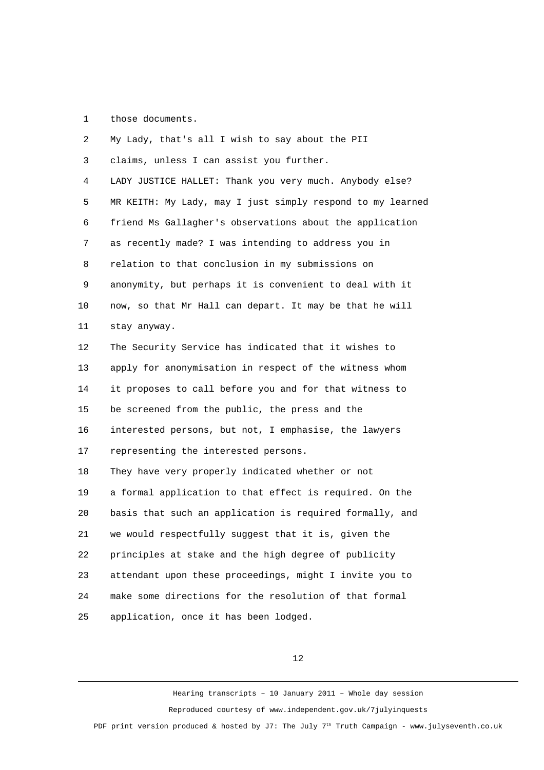1 those documents.

 2 My Lady, that's all I wish to say about the PII 3 claims, unless I can assist you further. 4 LADY JUSTICE HALLET: Thank you very much. Anybody else? 5 MR KEITH: My Lady, may I just simply respond to my learned 6 friend Ms Gallagher's observations about the application 7 as recently made? I was intending to address you in 8 relation to that conclusion in my submissions on 9 anonymity, but perhaps it is convenient to deal with it 10 now, so that Mr Hall can depart. It may be that he will 11 stay anyway. 12 The Security Service has indicated that it wishes to 13 apply for anonymisation in respect of the witness whom 14 it proposes to call before you and for that witness to 15 be screened from the public, the press and the 16 interested persons, but not, I emphasise, the lawyers 17 representing the interested persons. 18 They have very properly indicated whether or not 19 a formal application to that effect is required. On the 20 basis that such an application is required formally, and 21 we would respectfully suggest that it is, given the 22 principles at stake and the high degree of publicity 23 attendant upon these proceedings, might I invite you to 24 make some directions for the resolution of that formal 25 application, once it has been lodged.

12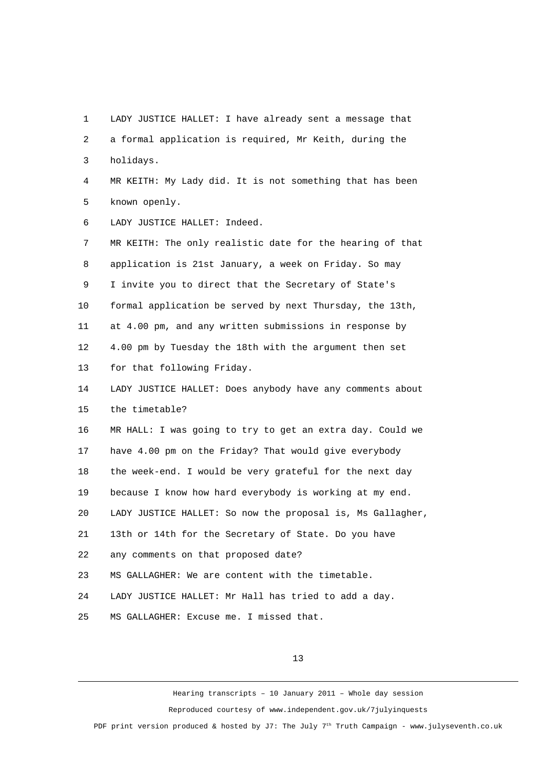1 LADY JUSTICE HALLET: I have already sent a message that 2 a formal application is required, Mr Keith, during the 3 holidays. 4 MR KEITH: My Lady did. It is not something that has been 5 known openly. 6 LADY JUSTICE HALLET: Indeed. 7 MR KEITH: The only realistic date for the hearing of that 8 application is 21st January, a week on Friday. So may 9 I invite you to direct that the Secretary of State's 10 formal application be served by next Thursday, the 13th, 11 at 4.00 pm, and any written submissions in response by 12 4.00 pm by Tuesday the 18th with the argument then set 13 for that following Friday. 14 LADY JUSTICE HALLET: Does anybody have any comments about 15 the timetable? 16 MR HALL: I was going to try to get an extra day. Could we 17 have 4.00 pm on the Friday? That would give everybody 18 the week-end. I would be very grateful for the next day 19 because I know how hard everybody is working at my end. 20 LADY JUSTICE HALLET: So now the proposal is, Ms Gallagher, 21 13th or 14th for the Secretary of State. Do you have 22 any comments on that proposed date? 23 MS GALLAGHER: We are content with the timetable. 24 LADY JUSTICE HALLET: Mr Hall has tried to add a day. 25 MS GALLAGHER: Excuse me. I missed that.

13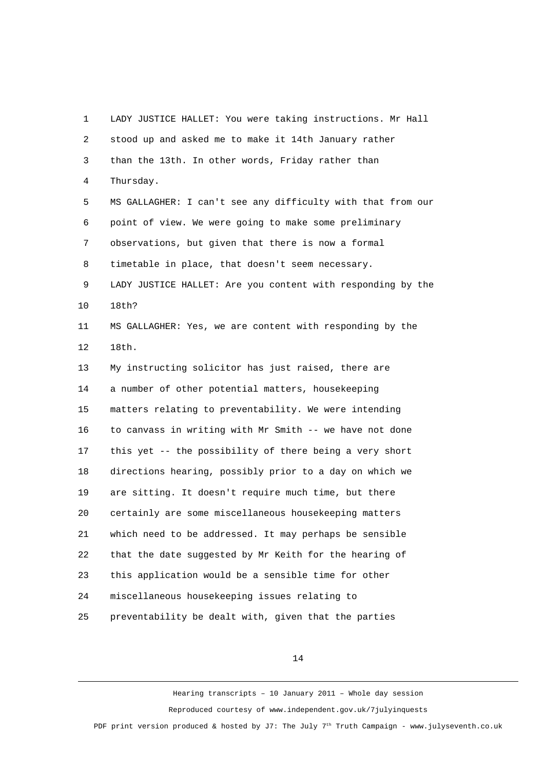1 LADY JUSTICE HALLET: You were taking instructions. Mr Hall 2 stood up and asked me to make it 14th January rather 3 than the 13th. In other words, Friday rather than 4 Thursday. 5 MS GALLAGHER: I can't see any difficulty with that from our 6 point of view. We were going to make some preliminary 7 observations, but given that there is now a formal 8 timetable in place, that doesn't seem necessary. 9 LADY JUSTICE HALLET: Are you content with responding by the 10 18th? 11 MS GALLAGHER: Yes, we are content with responding by the 12 18th. 13 My instructing solicitor has just raised, there are 14 a number of other potential matters, housekeeping 15 matters relating to preventability. We were intending 16 to canvass in writing with Mr Smith -- we have not done 17 this yet -- the possibility of there being a very short 18 directions hearing, possibly prior to a day on which we 19 are sitting. It doesn't require much time, but there 20 certainly are some miscellaneous housekeeping matters 21 which need to be addressed. It may perhaps be sensible 22 that the date suggested by Mr Keith for the hearing of 23 this application would be a sensible time for other 24 miscellaneous housekeeping issues relating to 25 preventability be dealt with, given that the parties

14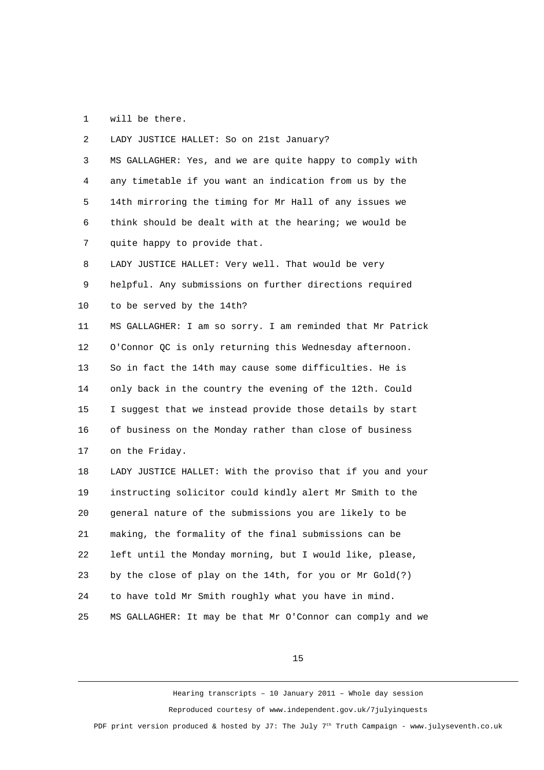1 will be there.

 2 LADY JUSTICE HALLET: So on 21st January? 3 MS GALLAGHER: Yes, and we are quite happy to comply with 4 any timetable if you want an indication from us by the 5 14th mirroring the timing for Mr Hall of any issues we 6 think should be dealt with at the hearing; we would be 7 quite happy to provide that. 8 LADY JUSTICE HALLET: Very well. That would be very 9 helpful. Any submissions on further directions required 10 to be served by the 14th? 11 MS GALLAGHER: I am so sorry. I am reminded that Mr Patrick 12 O'Connor QC is only returning this Wednesday afternoon. 13 So in fact the 14th may cause some difficulties. He is 14 only back in the country the evening of the 12th. Could 15 I suggest that we instead provide those details by start 16 of business on the Monday rather than close of business 17 on the Friday. 18 LADY JUSTICE HALLET: With the proviso that if you and your 19 instructing solicitor could kindly alert Mr Smith to the 20 general nature of the submissions you are likely to be 21 making, the formality of the final submissions can be 22 left until the Monday morning, but I would like, please, 23 by the close of play on the 14th, for you or Mr Gold(?) 24 to have told Mr Smith roughly what you have in mind. 25 MS GALLAGHER: It may be that Mr O'Connor can comply and we

15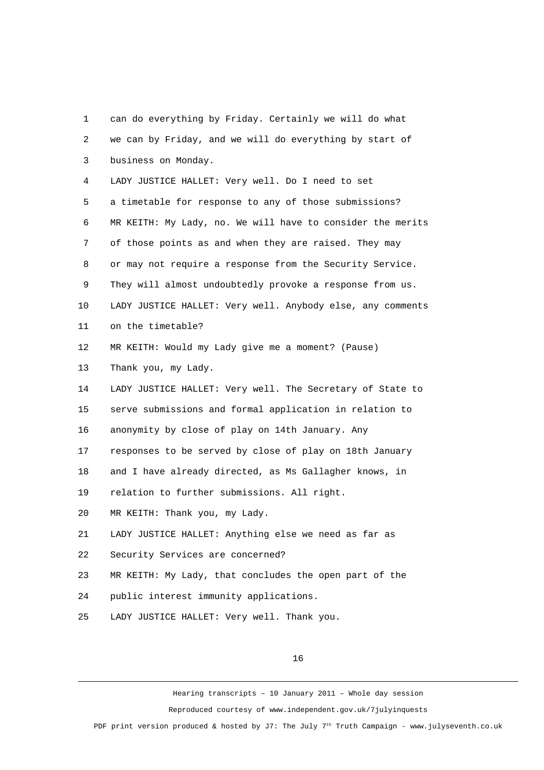1 can do everything by Friday. Certainly we will do what 2 we can by Friday, and we will do everything by start of 3 business on Monday. 4 LADY JUSTICE HALLET: Very well. Do I need to set 5 a timetable for response to any of those submissions? 6 MR KEITH: My Lady, no. We will have to consider the merits 7 of those points as and when they are raised. They may 8 or may not require a response from the Security Service. 9 They will almost undoubtedly provoke a response from us. 10 LADY JUSTICE HALLET: Very well. Anybody else, any comments 11 on the timetable? 12 MR KEITH: Would my Lady give me a moment? (Pause) 13 Thank you, my Lady. 14 LADY JUSTICE HALLET: Very well. The Secretary of State to 15 serve submissions and formal application in relation to 16 anonymity by close of play on 14th January. Any 17 responses to be served by close of play on 18th January 18 and I have already directed, as Ms Gallagher knows, in 19 relation to further submissions. All right. 20 MR KEITH: Thank you, my Lady. 21 LADY JUSTICE HALLET: Anything else we need as far as 22 Security Services are concerned? 23 MR KEITH: My Lady, that concludes the open part of the 24 public interest immunity applications. 25 LADY JUSTICE HALLET: Very well. Thank you.

16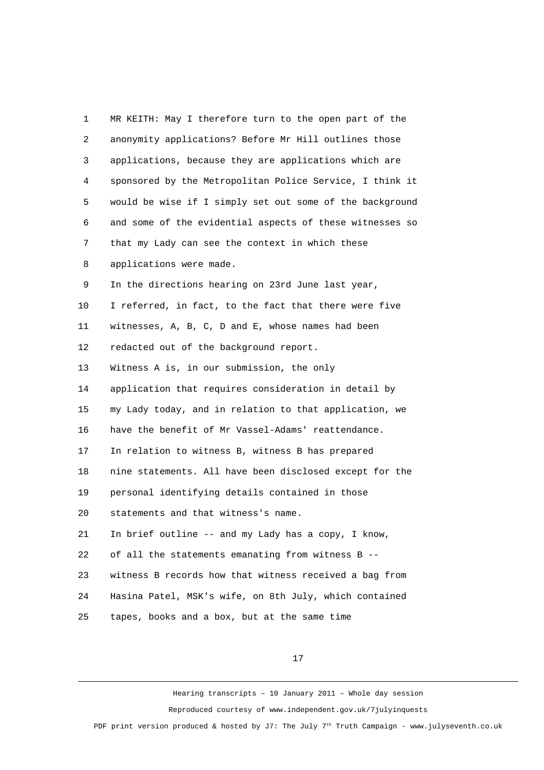1 MR KEITH: May I therefore turn to the open part of the 2 anonymity applications? Before Mr Hill outlines those 3 applications, because they are applications which are 4 sponsored by the Metropolitan Police Service, I think it 5 would be wise if I simply set out some of the background 6 and some of the evidential aspects of these witnesses so 7 that my Lady can see the context in which these 8 applications were made. 9 In the directions hearing on 23rd June last year, 10 I referred, in fact, to the fact that there were five 11 witnesses, A, B, C, D and E, whose names had been 12 redacted out of the background report. 13 Witness A is, in our submission, the only 14 application that requires consideration in detail by 15 my Lady today, and in relation to that application, we 16 have the benefit of Mr Vassel-Adams' reattendance. 17 In relation to witness B, witness B has prepared 18 nine statements. All have been disclosed except for the 19 personal identifying details contained in those 20 statements and that witness's name. 21 In brief outline -- and my Lady has a copy, I know, 22 of all the statements emanating from witness B -- 23 witness B records how that witness received a bag from 24 Hasina Patel, MSK's wife, on 8th July, which contained 25 tapes, books and a box, but at the same time

17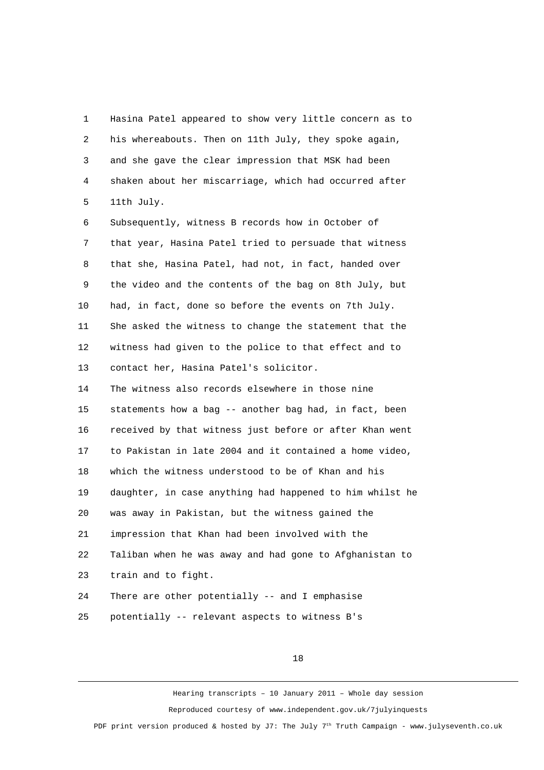1 Hasina Patel appeared to show very little concern as to 2 his whereabouts. Then on 11th July, they spoke again, 3 and she gave the clear impression that MSK had been 4 shaken about her miscarriage, which had occurred after 5 11th July.

 6 Subsequently, witness B records how in October of 7 that year, Hasina Patel tried to persuade that witness 8 that she, Hasina Patel, had not, in fact, handed over 9 the video and the contents of the bag on 8th July, but 10 had, in fact, done so before the events on 7th July. 11 She asked the witness to change the statement that the 12 witness had given to the police to that effect and to 13 contact her, Hasina Patel's solicitor.

14 The witness also records elsewhere in those nine 15 statements how a bag -- another bag had, in fact, been 16 received by that witness just before or after Khan went 17 to Pakistan in late 2004 and it contained a home video, 18 which the witness understood to be of Khan and his 19 daughter, in case anything had happened to him whilst he 20 was away in Pakistan, but the witness gained the 21 impression that Khan had been involved with the 22 Taliban when he was away and had gone to Afghanistan to 23 train and to fight. 24 There are other potentially -- and I emphasise

25 potentially -- relevant aspects to witness B's

18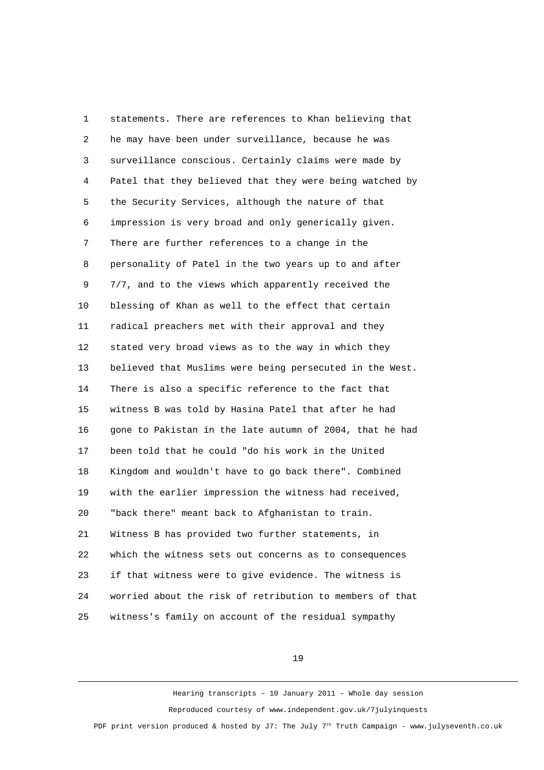1 statements. There are references to Khan believing that 2 he may have been under surveillance, because he was 3 surveillance conscious. Certainly claims were made by 4 Patel that they believed that they were being watched by 5 the Security Services, although the nature of that 6 impression is very broad and only generically given. 7 There are further references to a change in the 8 personality of Patel in the two years up to and after 9 7/7, and to the views which apparently received the 10 blessing of Khan as well to the effect that certain 11 radical preachers met with their approval and they 12 stated very broad views as to the way in which they 13 believed that Muslims were being persecuted in the West. 14 There is also a specific reference to the fact that 15 witness B was told by Hasina Patel that after he had 16 gone to Pakistan in the late autumn of 2004, that he had 17 been told that he could "do his work in the United 18 Kingdom and wouldn't have to go back there". Combined 19 with the earlier impression the witness had received, 20 "back there" meant back to Afghanistan to train. 21 Witness B has provided two further statements, in 22 which the witness sets out concerns as to consequences 23 if that witness were to give evidence. The witness is 24 worried about the risk of retribution to members of that 25 witness's family on account of the residual sympathy

19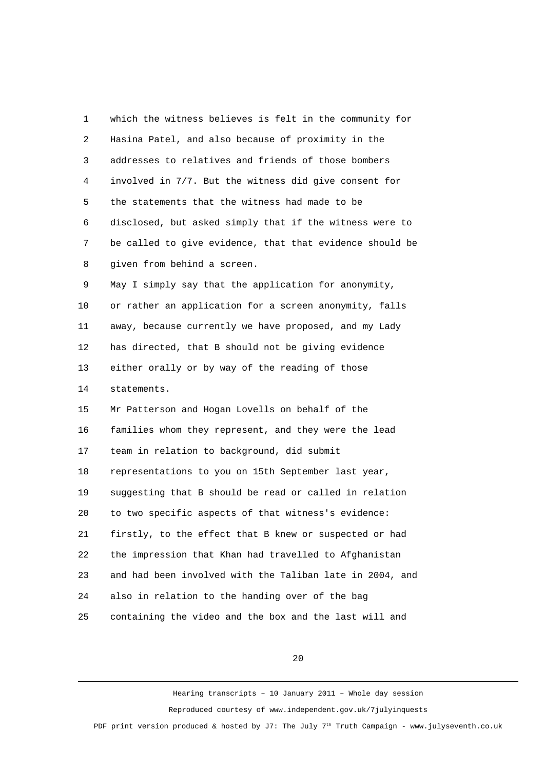1 which the witness believes is felt in the community for 2 Hasina Patel, and also because of proximity in the 3 addresses to relatives and friends of those bombers 4 involved in 7/7. But the witness did give consent for 5 the statements that the witness had made to be 6 disclosed, but asked simply that if the witness were to 7 be called to give evidence, that that evidence should be 8 given from behind a screen. 9 May I simply say that the application for anonymity, 10 or rather an application for a screen anonymity, falls 11 away, because currently we have proposed, and my Lady 12 has directed, that B should not be giving evidence 13 either orally or by way of the reading of those 14 statements. 15 Mr Patterson and Hogan Lovells on behalf of the 16 families whom they represent, and they were the lead 17 team in relation to background, did submit 18 representations to you on 15th September last year, 19 suggesting that B should be read or called in relation 20 to two specific aspects of that witness's evidence: 21 firstly, to the effect that B knew or suspected or had 22 the impression that Khan had travelled to Afghanistan 23 and had been involved with the Taliban late in 2004, and 24 also in relation to the handing over of the bag 25 containing the video and the box and the last will and

20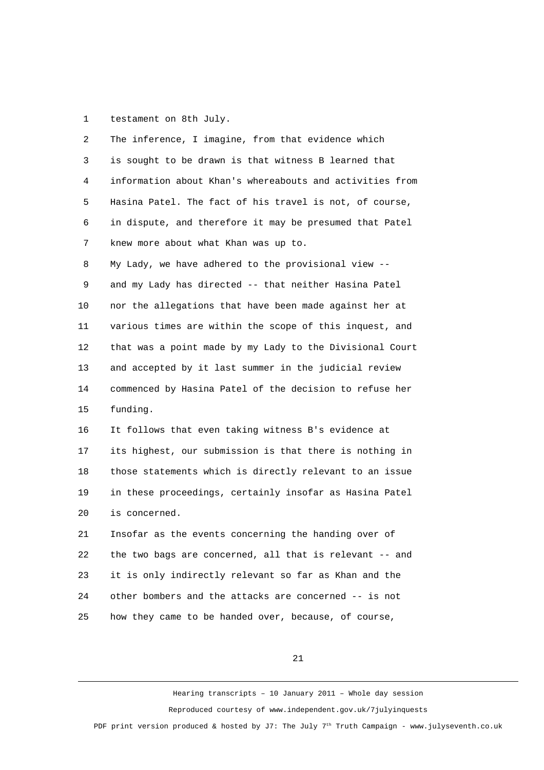1 testament on 8th July.

| 2  | The inference, I imagine, from that evidence which       |
|----|----------------------------------------------------------|
| 3  | is sought to be drawn is that witness B learned that     |
| 4  | information about Khan's whereabouts and activities from |
| 5  | Hasina Patel. The fact of his travel is not, of course,  |
| 6  | in dispute, and therefore it may be presumed that Patel  |
| 7  | knew more about what Khan was up to.                     |
| 8  | My Lady, we have adhered to the provisional view --      |
| 9  | and my Lady has directed -- that neither Hasina Patel    |
| 10 | nor the allegations that have been made against her at   |
| 11 | various times are within the scope of this inquest, and  |
| 12 | that was a point made by my Lady to the Divisional Court |
| 13 | and accepted by it last summer in the judicial review    |
| 14 | commenced by Hasina Patel of the decision to refuse her  |
| 15 | funding.                                                 |
| 16 | It follows that even taking witness B's evidence at      |
| 17 | its highest, our submission is that there is nothing in  |
| 18 | those statements which is directly relevant to an issue  |
| 19 | in these proceedings, certainly insofar as Hasina Patel  |
| 20 | is concerned.                                            |
| 21 | Insofar as the events concerning the handing over of     |
| 22 | the two bags are concerned, all that is relevant -- and  |
| 23 | it is only indirectly relevant so far as Khan and the    |
| 24 | other bombers and the attacks are concerned -- is not    |
| 25 | how they came to be handed over, because, of course,     |

21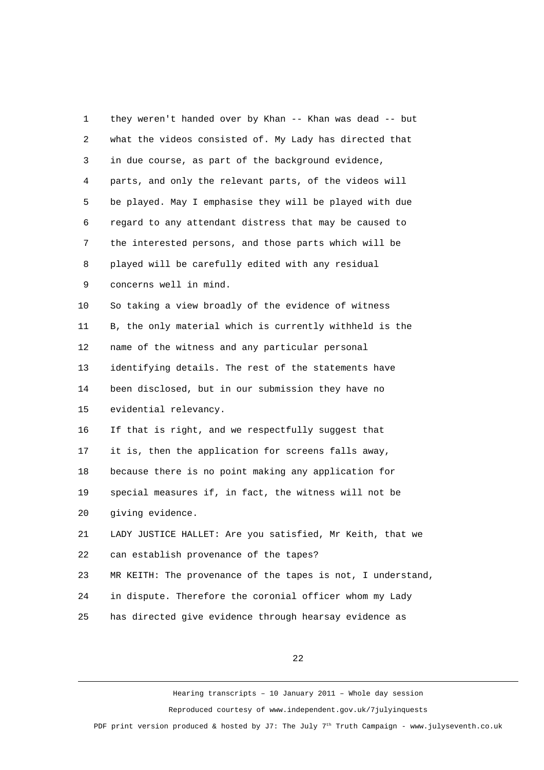| 1              | they weren't handed over by Khan -- Khan was dead -- but    |
|----------------|-------------------------------------------------------------|
| $\overline{2}$ | what the videos consisted of. My Lady has directed that     |
| 3              | in due course, as part of the background evidence,          |
| 4              | parts, and only the relevant parts, of the videos will      |
| 5              | be played. May I emphasise they will be played with due     |
| 6              | regard to any attendant distress that may be caused to      |
| $\overline{7}$ | the interested persons, and those parts which will be       |
| 8              | played will be carefully edited with any residual           |
| 9              | concerns well in mind.                                      |
| 10             | So taking a view broadly of the evidence of witness         |
| 11             | B, the only material which is currently withheld is the     |
| 12             | name of the witness and any particular personal             |
| 13             | identifying details. The rest of the statements have        |
| 14             | been disclosed, but in our submission they have no          |
| 15             | evidential relevancy.                                       |
| 16             | If that is right, and we respectfully suggest that          |
| 17             | it is, then the application for screens falls away,         |
| 18             | because there is no point making any application for        |
| 19             | special measures if, in fact, the witness will not be       |
| 20             | giving evidence.                                            |
| 21             | LADY JUSTICE HALLET: Are you satisfied, Mr Keith, that we   |
| 22             | can establish provenance of the tapes?                      |
| 23             | MR KEITH: The provenance of the tapes is not, I understand, |
| 24             | in dispute. Therefore the coronial officer whom my Lady     |
| 25             | has directed give evidence through hearsay evidence as      |

22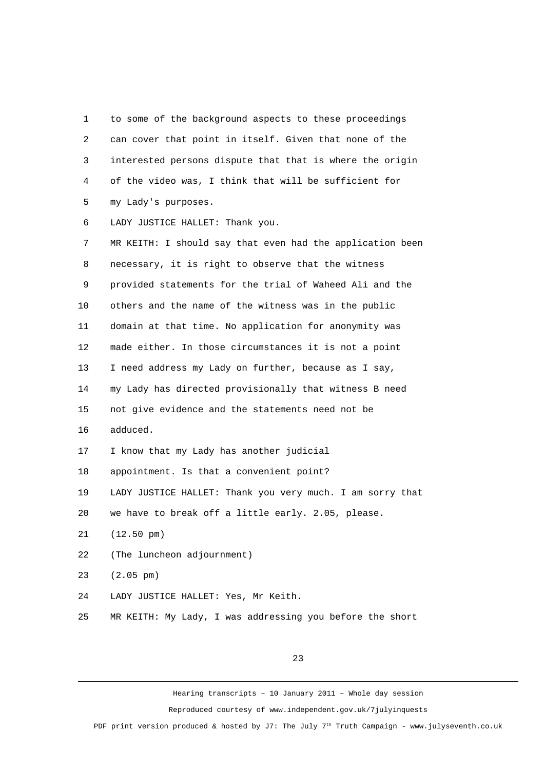1 to some of the background aspects to these proceedings 2 can cover that point in itself. Given that none of the 3 interested persons dispute that that is where the origin 4 of the video was, I think that will be sufficient for 5 my Lady's purposes.

6 LADY JUSTICE HALLET: Thank you.

 7 MR KEITH: I should say that even had the application been 8 necessary, it is right to observe that the witness 9 provided statements for the trial of Waheed Ali and the 10 others and the name of the witness was in the public 11 domain at that time. No application for anonymity was 12 made either. In those circumstances it is not a point 13 I need address my Lady on further, because as I say, 14 my Lady has directed provisionally that witness B need 15 not give evidence and the statements need not be 16 adduced. 17 I know that my Lady has another judicial 18 appointment. Is that a convenient point? 19 LADY JUSTICE HALLET: Thank you very much. I am sorry that 20 we have to break off a little early. 2.05, please. 21 (12.50 pm) 22 (The luncheon adjournment) 23 (2.05 pm) 24 LADY JUSTICE HALLET: Yes, Mr Keith.

25 MR KEITH: My Lady, I was addressing you before the short

23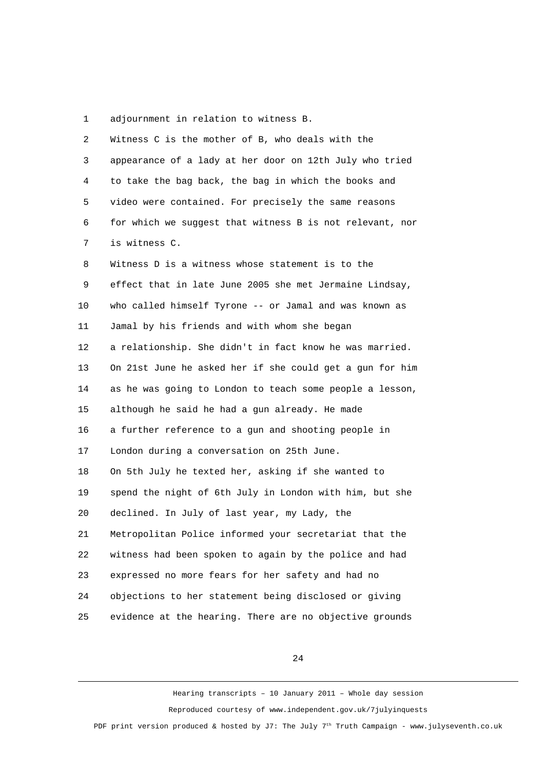1 adjournment in relation to witness B.

| $\overline{2}$ | Witness C is the mother of B, who deals with the         |
|----------------|----------------------------------------------------------|
| 3              | appearance of a lady at her door on 12th July who tried  |
| 4              | to take the bag back, the bag in which the books and     |
| 5              | video were contained. For precisely the same reasons     |
| 6              | for which we suggest that witness B is not relevant, nor |
| $\overline{7}$ | is witness C.                                            |
| 8              | Witness D is a witness whose statement is to the         |
| 9              | effect that in late June 2005 she met Jermaine Lindsay,  |
| 10             | who called himself Tyrone -- or Jamal and was known as   |
| 11             | Jamal by his friends and with whom she began             |
| 12             | a relationship. She didn't in fact know he was married.  |
| 13             | On 21st June he asked her if she could get a gun for him |
| 14             | as he was going to London to teach some people a lesson, |
| 15             | although he said he had a gun already. He made           |
| 16             | a further reference to a gun and shooting people in      |
| 17             | London during a conversation on 25th June.               |
| 18             | On 5th July he texted her, asking if she wanted to       |
| 19             | spend the night of 6th July in London with him, but she  |
| 20             | declined. In July of last year, my Lady, the             |
| 21             | Metropolitan Police informed your secretariat that the   |
| 22             | witness had been spoken to again by the police and had   |
| 23             | expressed no more fears for her safety and had no        |
| 24             | objections to her statement being disclosed or giving    |
| 25             | evidence at the hearing. There are no objective grounds  |

24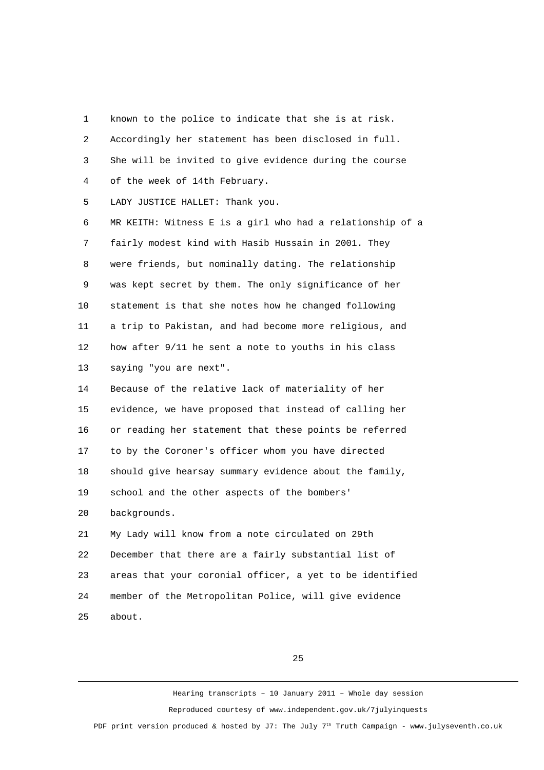1 known to the police to indicate that she is at risk. 2 Accordingly her statement has been disclosed in full. 3 She will be invited to give evidence during the course 4 of the week of 14th February. 5 LADY JUSTICE HALLET: Thank you. 6 MR KEITH: Witness E is a girl who had a relationship of a 7 fairly modest kind with Hasib Hussain in 2001. They 8 were friends, but nominally dating. The relationship 9 was kept secret by them. The only significance of her 10 statement is that she notes how he changed following 11 a trip to Pakistan, and had become more religious, and 12 how after 9/11 he sent a note to youths in his class 13 saying "you are next". 14 Because of the relative lack of materiality of her 15 evidence, we have proposed that instead of calling her 16 or reading her statement that these points be referred 17 to by the Coroner's officer whom you have directed 18 should give hearsay summary evidence about the family, 19 school and the other aspects of the bombers' 20 backgrounds. 21 My Lady will know from a note circulated on 29th 22 December that there are a fairly substantial list of 23 areas that your coronial officer, a yet to be identified 24 member of the Metropolitan Police, will give evidence 25 about.

25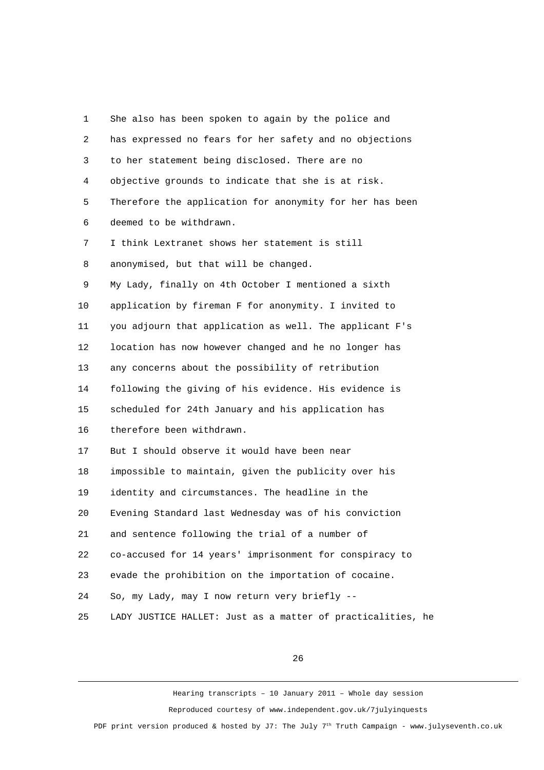| 1              | She also has been spoken to again by the police and         |
|----------------|-------------------------------------------------------------|
| 2              | has expressed no fears for her safety and no objections     |
| 3              | to her statement being disclosed. There are no              |
| 4              | objective grounds to indicate that she is at risk.          |
| 5              | Therefore the application for anonymity for her has been    |
| 6              | deemed to be withdrawn.                                     |
| $\overline{7}$ | I think Lextranet shows her statement is still              |
| 8              | anonymised, but that will be changed.                       |
| 9              | My Lady, finally on 4th October I mentioned a sixth         |
| 10             | application by fireman F for anonymity. I invited to        |
| 11             | you adjourn that application as well. The applicant F's     |
| 12             | location has now however changed and he no longer has       |
| 13             | any concerns about the possibility of retribution           |
| 14             | following the giving of his evidence. His evidence is       |
| 15             | scheduled for 24th January and his application has          |
| 16             | therefore been withdrawn.                                   |
| 17             | But I should observe it would have been near                |
| 18             | impossible to maintain, given the publicity over his        |
| 19             | identity and circumstances. The headline in the             |
| 20             | Evening Standard last Wednesday was of his conviction       |
| 21             | and sentence following the trial of a number of             |
| 22             | co-accused for 14 years' imprisonment for conspiracy to     |
| 23             | evade the prohibition on the importation of cocaine.        |
| 24             | So, my Lady, may I now return very briefly --               |
| 25             | LADY JUSTICE HALLET: Just as a matter of practicalities, he |

26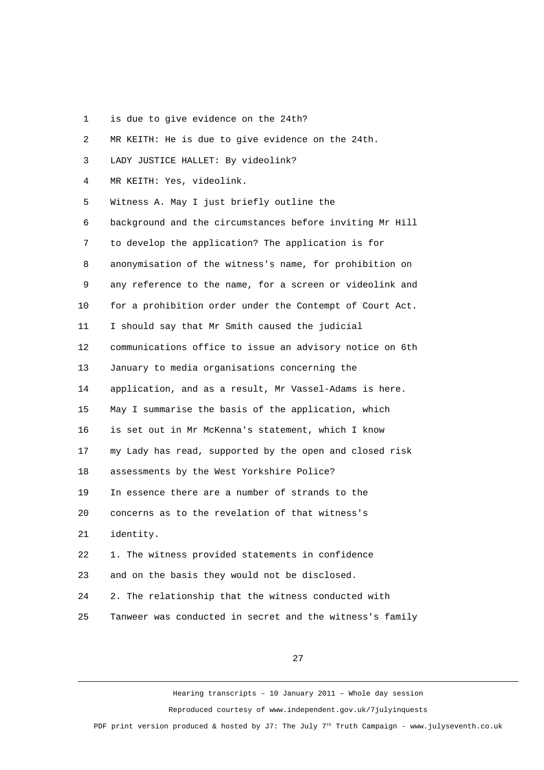1 is due to give evidence on the 24th?

| 2  | MR KEITH: He is due to give evidence on the 24th.        |
|----|----------------------------------------------------------|
| 3  | LADY JUSTICE HALLET: By videolink?                       |
| 4  | MR KEITH: Yes, videolink.                                |
| 5  | Witness A. May I just briefly outline the                |
| 6  | background and the circumstances before inviting Mr Hill |
| 7  | to develop the application? The application is for       |
| 8  | anonymisation of the witness's name, for prohibition on  |
| 9  | any reference to the name, for a screen or videolink and |
| 10 | for a prohibition order under the Contempt of Court Act. |
| 11 | I should say that Mr Smith caused the judicial           |
| 12 | communications office to issue an advisory notice on 6th |
| 13 | January to media organisations concerning the            |
| 14 | application, and as a result, Mr Vassel-Adams is here.   |
| 15 | May I summarise the basis of the application, which      |
| 16 | is set out in Mr McKenna's statement, which I know       |
| 17 | my Lady has read, supported by the open and closed risk  |
| 18 | assessments by the West Yorkshire Police?                |
| 19 | In essence there are a number of strands to the          |
| 20 | concerns as to the revelation of that witness's          |
| 21 | identity.                                                |
| 22 | 1. The witness provided statements in confidence         |
| 23 | and on the basis they would not be disclosed.            |
| 24 | 2. The relationship that the witness conducted with      |
| 25 | Tanweer was conducted in secret and the witness's family |

27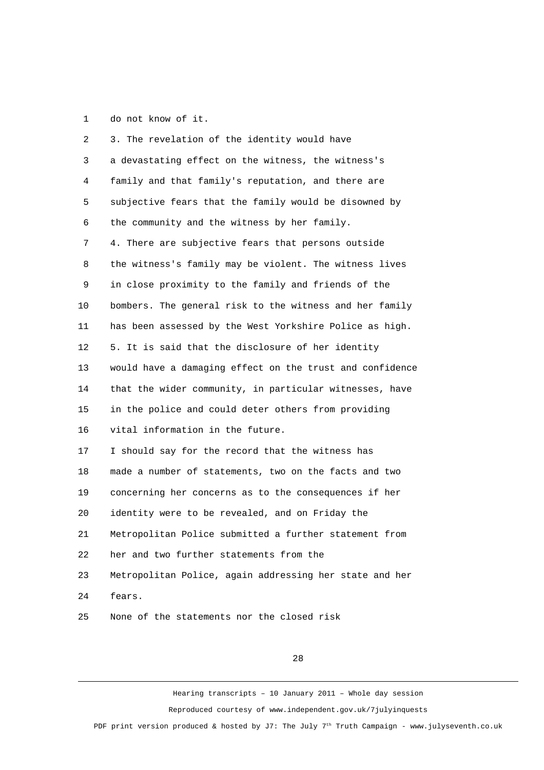1 do not know of it.

| $\overline{c}$ | 3. The revelation of the identity would have             |
|----------------|----------------------------------------------------------|
| 3              | a devastating effect on the witness, the witness's       |
| 4              | family and that family's reputation, and there are       |
| 5              | subjective fears that the family would be disowned by    |
| 6              | the community and the witness by her family.             |
| 7              | 4. There are subjective fears that persons outside       |
| 8              | the witness's family may be violent. The witness lives   |
| 9              | in close proximity to the family and friends of the      |
| 10             | bombers. The general risk to the witness and her family  |
| 11             | has been assessed by the West Yorkshire Police as high.  |
| 12             | 5. It is said that the disclosure of her identity        |
| 13             | would have a damaging effect on the trust and confidence |
| 14             | that the wider community, in particular witnesses, have  |
| 15             | in the police and could deter others from providing      |
| 16             | vital information in the future.                         |
| 17             | I should say for the record that the witness has         |
| 18             | made a number of statements, two on the facts and two    |
| 19             | concerning her concerns as to the consequences if her    |
| 20             | identity were to be revealed, and on Friday the          |
| 21             | Metropolitan Police submitted a further statement from   |
| 22             | her and two further statements from the                  |
| 23             | Metropolitan Police, again addressing her state and her  |
| 24             | fears.                                                   |
| 25             | None of the statements nor the closed risk               |

28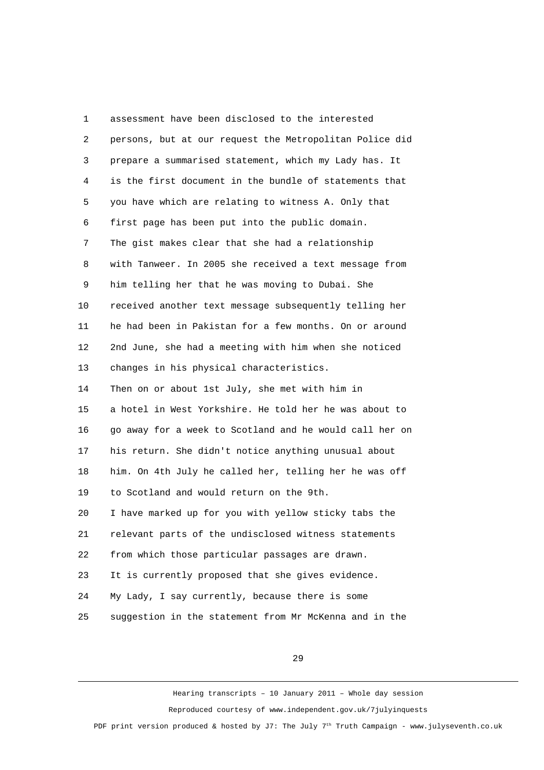1 assessment have been disclosed to the interested 2 persons, but at our request the Metropolitan Police did 3 prepare a summarised statement, which my Lady has. It 4 is the first document in the bundle of statements that 5 you have which are relating to witness A. Only that 6 first page has been put into the public domain. 7 The gist makes clear that she had a relationship 8 with Tanweer. In 2005 she received a text message from 9 him telling her that he was moving to Dubai. She 10 received another text message subsequently telling her 11 he had been in Pakistan for a few months. On or around 12 2nd June, she had a meeting with him when she noticed 13 changes in his physical characteristics. 14 Then on or about 1st July, she met with him in 15 a hotel in West Yorkshire. He told her he was about to 16 go away for a week to Scotland and he would call her on 17 his return. She didn't notice anything unusual about 18 him. On 4th July he called her, telling her he was off 19 to Scotland and would return on the 9th. 20 I have marked up for you with yellow sticky tabs the 21 relevant parts of the undisclosed witness statements 22 from which those particular passages are drawn. 23 It is currently proposed that she gives evidence. 24 My Lady, I say currently, because there is some 25 suggestion in the statement from Mr McKenna and in the

29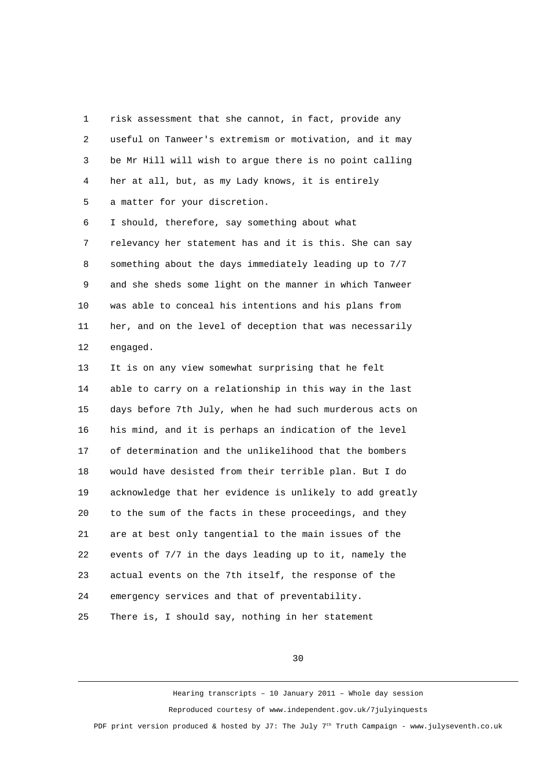1 risk assessment that she cannot, in fact, provide any 2 useful on Tanweer's extremism or motivation, and it may 3 be Mr Hill will wish to argue there is no point calling 4 her at all, but, as my Lady knows, it is entirely 5 a matter for your discretion.

 6 I should, therefore, say something about what 7 relevancy her statement has and it is this. She can say 8 something about the days immediately leading up to 7/7 9 and she sheds some light on the manner in which Tanweer 10 was able to conceal his intentions and his plans from 11 her, and on the level of deception that was necessarily 12 engaged.

13 It is on any view somewhat surprising that he felt 14 able to carry on a relationship in this way in the last 15 days before 7th July, when he had such murderous acts on 16 his mind, and it is perhaps an indication of the level 17 of determination and the unlikelihood that the bombers 18 would have desisted from their terrible plan. But I do 19 acknowledge that her evidence is unlikely to add greatly 20 to the sum of the facts in these proceedings, and they 21 are at best only tangential to the main issues of the 22 events of 7/7 in the days leading up to it, namely the 23 actual events on the 7th itself, the response of the 24 emergency services and that of preventability. 25 There is, I should say, nothing in her statement

30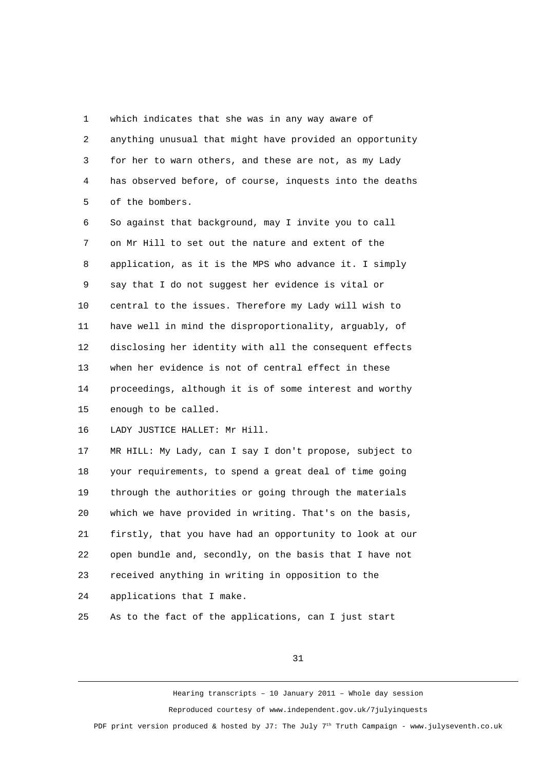1 which indicates that she was in any way aware of 2 anything unusual that might have provided an opportunity 3 for her to warn others, and these are not, as my Lady 4 has observed before, of course, inquests into the deaths 5 of the bombers.

 6 So against that background, may I invite you to call 7 on Mr Hill to set out the nature and extent of the 8 application, as it is the MPS who advance it. I simply 9 say that I do not suggest her evidence is vital or 10 central to the issues. Therefore my Lady will wish to 11 have well in mind the disproportionality, arguably, of 12 disclosing her identity with all the consequent effects 13 when her evidence is not of central effect in these 14 proceedings, although it is of some interest and worthy 15 enough to be called.

16 LADY JUSTICE HALLET: Mr Hill.

17 MR HILL: My Lady, can I say I don't propose, subject to 18 your requirements, to spend a great deal of time going 19 through the authorities or going through the materials 20 which we have provided in writing. That's on the basis, 21 firstly, that you have had an opportunity to look at our 22 open bundle and, secondly, on the basis that I have not 23 received anything in writing in opposition to the 24 applications that I make.

25 As to the fact of the applications, can I just start

31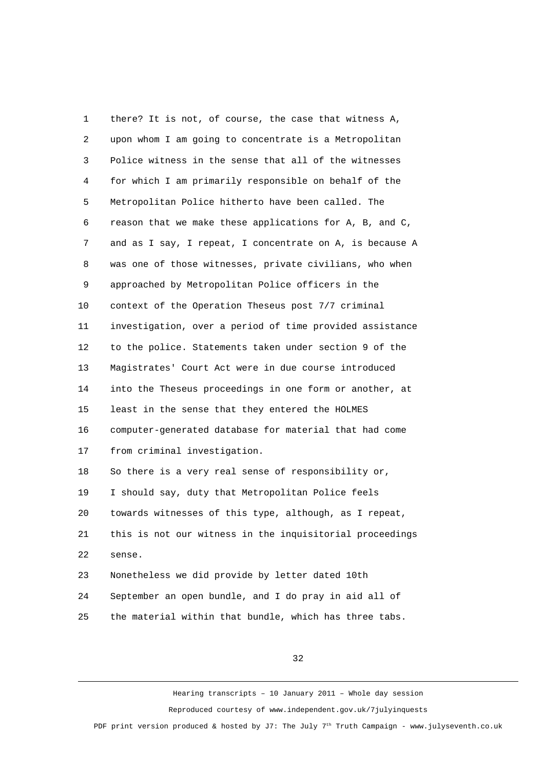1 there? It is not, of course, the case that witness A, 2 upon whom I am going to concentrate is a Metropolitan 3 Police witness in the sense that all of the witnesses 4 for which I am primarily responsible on behalf of the 5 Metropolitan Police hitherto have been called. The 6 reason that we make these applications for A, B, and C, 7 and as I say, I repeat, I concentrate on A, is because A 8 was one of those witnesses, private civilians, who when 9 approached by Metropolitan Police officers in the 10 context of the Operation Theseus post 7/7 criminal 11 investigation, over a period of time provided assistance 12 to the police. Statements taken under section 9 of the 13 Magistrates' Court Act were in due course introduced 14 into the Theseus proceedings in one form or another, at 15 least in the sense that they entered the HOLMES 16 computer-generated database for material that had come 17 from criminal investigation. 18 So there is a very real sense of responsibility or, 19 I should say, duty that Metropolitan Police feels 20 towards witnesses of this type, although, as I repeat, 21 this is not our witness in the inquisitorial proceedings 22 sense. 23 Nonetheless we did provide by letter dated 10th 24 September an open bundle, and I do pray in aid all of

25 the material within that bundle, which has three tabs.

32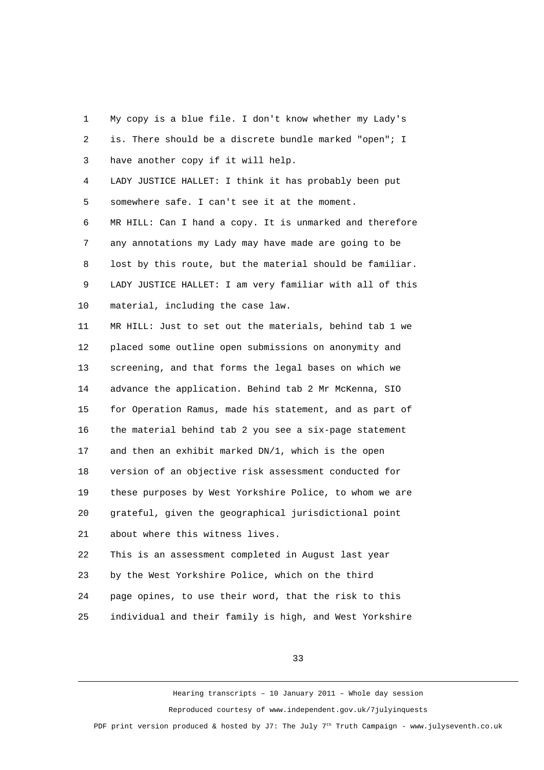1 My copy is a blue file. I don't know whether my Lady's 2 is. There should be a discrete bundle marked "open"; I 3 have another copy if it will help. 4 LADY JUSTICE HALLET: I think it has probably been put 5 somewhere safe. I can't see it at the moment. 6 MR HILL: Can I hand a copy. It is unmarked and therefore 7 any annotations my Lady may have made are going to be 8 lost by this route, but the material should be familiar. 9 LADY JUSTICE HALLET: I am very familiar with all of this 10 material, including the case law. 11 MR HILL: Just to set out the materials, behind tab 1 we 12 placed some outline open submissions on anonymity and 13 screening, and that forms the legal bases on which we 14 advance the application. Behind tab 2 Mr McKenna, SIO 15 for Operation Ramus, made his statement, and as part of 16 the material behind tab 2 you see a six-page statement 17 and then an exhibit marked DN/1, which is the open 18 version of an objective risk assessment conducted for 19 these purposes by West Yorkshire Police, to whom we are 20 grateful, given the geographical jurisdictional point 21 about where this witness lives. 22 This is an assessment completed in August last year 23 by the West Yorkshire Police, which on the third 24 page opines, to use their word, that the risk to this 25 individual and their family is high, and West Yorkshire

33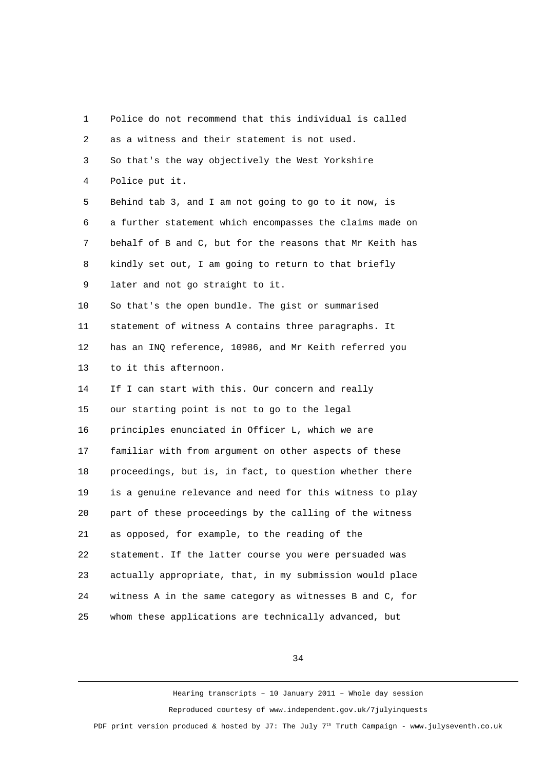| 1              | Police do not recommend that this individual is called   |
|----------------|----------------------------------------------------------|
| $\overline{c}$ | as a witness and their statement is not used.            |
| 3              | So that's the way objectively the West Yorkshire         |
| 4              | Police put it.                                           |
| 5              | Behind tab 3, and I am not going to go to it now, is     |
| 6              | a further statement which encompasses the claims made on |
| 7              | behalf of B and C, but for the reasons that Mr Keith has |
| 8              | kindly set out, I am going to return to that briefly     |
| 9              | later and not go straight to it.                         |
| 10             | So that's the open bundle. The gist or summarised        |
| 11             | statement of witness A contains three paragraphs. It     |
| 12             | has an INQ reference, 10986, and Mr Keith referred you   |
| 13             | to it this afternoon.                                    |
| 14             | If I can start with this. Our concern and really         |
| 15             | our starting point is not to go to the legal             |
| 16             | principles enunciated in Officer L, which we are         |
| 17             | familiar with from argument on other aspects of these    |
| 18             | proceedings, but is, in fact, to question whether there  |
| 19             | is a genuine relevance and need for this witness to play |
| 20             | part of these proceedings by the calling of the witness  |
| 21             | as opposed, for example, to the reading of the           |
| 22             | statement. If the latter course you were persuaded was   |
| 23             | actually appropriate, that, in my submission would place |
| 24             | witness A in the same category as witnesses B and C, for |
| 25             | whom these applications are technically advanced, but    |

34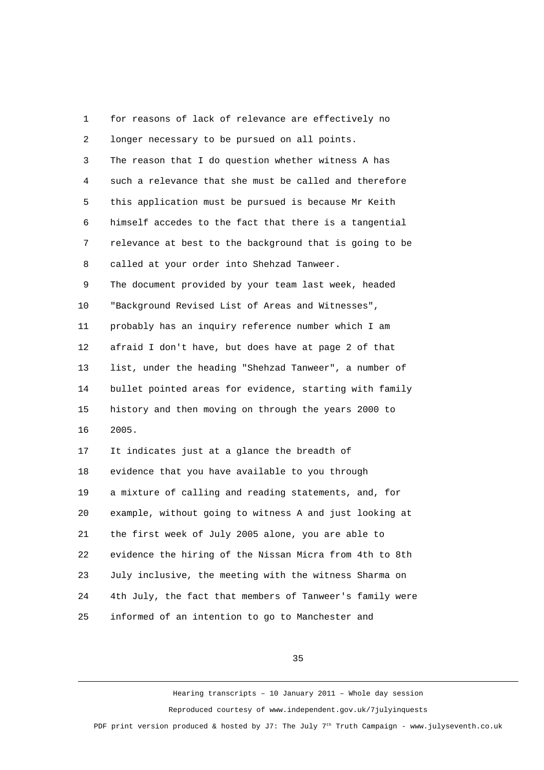1 for reasons of lack of relevance are effectively no 2 longer necessary to be pursued on all points. 3 The reason that I do question whether witness A has 4 such a relevance that she must be called and therefore 5 this application must be pursued is because Mr Keith 6 himself accedes to the fact that there is a tangential 7 relevance at best to the background that is going to be 8 called at your order into Shehzad Tanweer. 9 The document provided by your team last week, headed 10 "Background Revised List of Areas and Witnesses", 11 probably has an inquiry reference number which I am 12 afraid I don't have, but does have at page 2 of that 13 list, under the heading "Shehzad Tanweer", a number of 14 bullet pointed areas for evidence, starting with family 15 history and then moving on through the years 2000 to 16 2005. 17 It indicates just at a glance the breadth of 18 evidence that you have available to you through 19 a mixture of calling and reading statements, and, for 20 example, without going to witness A and just looking at 21 the first week of July 2005 alone, you are able to 22 evidence the hiring of the Nissan Micra from 4th to 8th 23 July inclusive, the meeting with the witness Sharma on 24 4th July, the fact that members of Tanweer's family were 25 informed of an intention to go to Manchester and

35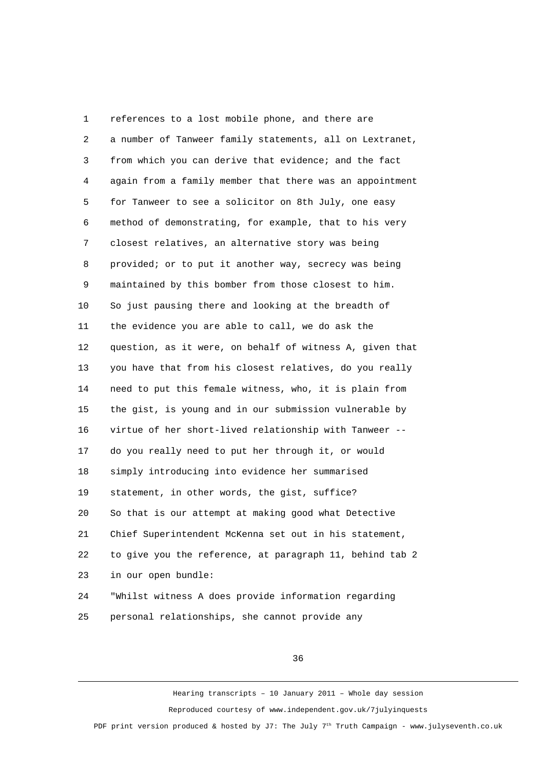1 references to a lost mobile phone, and there are 2 a number of Tanweer family statements, all on Lextranet, 3 from which you can derive that evidence; and the fact 4 again from a family member that there was an appointment 5 for Tanweer to see a solicitor on 8th July, one easy 6 method of demonstrating, for example, that to his very 7 closest relatives, an alternative story was being 8 provided; or to put it another way, secrecy was being 9 maintained by this bomber from those closest to him. 10 So just pausing there and looking at the breadth of 11 the evidence you are able to call, we do ask the 12 question, as it were, on behalf of witness A, given that 13 you have that from his closest relatives, do you really 14 need to put this female witness, who, it is plain from 15 the gist, is young and in our submission vulnerable by 16 virtue of her short-lived relationship with Tanweer -- 17 do you really need to put her through it, or would 18 simply introducing into evidence her summarised 19 statement, in other words, the gist, suffice? 20 So that is our attempt at making good what Detective 21 Chief Superintendent McKenna set out in his statement, 22 to give you the reference, at paragraph 11, behind tab 2 23 in our open bundle: 24 "Whilst witness A does provide information regarding

25 personal relationships, she cannot provide any

36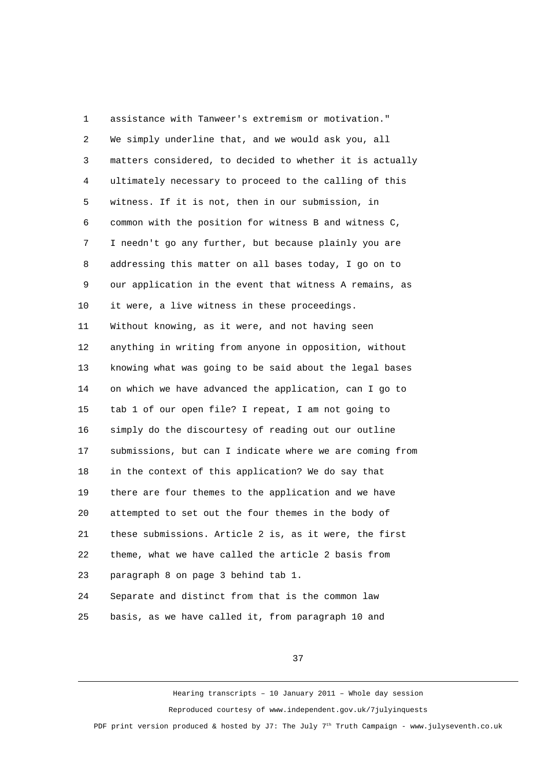1 assistance with Tanweer's extremism or motivation." 2 We simply underline that, and we would ask you, all 3 matters considered, to decided to whether it is actually 4 ultimately necessary to proceed to the calling of this 5 witness. If it is not, then in our submission, in 6 common with the position for witness B and witness C, 7 I needn't go any further, but because plainly you are 8 addressing this matter on all bases today, I go on to 9 our application in the event that witness A remains, as 10 it were, a live witness in these proceedings. 11 Without knowing, as it were, and not having seen 12 anything in writing from anyone in opposition, without 13 knowing what was going to be said about the legal bases 14 on which we have advanced the application, can I go to 15 tab 1 of our open file? I repeat, I am not going to 16 simply do the discourtesy of reading out our outline 17 submissions, but can I indicate where we are coming from 18 in the context of this application? We do say that 19 there are four themes to the application and we have 20 attempted to set out the four themes in the body of 21 these submissions. Article 2 is, as it were, the first 22 theme, what we have called the article 2 basis from 23 paragraph 8 on page 3 behind tab 1. 24 Separate and distinct from that is the common law

25 basis, as we have called it, from paragraph 10 and

37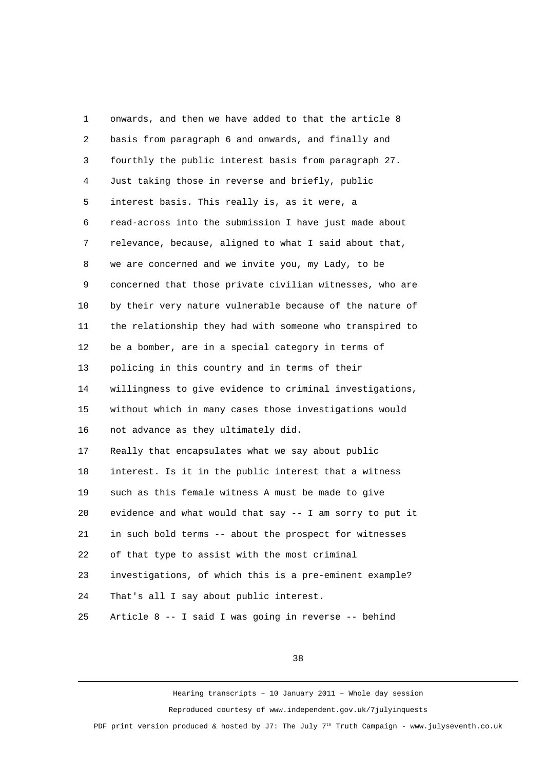1 onwards, and then we have added to that the article 8 2 basis from paragraph 6 and onwards, and finally and 3 fourthly the public interest basis from paragraph 27. 4 Just taking those in reverse and briefly, public 5 interest basis. This really is, as it were, a 6 read-across into the submission I have just made about 7 relevance, because, aligned to what I said about that, 8 we are concerned and we invite you, my Lady, to be 9 concerned that those private civilian witnesses, who are 10 by their very nature vulnerable because of the nature of 11 the relationship they had with someone who transpired to 12 be a bomber, are in a special category in terms of 13 policing in this country and in terms of their 14 willingness to give evidence to criminal investigations, 15 without which in many cases those investigations would 16 not advance as they ultimately did. 17 Really that encapsulates what we say about public 18 interest. Is it in the public interest that a witness 19 such as this female witness A must be made to give 20 evidence and what would that say -- I am sorry to put it 21 in such bold terms -- about the prospect for witnesses 22 of that type to assist with the most criminal 23 investigations, of which this is a pre-eminent example? 24 That's all I say about public interest. 25 Article 8 -- I said I was going in reverse -- behind

38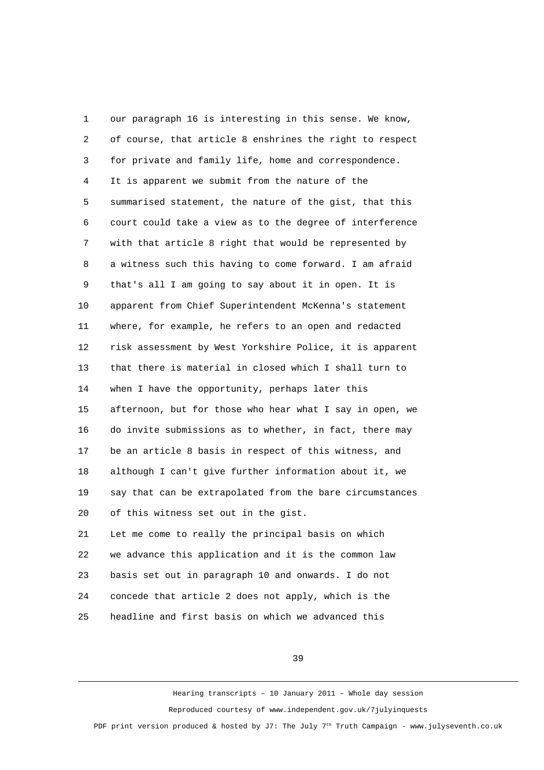1 our paragraph 16 is interesting in this sense. We know, 2 of course, that article 8 enshrines the right to respect 3 for private and family life, home and correspondence. 4 It is apparent we submit from the nature of the 5 summarised statement, the nature of the gist, that this 6 court could take a view as to the degree of interference 7 with that article 8 right that would be represented by 8 a witness such this having to come forward. I am afraid 9 that's all I am going to say about it in open. It is 10 apparent from Chief Superintendent McKenna's statement 11 where, for example, he refers to an open and redacted 12 risk assessment by West Yorkshire Police, it is apparent 13 that there is material in closed which I shall turn to 14 when I have the opportunity, perhaps later this 15 afternoon, but for those who hear what I say in open, we 16 do invite submissions as to whether, in fact, there may 17 be an article 8 basis in respect of this witness, and 18 although I can't give further information about it, we 19 say that can be extrapolated from the bare circumstances 20 of this witness set out in the gist. 21 Let me come to really the principal basis on which 22 we advance this application and it is the common law 23 basis set out in paragraph 10 and onwards. I do not 24 concede that article 2 does not apply, which is the

25 headline and first basis on which we advanced this

39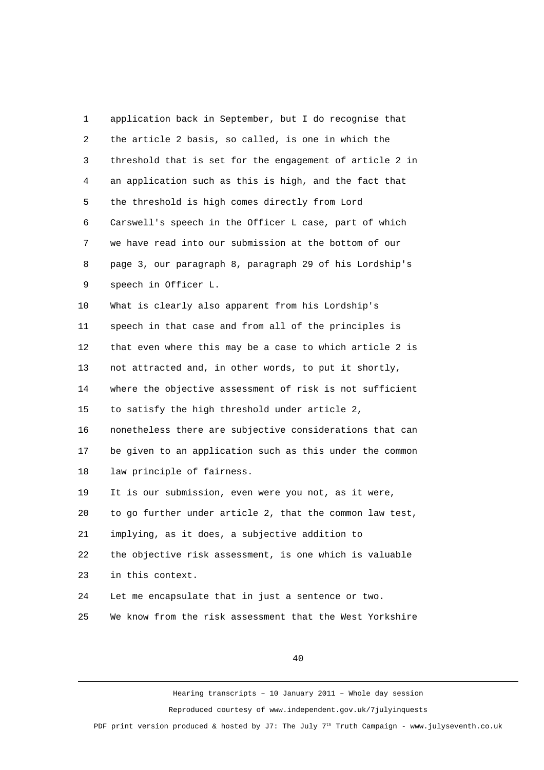1 application back in September, but I do recognise that 2 the article 2 basis, so called, is one in which the 3 threshold that is set for the engagement of article 2 in 4 an application such as this is high, and the fact that 5 the threshold is high comes directly from Lord 6 Carswell's speech in the Officer L case, part of which 7 we have read into our submission at the bottom of our 8 page 3, our paragraph 8, paragraph 29 of his Lordship's 9 speech in Officer L. 10 What is clearly also apparent from his Lordship's 11 speech in that case and from all of the principles is 12 that even where this may be a case to which article 2 is 13 not attracted and, in other words, to put it shortly, 14 where the objective assessment of risk is not sufficient 15 to satisfy the high threshold under article 2, 16 nonetheless there are subjective considerations that can 17 be given to an application such as this under the common 18 law principle of fairness. 19 It is our submission, even were you not, as it were, 20 to go further under article 2, that the common law test, 21 implying, as it does, a subjective addition to 22 the objective risk assessment, is one which is valuable 23 in this context. 24 Let me encapsulate that in just a sentence or two. 25 We know from the risk assessment that the West Yorkshire

40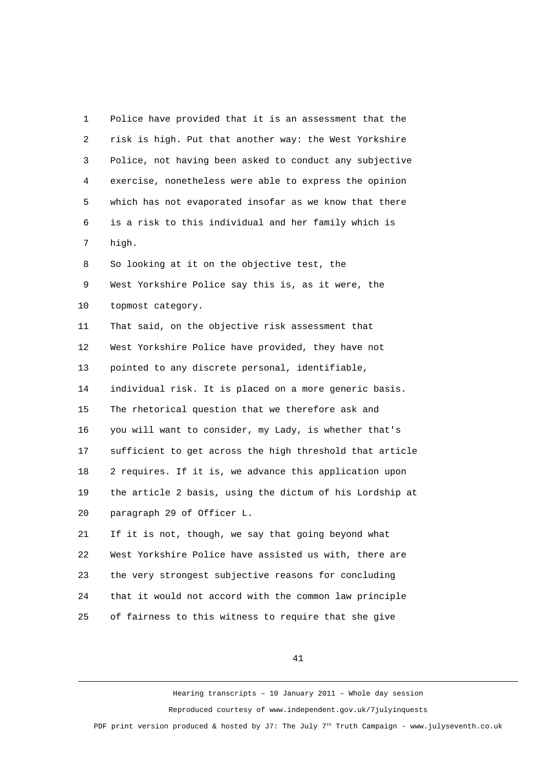1 Police have provided that it is an assessment that the 2 risk is high. Put that another way: the West Yorkshire 3 Police, not having been asked to conduct any subjective 4 exercise, nonetheless were able to express the opinion 5 which has not evaporated insofar as we know that there 6 is a risk to this individual and her family which is 7 high. 8 So looking at it on the objective test, the 9 West Yorkshire Police say this is, as it were, the 10 topmost category. 11 That said, on the objective risk assessment that 12 West Yorkshire Police have provided, they have not 13 pointed to any discrete personal, identifiable, 14 individual risk. It is placed on a more generic basis. 15 The rhetorical question that we therefore ask and 16 you will want to consider, my Lady, is whether that's 17 sufficient to get across the high threshold that article 18 2 requires. If it is, we advance this application upon 19 the article 2 basis, using the dictum of his Lordship at 20 paragraph 29 of Officer L. 21 If it is not, though, we say that going beyond what 22 West Yorkshire Police have assisted us with, there are 23 the very strongest subjective reasons for concluding 24 that it would not accord with the common law principle

25 of fairness to this witness to require that she give

41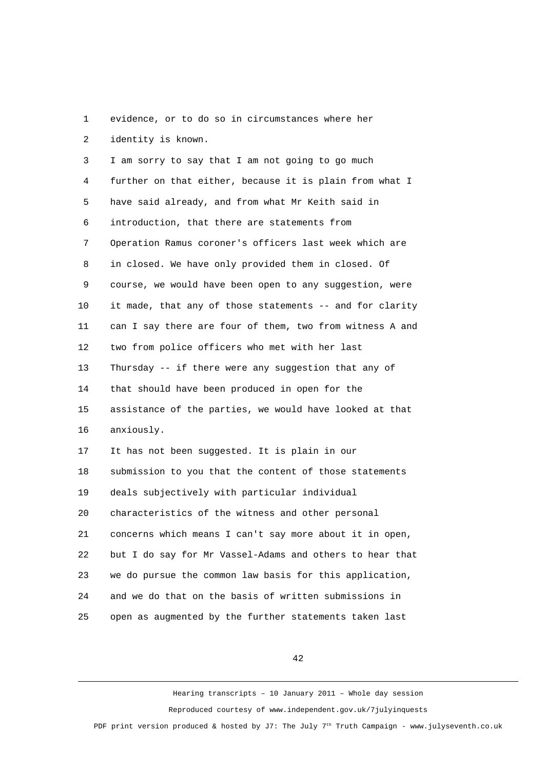1 evidence, or to do so in circumstances where her 2 identity is known.

 3 I am sorry to say that I am not going to go much 4 further on that either, because it is plain from what I 5 have said already, and from what Mr Keith said in 6 introduction, that there are statements from 7 Operation Ramus coroner's officers last week which are 8 in closed. We have only provided them in closed. Of 9 course, we would have been open to any suggestion, were 10 it made, that any of those statements -- and for clarity 11 can I say there are four of them, two from witness A and 12 two from police officers who met with her last 13 Thursday -- if there were any suggestion that any of 14 that should have been produced in open for the 15 assistance of the parties, we would have looked at that 16 anxiously. 17 It has not been suggested. It is plain in our 18 submission to you that the content of those statements 19 deals subjectively with particular individual 20 characteristics of the witness and other personal 21 concerns which means I can't say more about it in open, 22 but I do say for Mr Vassel-Adams and others to hear that 23 we do pursue the common law basis for this application, 24 and we do that on the basis of written submissions in 25 open as augmented by the further statements taken last

42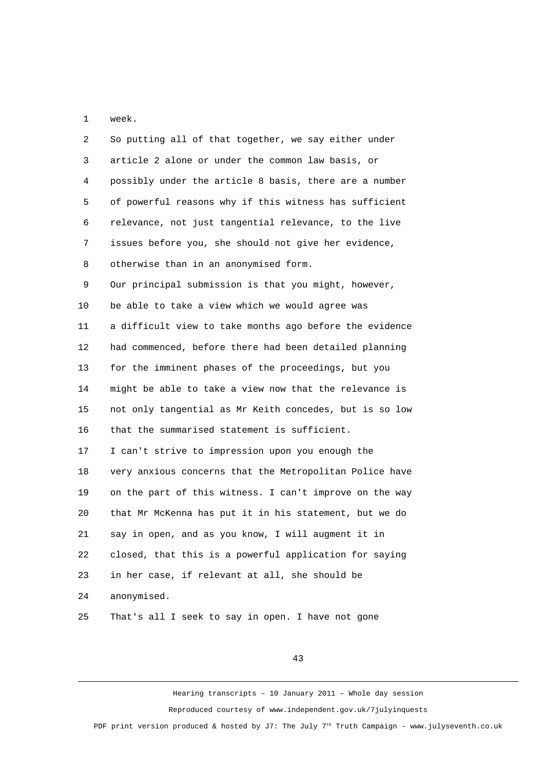1 week.

| $\overline{2}$ | So putting all of that together, we say either under    |
|----------------|---------------------------------------------------------|
| 3              | article 2 alone or under the common law basis, or       |
| 4              | possibly under the article 8 basis, there are a number  |
| 5              | of powerful reasons why if this witness has sufficient  |
| 6              | relevance, not just tangential relevance, to the live   |
| 7              | issues before you, she should not give her evidence,    |
| 8              | otherwise than in an anonymised form.                   |
| 9              | Our principal submission is that you might, however,    |
| 10             | be able to take a view which we would agree was         |
| 11             | a difficult view to take months ago before the evidence |
| 12             | had commenced, before there had been detailed planning  |
| 13             | for the imminent phases of the proceedings, but you     |
| 14             | might be able to take a view now that the relevance is  |
| 15             | not only tangential as Mr Keith concedes, but is so low |
| 16             | that the summarised statement is sufficient.            |
| 17             | I can't strive to impression upon you enough the        |
| 18             | very anxious concerns that the Metropolitan Police have |
| 19             | on the part of this witness. I can't improve on the way |
| 20             | that Mr McKenna has put it in his statement, but we do  |
| 21             | say in open, and as you know, I will augment it in      |
| 22             | closed, that this is a powerful application for saying  |
| 23             | in her case, if relevant at all, she should be          |
| 24             | anonymised.                                             |
| 25             | That's all I seek to say in open. I have not gone       |

43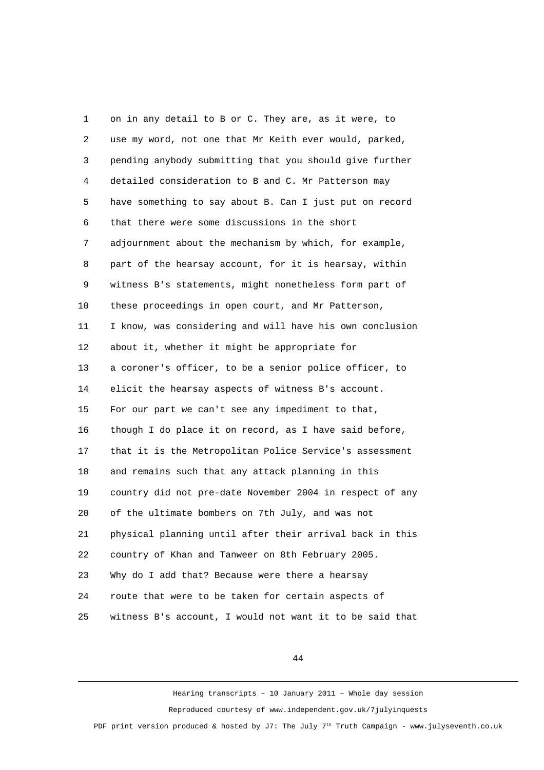1 on in any detail to B or C. They are, as it were, to 2 use my word, not one that Mr Keith ever would, parked, 3 pending anybody submitting that you should give further 4 detailed consideration to B and C. Mr Patterson may 5 have something to say about B. Can I just put on record 6 that there were some discussions in the short 7 adjournment about the mechanism by which, for example, 8 part of the hearsay account, for it is hearsay, within 9 witness B's statements, might nonetheless form part of 10 these proceedings in open court, and Mr Patterson, 11 I know, was considering and will have his own conclusion 12 about it, whether it might be appropriate for 13 a coroner's officer, to be a senior police officer, to 14 elicit the hearsay aspects of witness B's account. 15 For our part we can't see any impediment to that, 16 though I do place it on record, as I have said before, 17 that it is the Metropolitan Police Service's assessment 18 and remains such that any attack planning in this 19 country did not pre-date November 2004 in respect of any 20 of the ultimate bombers on 7th July, and was not 21 physical planning until after their arrival back in this 22 country of Khan and Tanweer on 8th February 2005. 23 Why do I add that? Because were there a hearsay 24 route that were to be taken for certain aspects of 25 witness B's account, I would not want it to be said that

44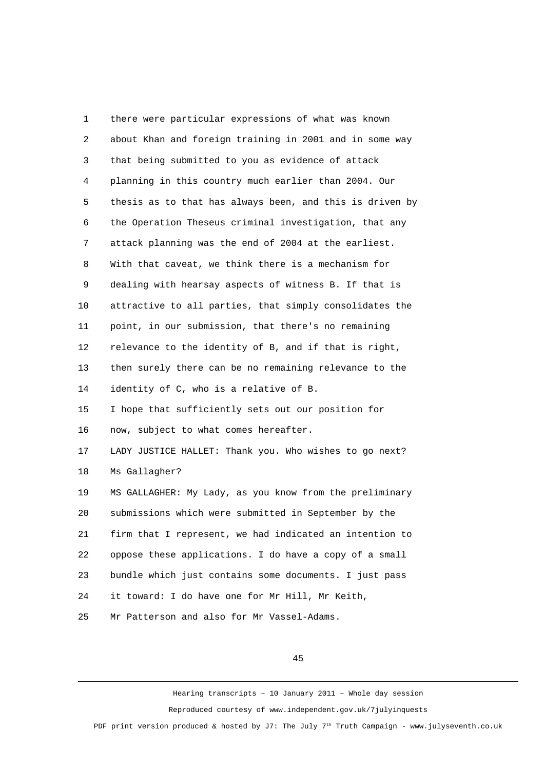1 there were particular expressions of what was known 2 about Khan and foreign training in 2001 and in some way 3 that being submitted to you as evidence of attack 4 planning in this country much earlier than 2004. Our 5 thesis as to that has always been, and this is driven by 6 the Operation Theseus criminal investigation, that any 7 attack planning was the end of 2004 at the earliest. 8 With that caveat, we think there is a mechanism for 9 dealing with hearsay aspects of witness B. If that is 10 attractive to all parties, that simply consolidates the 11 point, in our submission, that there's no remaining 12 relevance to the identity of B, and if that is right, 13 then surely there can be no remaining relevance to the 14 identity of C, who is a relative of B. 15 I hope that sufficiently sets out our position for 16 now, subject to what comes hereafter. 17 LADY JUSTICE HALLET: Thank you. Who wishes to go next? 18 Ms Gallagher? 19 MS GALLAGHER: My Lady, as you know from the preliminary 20 submissions which were submitted in September by the 21 firm that I represent, we had indicated an intention to 22 oppose these applications. I do have a copy of a small 23 bundle which just contains some documents. I just pass 24 it toward: I do have one for Mr Hill, Mr Keith, 25 Mr Patterson and also for Mr Vassel-Adams.

45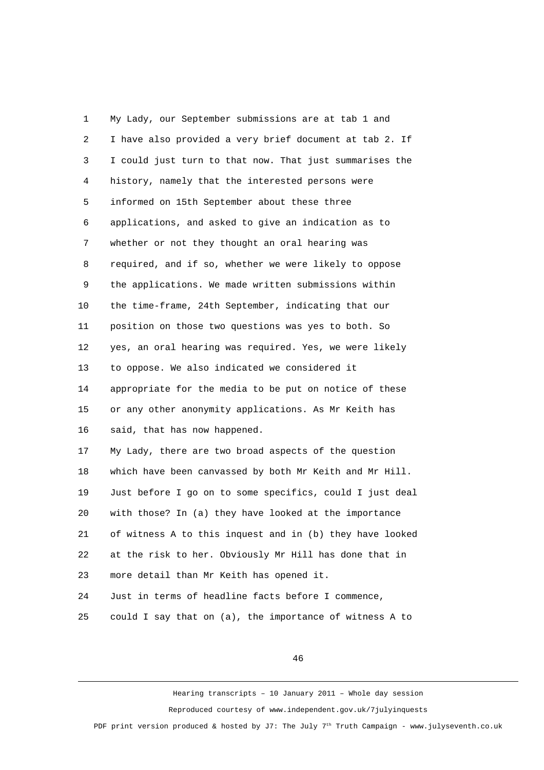1 My Lady, our September submissions are at tab 1 and 2 I have also provided a very brief document at tab 2. If 3 I could just turn to that now. That just summarises the 4 history, namely that the interested persons were 5 informed on 15th September about these three 6 applications, and asked to give an indication as to 7 whether or not they thought an oral hearing was 8 required, and if so, whether we were likely to oppose 9 the applications. We made written submissions within 10 the time-frame, 24th September, indicating that our 11 position on those two questions was yes to both. So 12 yes, an oral hearing was required. Yes, we were likely 13 to oppose. We also indicated we considered it 14 appropriate for the media to be put on notice of these 15 or any other anonymity applications. As Mr Keith has 16 said, that has now happened. 17 My Lady, there are two broad aspects of the question 18 which have been canvassed by both Mr Keith and Mr Hill. 19 Just before I go on to some specifics, could I just deal 20 with those? In (a) they have looked at the importance 21 of witness A to this inquest and in (b) they have looked 22 at the risk to her. Obviously Mr Hill has done that in 23 more detail than Mr Keith has opened it. 24 Just in terms of headline facts before I commence, 25 could I say that on (a), the importance of witness A to

46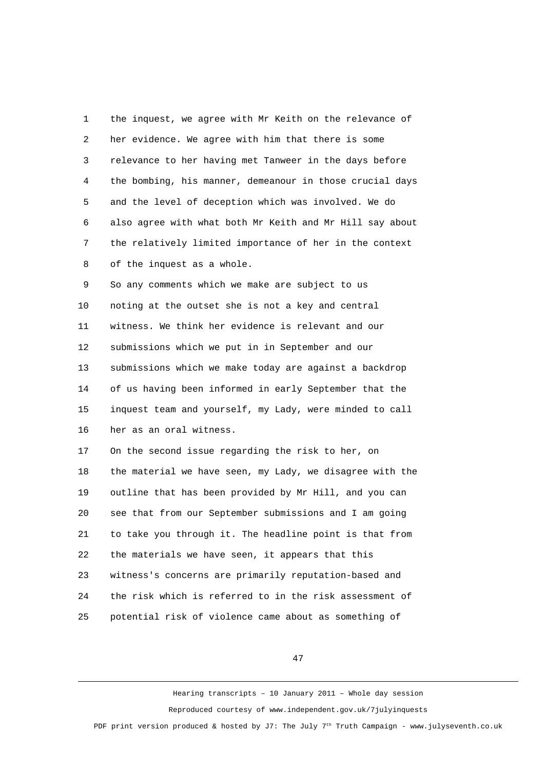1 the inquest, we agree with Mr Keith on the relevance of 2 her evidence. We agree with him that there is some 3 relevance to her having met Tanweer in the days before 4 the bombing, his manner, demeanour in those crucial days 5 and the level of deception which was involved. We do 6 also agree with what both Mr Keith and Mr Hill say about 7 the relatively limited importance of her in the context 8 of the inquest as a whole.

 9 So any comments which we make are subject to us 10 noting at the outset she is not a key and central 11 witness. We think her evidence is relevant and our 12 submissions which we put in in September and our 13 submissions which we make today are against a backdrop 14 of us having been informed in early September that the 15 inquest team and yourself, my Lady, were minded to call 16 her as an oral witness.

17 On the second issue regarding the risk to her, on 18 the material we have seen, my Lady, we disagree with the 19 outline that has been provided by Mr Hill, and you can 20 see that from our September submissions and I am going 21 to take you through it. The headline point is that from 22 the materials we have seen, it appears that this 23 witness's concerns are primarily reputation-based and 24 the risk which is referred to in the risk assessment of 25 potential risk of violence came about as something of

47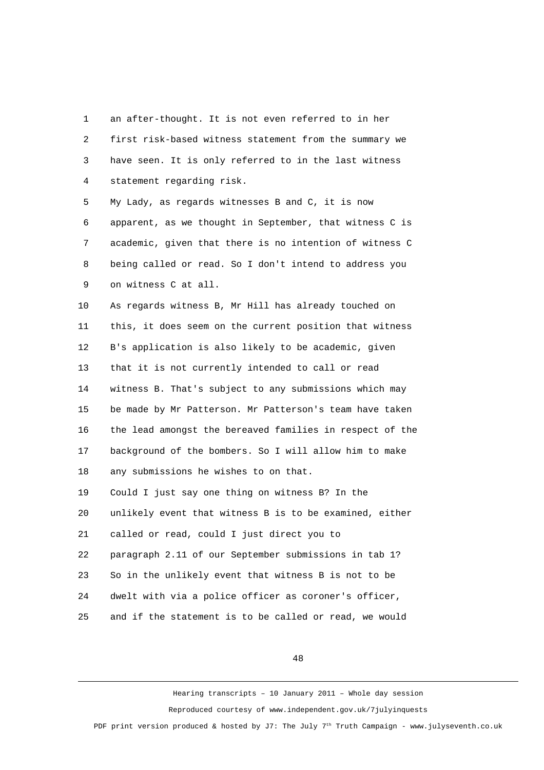1 an after-thought. It is not even referred to in her 2 first risk-based witness statement from the summary we 3 have seen. It is only referred to in the last witness 4 statement regarding risk. 5 My Lady, as regards witnesses B and C, it is now 6 apparent, as we thought in September, that witness C is 7 academic, given that there is no intention of witness C 8 being called or read. So I don't intend to address you 9 on witness C at all. 10 As regards witness B, Mr Hill has already touched on 11 this, it does seem on the current position that witness 12 B's application is also likely to be academic, given 13 that it is not currently intended to call or read 14 witness B. That's subject to any submissions which may 15 be made by Mr Patterson. Mr Patterson's team have taken 16 the lead amongst the bereaved families in respect of the 17 background of the bombers. So I will allow him to make 18 any submissions he wishes to on that. 19 Could I just say one thing on witness B? In the 20 unlikely event that witness B is to be examined, either 21 called or read, could I just direct you to 22 paragraph 2.11 of our September submissions in tab 1? 23 So in the unlikely event that witness B is not to be

24 dwelt with via a police officer as coroner's officer,

25 and if the statement is to be called or read, we would

48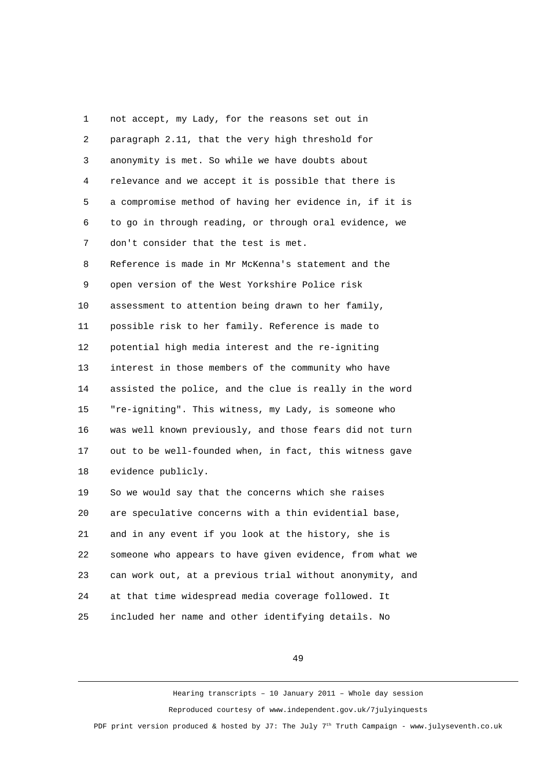1 not accept, my Lady, for the reasons set out in 2 paragraph 2.11, that the very high threshold for 3 anonymity is met. So while we have doubts about 4 relevance and we accept it is possible that there is 5 a compromise method of having her evidence in, if it is 6 to go in through reading, or through oral evidence, we 7 don't consider that the test is met. 8 Reference is made in Mr McKenna's statement and the 9 open version of the West Yorkshire Police risk 10 assessment to attention being drawn to her family, 11 possible risk to her family. Reference is made to 12 potential high media interest and the re-igniting 13 interest in those members of the community who have 14 assisted the police, and the clue is really in the word 15 "re-igniting". This witness, my Lady, is someone who 16 was well known previously, and those fears did not turn 17 out to be well-founded when, in fact, this witness gave 18 evidence publicly. 19 So we would say that the concerns which she raises 20 are speculative concerns with a thin evidential base, 21 and in any event if you look at the history, she is 22 someone who appears to have given evidence, from what we 23 can work out, at a previous trial without anonymity, and 24 at that time widespread media coverage followed. It 25 included her name and other identifying details. No

49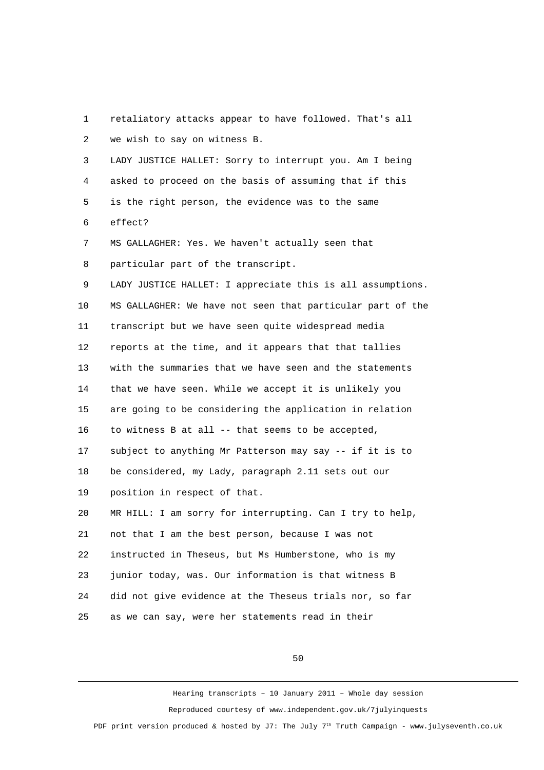1 retaliatory attacks appear to have followed. That's all 2 we wish to say on witness B.

 3 LADY JUSTICE HALLET: Sorry to interrupt you. Am I being 4 asked to proceed on the basis of assuming that if this 5 is the right person, the evidence was to the same 6 effect? 7 MS GALLAGHER: Yes. We haven't actually seen that

8 particular part of the transcript.

 9 LADY JUSTICE HALLET: I appreciate this is all assumptions. 10 MS GALLAGHER: We have not seen that particular part of the 11 transcript but we have seen quite widespread media 12 reports at the time, and it appears that that tallies 13 with the summaries that we have seen and the statements 14 that we have seen. While we accept it is unlikely you 15 are going to be considering the application in relation 16 to witness B at all -- that seems to be accepted, 17 subject to anything Mr Patterson may say -- if it is to 18 be considered, my Lady, paragraph 2.11 sets out our 19 position in respect of that. 20 MR HILL: I am sorry for interrupting. Can I try to help, 21 not that I am the best person, because I was not 22 instructed in Theseus, but Ms Humberstone, who is my 23 junior today, was. Our information is that witness B 24 did not give evidence at the Theseus trials nor, so far

25 as we can say, were her statements read in their

50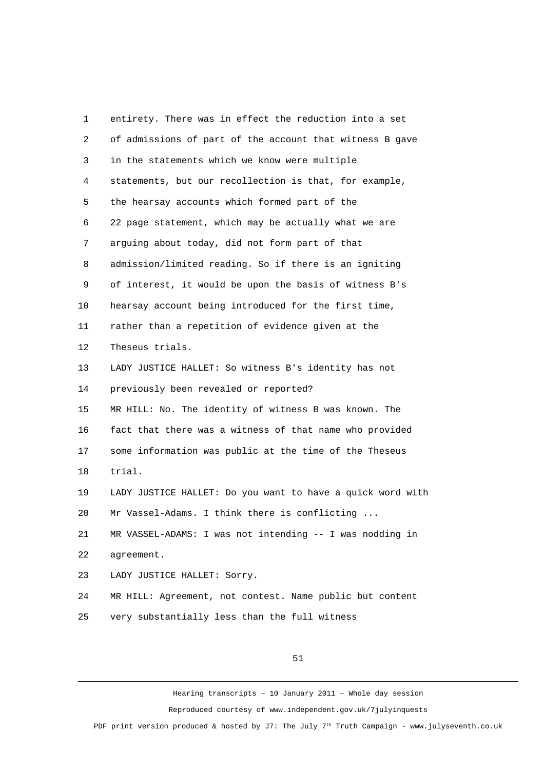1 entirety. There was in effect the reduction into a set 2 of admissions of part of the account that witness B gave 3 in the statements which we know were multiple 4 statements, but our recollection is that, for example, 5 the hearsay accounts which formed part of the 6 22 page statement, which may be actually what we are 7 arguing about today, did not form part of that 8 admission/limited reading. So if there is an igniting 9 of interest, it would be upon the basis of witness B's 10 hearsay account being introduced for the first time, 11 rather than a repetition of evidence given at the 12 Theseus trials. 13 LADY JUSTICE HALLET: So witness B's identity has not 14 previously been revealed or reported? 15 MR HILL: No. The identity of witness B was known. The 16 fact that there was a witness of that name who provided 17 some information was public at the time of the Theseus 18 trial. 19 LADY JUSTICE HALLET: Do you want to have a quick word with 20 Mr Vassel-Adams. I think there is conflicting ... 21 MR VASSEL-ADAMS: I was not intending -- I was nodding in 22 agreement. 23 LADY JUSTICE HALLET: Sorry. 24 MR HILL: Agreement, not contest. Name public but content 25 very substantially less than the full witness

51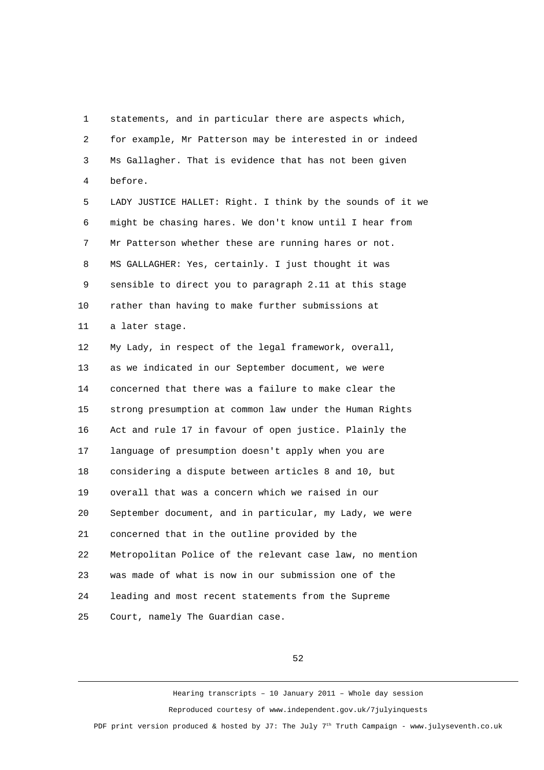1 statements, and in particular there are aspects which, 2 for example, Mr Patterson may be interested in or indeed 3 Ms Gallagher. That is evidence that has not been given 4 before.

 5 LADY JUSTICE HALLET: Right. I think by the sounds of it we 6 might be chasing hares. We don't know until I hear from 7 Mr Patterson whether these are running hares or not. 8 MS GALLAGHER: Yes, certainly. I just thought it was 9 sensible to direct you to paragraph 2.11 at this stage 10 rather than having to make further submissions at 11 a later stage.

12 My Lady, in respect of the legal framework, overall, 13 as we indicated in our September document, we were 14 concerned that there was a failure to make clear the 15 strong presumption at common law under the Human Rights 16 Act and rule 17 in favour of open justice. Plainly the 17 language of presumption doesn't apply when you are 18 considering a dispute between articles 8 and 10, but 19 overall that was a concern which we raised in our 20 September document, and in particular, my Lady, we were 21 concerned that in the outline provided by the 22 Metropolitan Police of the relevant case law, no mention 23 was made of what is now in our submission one of the 24 leading and most recent statements from the Supreme 25 Court, namely The Guardian case.

52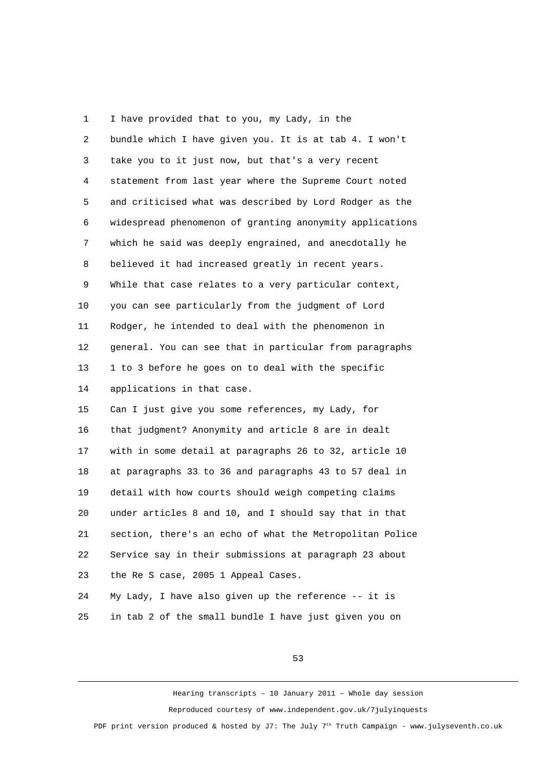1 I have provided that to you, my Lady, in the 2 bundle which I have given you. It is at tab 4. I won't 3 take you to it just now, but that's a very recent 4 statement from last year where the Supreme Court noted 5 and criticised what was described by Lord Rodger as the 6 widespread phenomenon of granting anonymity applications 7 which he said was deeply engrained, and anecdotally he 8 believed it had increased greatly in recent years. 9 While that case relates to a very particular context, 10 you can see particularly from the judgment of Lord 11 Rodger, he intended to deal with the phenomenon in 12 general. You can see that in particular from paragraphs 13 1 to 3 before he goes on to deal with the specific 14 applications in that case. 15 Can I just give you some references, my Lady, for 16 that judgment? Anonymity and article 8 are in dealt 17 with in some detail at paragraphs 26 to 32, article 10 18 at paragraphs 33 to 36 and paragraphs 43 to 57 deal in 19 detail with how courts should weigh competing claims 20 under articles 8 and 10, and I should say that in that 21 section, there's an echo of what the Metropolitan Police 22 Service say in their submissions at paragraph 23 about 23 the Re S case, 2005 1 Appeal Cases. 24 My Lady, I have also given up the reference -- it is

25 in tab 2 of the small bundle I have just given you on

53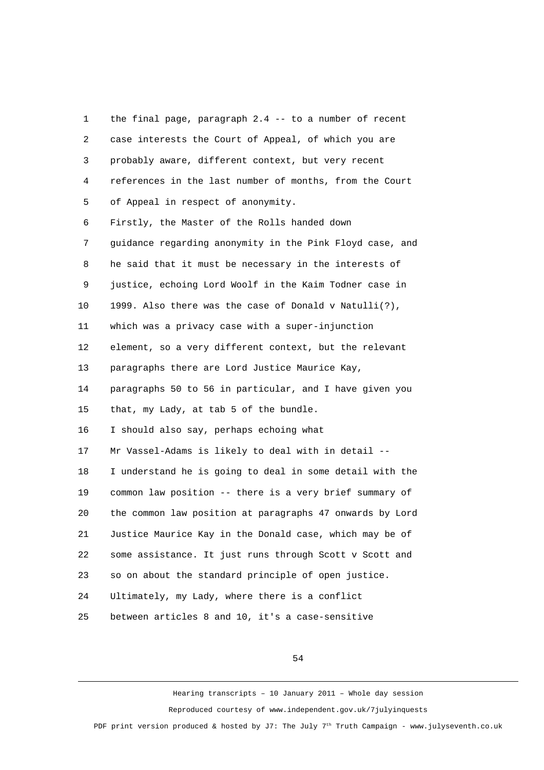1 the final page, paragraph 2.4 -- to a number of recent 2 case interests the Court of Appeal, of which you are 3 probably aware, different context, but very recent 4 references in the last number of months, from the Court 5 of Appeal in respect of anonymity. 6 Firstly, the Master of the Rolls handed down 7 guidance regarding anonymity in the Pink Floyd case, and 8 he said that it must be necessary in the interests of 9 justice, echoing Lord Woolf in the Kaim Todner case in 10 1999. Also there was the case of Donald v Natulli(?), 11 which was a privacy case with a super-injunction 12 element, so a very different context, but the relevant 13 paragraphs there are Lord Justice Maurice Kay, 14 paragraphs 50 to 56 in particular, and I have given you 15 that, my Lady, at tab 5 of the bundle. 16 I should also say, perhaps echoing what 17 Mr Vassel-Adams is likely to deal with in detail -- 18 I understand he is going to deal in some detail with the 19 common law position -- there is a very brief summary of 20 the common law position at paragraphs 47 onwards by Lord 21 Justice Maurice Kay in the Donald case, which may be of 22 some assistance. It just runs through Scott v Scott and 23 so on about the standard principle of open justice. 24 Ultimately, my Lady, where there is a conflict 25 between articles 8 and 10, it's a case-sensitive

54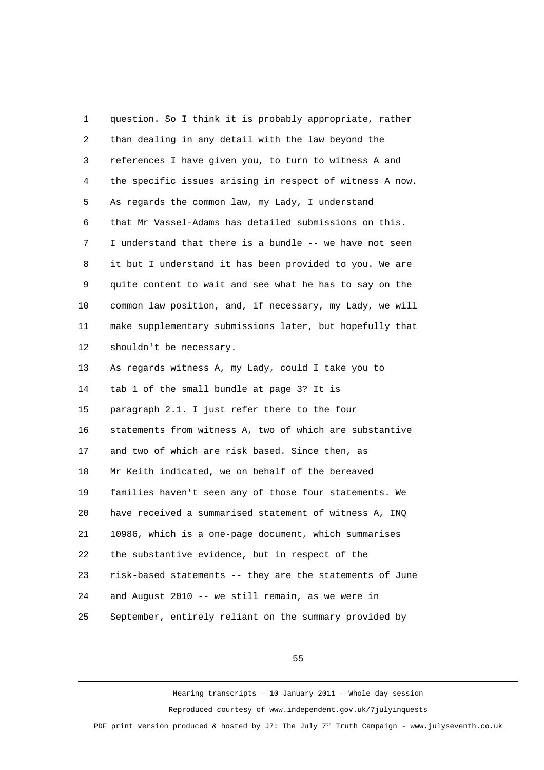1 question. So I think it is probably appropriate, rather 2 than dealing in any detail with the law beyond the 3 references I have given you, to turn to witness A and 4 the specific issues arising in respect of witness A now. 5 As regards the common law, my Lady, I understand 6 that Mr Vassel-Adams has detailed submissions on this. 7 I understand that there is a bundle -- we have not seen 8 it but I understand it has been provided to you. We are 9 quite content to wait and see what he has to say on the 10 common law position, and, if necessary, my Lady, we will 11 make supplementary submissions later, but hopefully that 12 shouldn't be necessary. 13 As regards witness A, my Lady, could I take you to 14 tab 1 of the small bundle at page 3? It is 15 paragraph 2.1. I just refer there to the four 16 statements from witness A, two of which are substantive 17 and two of which are risk based. Since then, as 18 Mr Keith indicated, we on behalf of the bereaved 19 families haven't seen any of those four statements. We 20 have received a summarised statement of witness A, INQ 21 10986, which is a one-page document, which summarises 22 the substantive evidence, but in respect of the 23 risk-based statements -- they are the statements of June 24 and August 2010 -- we still remain, as we were in 25 September, entirely reliant on the summary provided by

55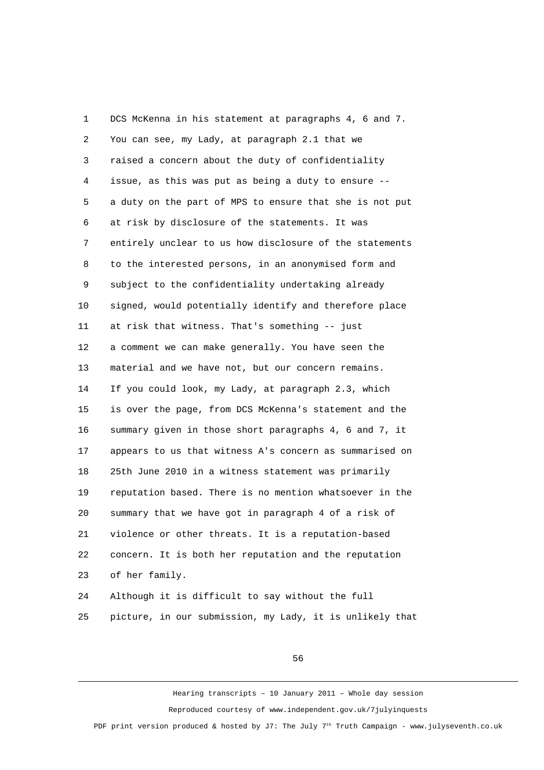1 DCS McKenna in his statement at paragraphs 4, 6 and 7. 2 You can see, my Lady, at paragraph 2.1 that we 3 raised a concern about the duty of confidentiality 4 issue, as this was put as being a duty to ensure -- 5 a duty on the part of MPS to ensure that she is not put 6 at risk by disclosure of the statements. It was 7 entirely unclear to us how disclosure of the statements 8 to the interested persons, in an anonymised form and 9 subject to the confidentiality undertaking already 10 signed, would potentially identify and therefore place 11 at risk that witness. That's something -- just 12 a comment we can make generally. You have seen the 13 material and we have not, but our concern remains. 14 If you could look, my Lady, at paragraph 2.3, which 15 is over the page, from DCS McKenna's statement and the 16 summary given in those short paragraphs 4, 6 and 7, it 17 appears to us that witness A's concern as summarised on 18 25th June 2010 in a witness statement was primarily 19 reputation based. There is no mention whatsoever in the 20 summary that we have got in paragraph 4 of a risk of 21 violence or other threats. It is a reputation-based 22 concern. It is both her reputation and the reputation 23 of her family. 24 Although it is difficult to say without the full

25 picture, in our submission, my Lady, it is unlikely that

56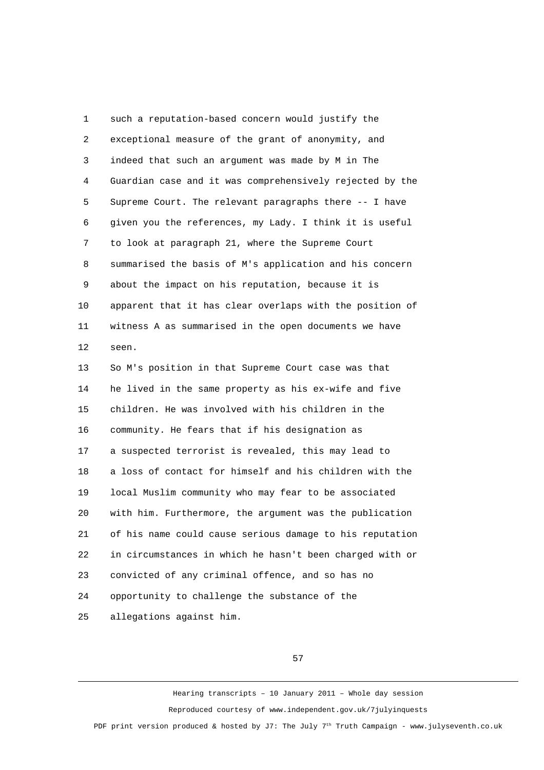1 such a reputation-based concern would justify the 2 exceptional measure of the grant of anonymity, and 3 indeed that such an argument was made by M in The 4 Guardian case and it was comprehensively rejected by the 5 Supreme Court. The relevant paragraphs there -- I have 6 given you the references, my Lady. I think it is useful 7 to look at paragraph 21, where the Supreme Court 8 summarised the basis of M's application and his concern 9 about the impact on his reputation, because it is 10 apparent that it has clear overlaps with the position of 11 witness A as summarised in the open documents we have 12 seen. 13 So M's position in that Supreme Court case was that 14 he lived in the same property as his ex-wife and five 15 children. He was involved with his children in the 16 community. He fears that if his designation as 17 a suspected terrorist is revealed, this may lead to 18 a loss of contact for himself and his children with the 19 local Muslim community who may fear to be associated 20 with him. Furthermore, the argument was the publication 21 of his name could cause serious damage to his reputation 22 in circumstances in which he hasn't been charged with or 23 convicted of any criminal offence, and so has no 24 opportunity to challenge the substance of the 25 allegations against him.

57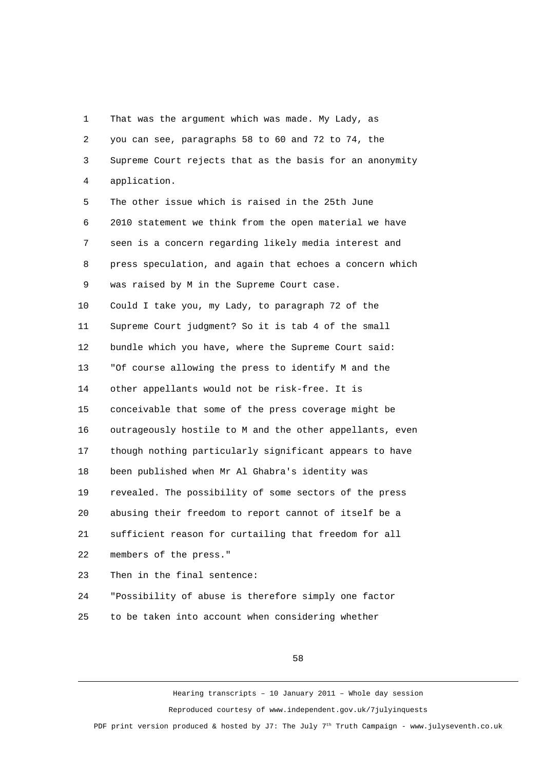1 That was the argument which was made. My Lady, as 2 you can see, paragraphs 58 to 60 and 72 to 74, the 3 Supreme Court rejects that as the basis for an anonymity 4 application.

 5 The other issue which is raised in the 25th June 6 2010 statement we think from the open material we have 7 seen is a concern regarding likely media interest and 8 press speculation, and again that echoes a concern which 9 was raised by M in the Supreme Court case. 10 Could I take you, my Lady, to paragraph 72 of the 11 Supreme Court judgment? So it is tab 4 of the small 12 bundle which you have, where the Supreme Court said: 13 "Of course allowing the press to identify M and the 14 other appellants would not be risk-free. It is 15 conceivable that some of the press coverage might be 16 outrageously hostile to M and the other appellants, even 17 though nothing particularly significant appears to have 18 been published when Mr Al Ghabra's identity was 19 revealed. The possibility of some sectors of the press 20 abusing their freedom to report cannot of itself be a 21 sufficient reason for curtailing that freedom for all 22 members of the press." 23 Then in the final sentence:

24 "Possibility of abuse is therefore simply one factor 25 to be taken into account when considering whether

58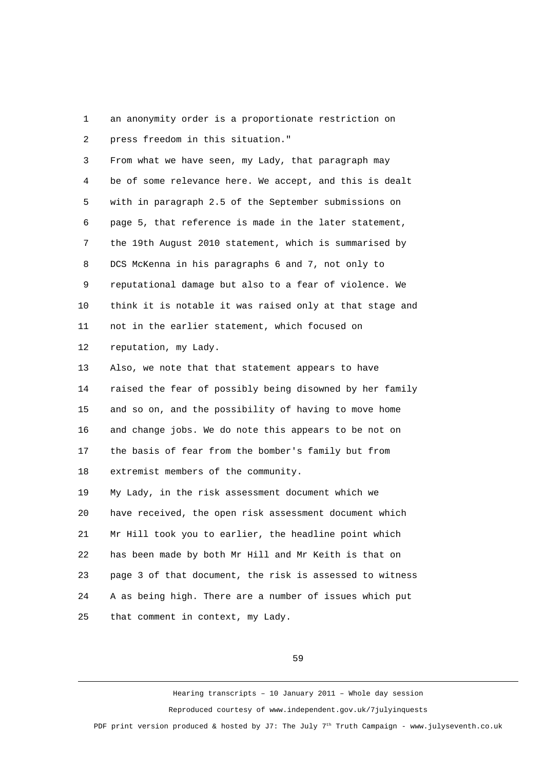1 an anonymity order is a proportionate restriction on 2 press freedom in this situation."

 3 From what we have seen, my Lady, that paragraph may 4 be of some relevance here. We accept, and this is dealt 5 with in paragraph 2.5 of the September submissions on 6 page 5, that reference is made in the later statement, 7 the 19th August 2010 statement, which is summarised by 8 DCS McKenna in his paragraphs 6 and 7, not only to 9 reputational damage but also to a fear of violence. We 10 think it is notable it was raised only at that stage and 11 not in the earlier statement, which focused on 12 reputation, my Lady.

13 Also, we note that that statement appears to have 14 raised the fear of possibly being disowned by her family 15 and so on, and the possibility of having to move home 16 and change jobs. We do note this appears to be not on 17 the basis of fear from the bomber's family but from 18 extremist members of the community.

19 My Lady, in the risk assessment document which we 20 have received, the open risk assessment document which 21 Mr Hill took you to earlier, the headline point which 22 has been made by both Mr Hill and Mr Keith is that on 23 page 3 of that document, the risk is assessed to witness 24 A as being high. There are a number of issues which put 25 that comment in context, my Lady.

59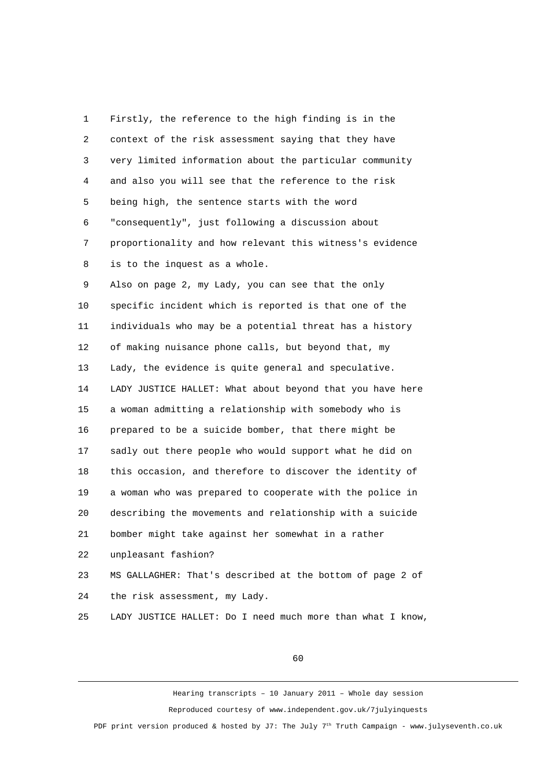1 Firstly, the reference to the high finding is in the 2 context of the risk assessment saying that they have 3 very limited information about the particular community 4 and also you will see that the reference to the risk 5 being high, the sentence starts with the word 6 "consequently", just following a discussion about 7 proportionality and how relevant this witness's evidence 8 is to the inquest as a whole.

 9 Also on page 2, my Lady, you can see that the only 10 specific incident which is reported is that one of the 11 individuals who may be a potential threat has a history 12 of making nuisance phone calls, but beyond that, my 13 Lady, the evidence is quite general and speculative. 14 LADY JUSTICE HALLET: What about beyond that you have here 15 a woman admitting a relationship with somebody who is 16 prepared to be a suicide bomber, that there might be 17 sadly out there people who would support what he did on 18 this occasion, and therefore to discover the identity of 19 a woman who was prepared to cooperate with the police in 20 describing the movements and relationship with a suicide 21 bomber might take against her somewhat in a rather 22 unpleasant fashion? 23 MS GALLAGHER: That's described at the bottom of page 2 of

24 the risk assessment, my Lady.

25 LADY JUSTICE HALLET: Do I need much more than what I know,

60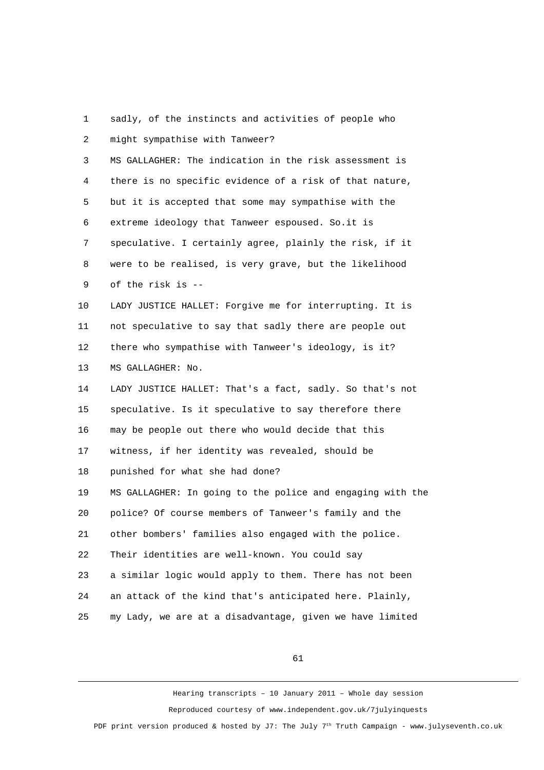1 sadly, of the instincts and activities of people who 2 might sympathise with Tanweer? 3 MS GALLAGHER: The indication in the risk assessment is 4 there is no specific evidence of a risk of that nature, 5 but it is accepted that some may sympathise with the 6 extreme ideology that Tanweer espoused. So.it is 7 speculative. I certainly agree, plainly the risk, if it 8 were to be realised, is very grave, but the likelihood 9 of the risk is -- 10 LADY JUSTICE HALLET: Forgive me for interrupting. It is 11 not speculative to say that sadly there are people out 12 there who sympathise with Tanweer's ideology, is it? 13 MS GALLAGHER: No. 14 LADY JUSTICE HALLET: That's a fact, sadly. So that's not 15 speculative. Is it speculative to say therefore there 16 may be people out there who would decide that this 17 witness, if her identity was revealed, should be 18 punished for what she had done? 19 MS GALLAGHER: In going to the police and engaging with the 20 police? Of course members of Tanweer's family and the 21 other bombers' families also engaged with the police. 22 Their identities are well-known. You could say 23 a similar logic would apply to them. There has not been 24 an attack of the kind that's anticipated here. Plainly, 25 my Lady, we are at a disadvantage, given we have limited

61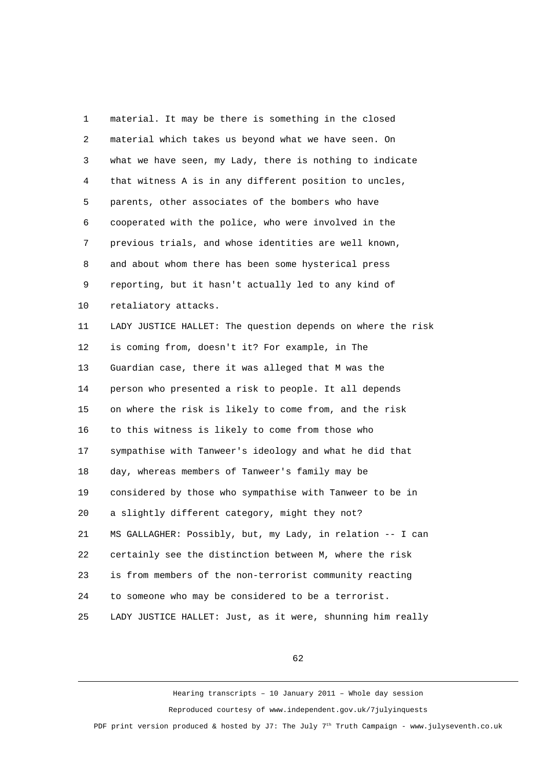1 material. It may be there is something in the closed 2 material which takes us beyond what we have seen. On 3 what we have seen, my Lady, there is nothing to indicate 4 that witness A is in any different position to uncles, 5 parents, other associates of the bombers who have 6 cooperated with the police, who were involved in the 7 previous trials, and whose identities are well known, 8 and about whom there has been some hysterical press 9 reporting, but it hasn't actually led to any kind of 10 retaliatory attacks. 11 LADY JUSTICE HALLET: The question depends on where the risk 12 is coming from, doesn't it? For example, in The 13 Guardian case, there it was alleged that M was the 14 person who presented a risk to people. It all depends 15 on where the risk is likely to come from, and the risk 16 to this witness is likely to come from those who 17 sympathise with Tanweer's ideology and what he did that 18 day, whereas members of Tanweer's family may be 19 considered by those who sympathise with Tanweer to be in 20 a slightly different category, might they not? 21 MS GALLAGHER: Possibly, but, my Lady, in relation -- I can 22 certainly see the distinction between M, where the risk 23 is from members of the non-terrorist community reacting 24 to someone who may be considered to be a terrorist. 25 LADY JUSTICE HALLET: Just, as it were, shunning him really

62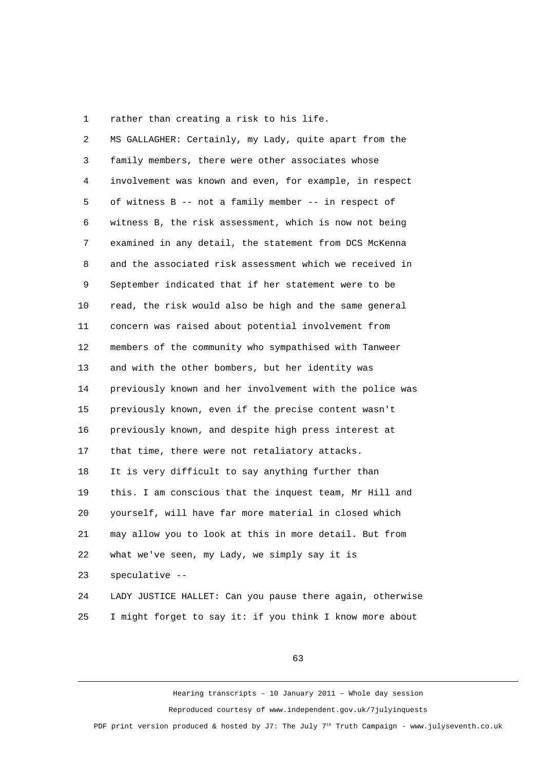1 rather than creating a risk to his life.

 2 MS GALLAGHER: Certainly, my Lady, quite apart from the 3 family members, there were other associates whose 4 involvement was known and even, for example, in respect 5 of witness B -- not a family member -- in respect of 6 witness B, the risk assessment, which is now not being 7 examined in any detail, the statement from DCS McKenna 8 and the associated risk assessment which we received in 9 September indicated that if her statement were to be 10 read, the risk would also be high and the same general 11 concern was raised about potential involvement from 12 members of the community who sympathised with Tanweer 13 and with the other bombers, but her identity was 14 previously known and her involvement with the police was 15 previously known, even if the precise content wasn't 16 previously known, and despite high press interest at 17 that time, there were not retaliatory attacks. 18 It is very difficult to say anything further than 19 this. I am conscious that the inquest team, Mr Hill and 20 yourself, will have far more material in closed which 21 may allow you to look at this in more detail. But from 22 what we've seen, my Lady, we simply say it is 23 speculative -- 24 LADY JUSTICE HALLET: Can you pause there again, otherwise

25 I might forget to say it: if you think I know more about

63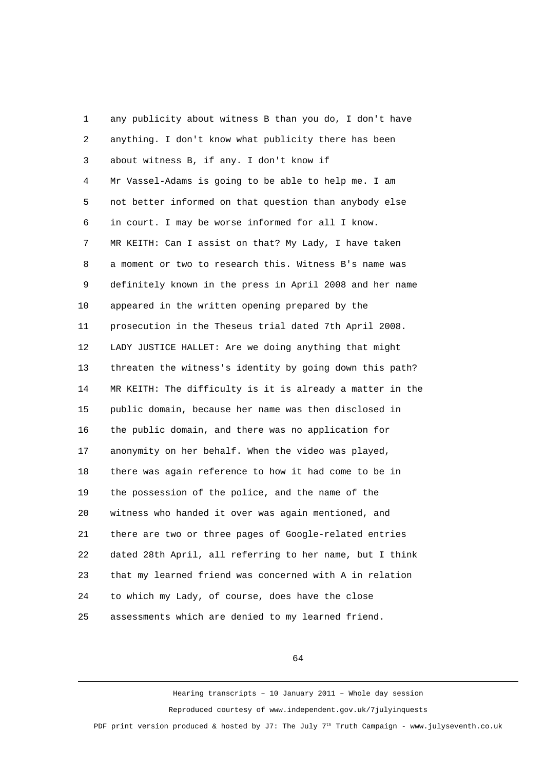1 any publicity about witness B than you do, I don't have 2 anything. I don't know what publicity there has been 3 about witness B, if any. I don't know if 4 Mr Vassel-Adams is going to be able to help me. I am 5 not better informed on that question than anybody else 6 in court. I may be worse informed for all I know. 7 MR KEITH: Can I assist on that? My Lady, I have taken 8 a moment or two to research this. Witness B's name was 9 definitely known in the press in April 2008 and her name 10 appeared in the written opening prepared by the 11 prosecution in the Theseus trial dated 7th April 2008. 12 LADY JUSTICE HALLET: Are we doing anything that might 13 threaten the witness's identity by going down this path? 14 MR KEITH: The difficulty is it is already a matter in the 15 public domain, because her name was then disclosed in 16 the public domain, and there was no application for 17 anonymity on her behalf. When the video was played, 18 there was again reference to how it had come to be in 19 the possession of the police, and the name of the 20 witness who handed it over was again mentioned, and 21 there are two or three pages of Google-related entries 22 dated 28th April, all referring to her name, but I think 23 that my learned friend was concerned with A in relation 24 to which my Lady, of course, does have the close 25 assessments which are denied to my learned friend.

64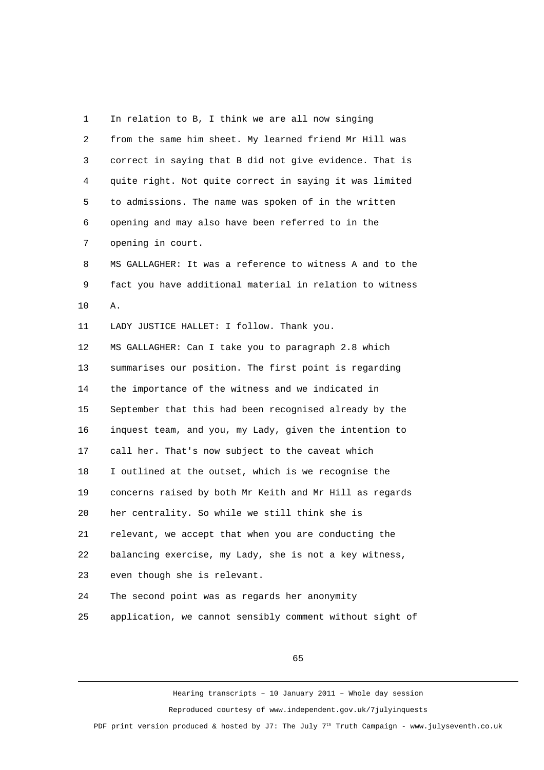1 In relation to B, I think we are all now singing 2 from the same him sheet. My learned friend Mr Hill was 3 correct in saying that B did not give evidence. That is 4 quite right. Not quite correct in saying it was limited 5 to admissions. The name was spoken of in the written 6 opening and may also have been referred to in the 7 opening in court. 8 MS GALLAGHER: It was a reference to witness A and to the 9 fact you have additional material in relation to witness 10 A. 11 LADY JUSTICE HALLET: I follow. Thank you. 12 MS GALLAGHER: Can I take you to paragraph 2.8 which 13 summarises our position. The first point is regarding 14 the importance of the witness and we indicated in 15 September that this had been recognised already by the 16 inquest team, and you, my Lady, given the intention to 17 call her. That's now subject to the caveat which 18 I outlined at the outset, which is we recognise the 19 concerns raised by both Mr Keith and Mr Hill as regards 20 her centrality. So while we still think she is 21 relevant, we accept that when you are conducting the 22 balancing exercise, my Lady, she is not a key witness, 23 even though she is relevant. 24 The second point was as regards her anonymity 25 application, we cannot sensibly comment without sight of

65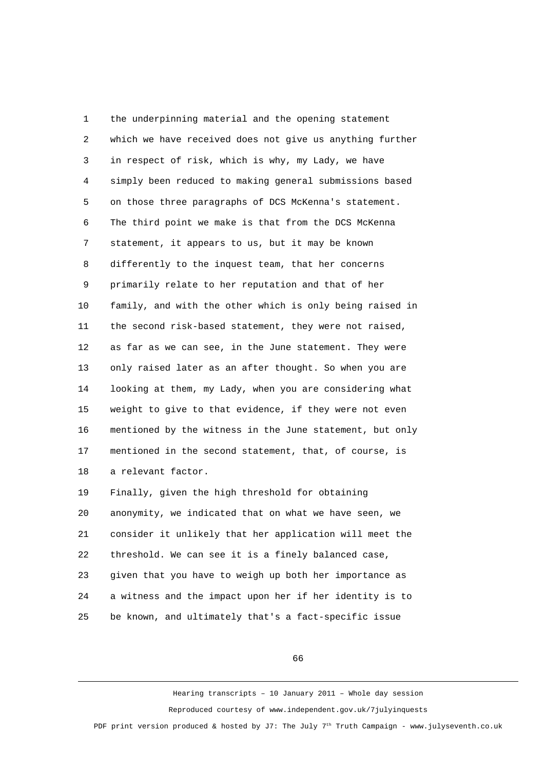1 the underpinning material and the opening statement 2 which we have received does not give us anything further 3 in respect of risk, which is why, my Lady, we have 4 simply been reduced to making general submissions based 5 on those three paragraphs of DCS McKenna's statement. 6 The third point we make is that from the DCS McKenna 7 statement, it appears to us, but it may be known 8 differently to the inquest team, that her concerns 9 primarily relate to her reputation and that of her 10 family, and with the other which is only being raised in 11 the second risk-based statement, they were not raised, 12 as far as we can see, in the June statement. They were 13 only raised later as an after thought. So when you are 14 looking at them, my Lady, when you are considering what 15 weight to give to that evidence, if they were not even 16 mentioned by the witness in the June statement, but only 17 mentioned in the second statement, that, of course, is 18 a relevant factor. 19 Finally, given the high threshold for obtaining 20 anonymity, we indicated that on what we have seen, we 21 consider it unlikely that her application will meet the 22 threshold. We can see it is a finely balanced case,

23 given that you have to weigh up both her importance as 24 a witness and the impact upon her if her identity is to 25 be known, and ultimately that's a fact-specific issue

66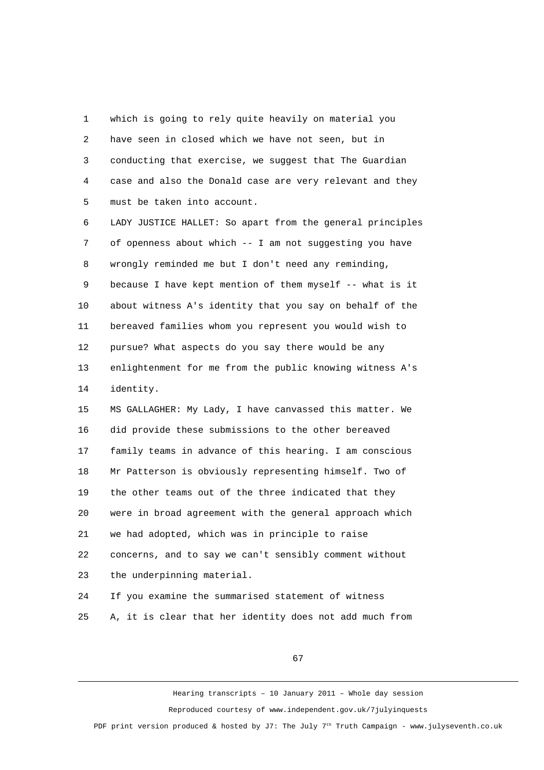1 which is going to rely quite heavily on material you 2 have seen in closed which we have not seen, but in 3 conducting that exercise, we suggest that The Guardian 4 case and also the Donald case are very relevant and they 5 must be taken into account.

 6 LADY JUSTICE HALLET: So apart from the general principles 7 of openness about which -- I am not suggesting you have 8 wrongly reminded me but I don't need any reminding, 9 because I have kept mention of them myself -- what is it 10 about witness A's identity that you say on behalf of the 11 bereaved families whom you represent you would wish to 12 pursue? What aspects do you say there would be any 13 enlightenment for me from the public knowing witness A's 14 identity.

15 MS GALLAGHER: My Lady, I have canvassed this matter. We 16 did provide these submissions to the other bereaved 17 family teams in advance of this hearing. I am conscious 18 Mr Patterson is obviously representing himself. Two of 19 the other teams out of the three indicated that they 20 were in broad agreement with the general approach which 21 we had adopted, which was in principle to raise 22 concerns, and to say we can't sensibly comment without 23 the underpinning material.

24 If you examine the summarised statement of witness 25 A, it is clear that her identity does not add much from

67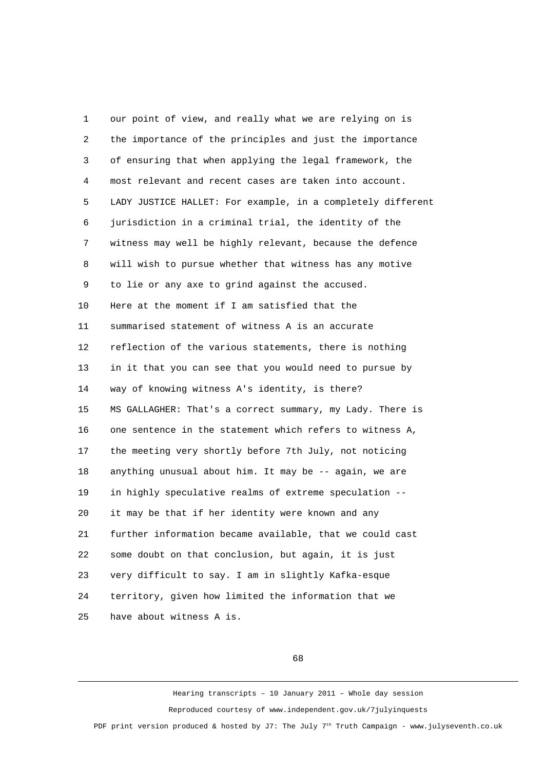1 our point of view, and really what we are relying on is 2 the importance of the principles and just the importance 3 of ensuring that when applying the legal framework, the 4 most relevant and recent cases are taken into account. 5 LADY JUSTICE HALLET: For example, in a completely different 6 jurisdiction in a criminal trial, the identity of the 7 witness may well be highly relevant, because the defence 8 will wish to pursue whether that witness has any motive 9 to lie or any axe to grind against the accused. 10 Here at the moment if I am satisfied that the 11 summarised statement of witness A is an accurate 12 reflection of the various statements, there is nothing 13 in it that you can see that you would need to pursue by 14 way of knowing witness A's identity, is there? 15 MS GALLAGHER: That's a correct summary, my Lady. There is 16 one sentence in the statement which refers to witness A, 17 the meeting very shortly before 7th July, not noticing 18 anything unusual about him. It may be -- again, we are 19 in highly speculative realms of extreme speculation -- 20 it may be that if her identity were known and any 21 further information became available, that we could cast 22 some doubt on that conclusion, but again, it is just 23 very difficult to say. I am in slightly Kafka-esque 24 territory, given how limited the information that we 25 have about witness A is.

68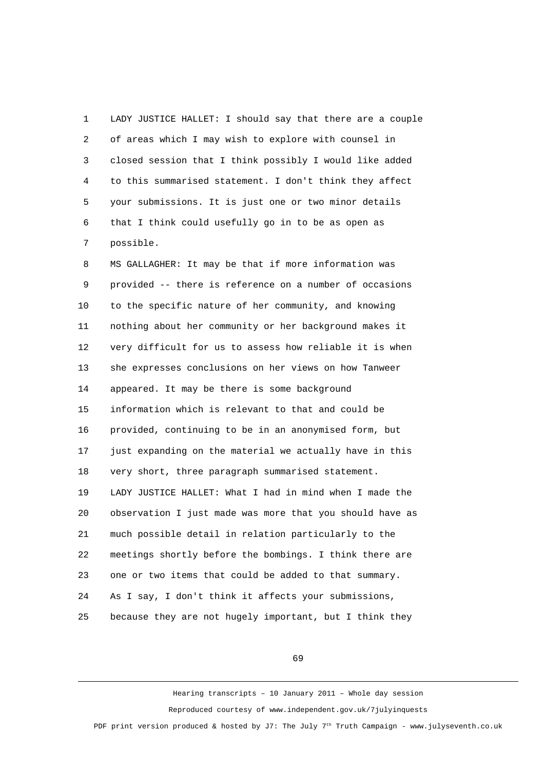1 LADY JUSTICE HALLET: I should say that there are a couple 2 of areas which I may wish to explore with counsel in 3 closed session that I think possibly I would like added 4 to this summarised statement. I don't think they affect 5 your submissions. It is just one or two minor details 6 that I think could usefully go in to be as open as 7 possible.

 8 MS GALLAGHER: It may be that if more information was 9 provided -- there is reference on a number of occasions 10 to the specific nature of her community, and knowing 11 nothing about her community or her background makes it 12 very difficult for us to assess how reliable it is when 13 she expresses conclusions on her views on how Tanweer 14 appeared. It may be there is some background 15 information which is relevant to that and could be 16 provided, continuing to be in an anonymised form, but 17 just expanding on the material we actually have in this 18 very short, three paragraph summarised statement. 19 LADY JUSTICE HALLET: What I had in mind when I made the 20 observation I just made was more that you should have as 21 much possible detail in relation particularly to the 22 meetings shortly before the bombings. I think there are 23 one or two items that could be added to that summary. 24 As I say, I don't think it affects your submissions, 25 because they are not hugely important, but I think they

69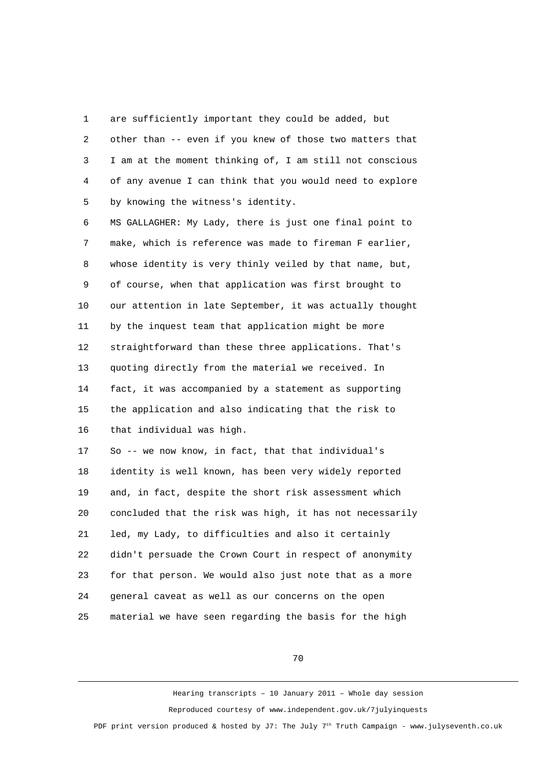1 are sufficiently important they could be added, but 2 other than -- even if you knew of those two matters that 3 I am at the moment thinking of, I am still not conscious 4 of any avenue I can think that you would need to explore 5 by knowing the witness's identity.

 6 MS GALLAGHER: My Lady, there is just one final point to 7 make, which is reference was made to fireman F earlier, 8 whose identity is very thinly veiled by that name, but, 9 of course, when that application was first brought to 10 our attention in late September, it was actually thought 11 by the inquest team that application might be more 12 straightforward than these three applications. That's 13 quoting directly from the material we received. In 14 fact, it was accompanied by a statement as supporting 15 the application and also indicating that the risk to 16 that individual was high.

17 So -- we now know, in fact, that that individual's 18 identity is well known, has been very widely reported 19 and, in fact, despite the short risk assessment which 20 concluded that the risk was high, it has not necessarily 21 led, my Lady, to difficulties and also it certainly 22 didn't persuade the Crown Court in respect of anonymity 23 for that person. We would also just note that as a more 24 general caveat as well as our concerns on the open 25 material we have seen regarding the basis for the high

70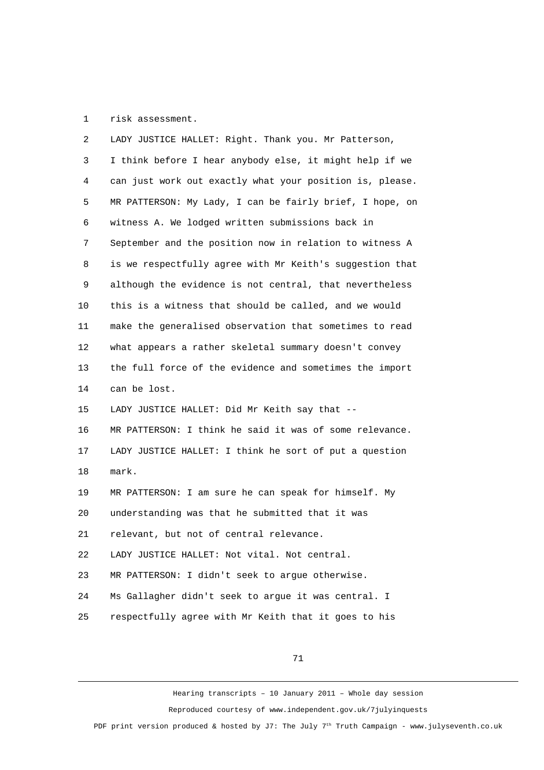1 risk assessment.

| 2  | LADY JUSTICE HALLET: Right. Thank you. Mr Patterson,     |
|----|----------------------------------------------------------|
| 3  | I think before I hear anybody else, it might help if we  |
| 4  | can just work out exactly what your position is, please. |
| 5  | MR PATTERSON: My Lady, I can be fairly brief, I hope, on |
| 6  | witness A. We lodged written submissions back in         |
| 7  | September and the position now in relation to witness A  |
| 8  | is we respectfully agree with Mr Keith's suggestion that |
| 9  | although the evidence is not central, that nevertheless  |
| 10 | this is a witness that should be called, and we would    |
| 11 | make the generalised observation that sometimes to read  |
| 12 | what appears a rather skeletal summary doesn't convey    |
| 13 | the full force of the evidence and sometimes the import  |
| 14 | can be lost.                                             |
| 15 | LADY JUSTICE HALLET: Did Mr Keith say that --            |
| 16 | MR PATTERSON: I think he said it was of some relevance.  |
| 17 | LADY JUSTICE HALLET: I think he sort of put a question   |
| 18 | mark.                                                    |
| 19 | MR PATTERSON: I am sure he can speak for himself. My     |
| 20 | understanding was that he submitted that it was          |
| 21 | relevant, but not of central relevance.                  |
| 22 | LADY JUSTICE HALLET: Not vital. Not central.             |
| 23 | MR PATTERSON: I didn't seek to argue otherwise.          |
| 24 | Ms Gallagher didn't seek to argue it was central. I      |
| 25 | respectfully agree with Mr Keith that it goes to his     |

71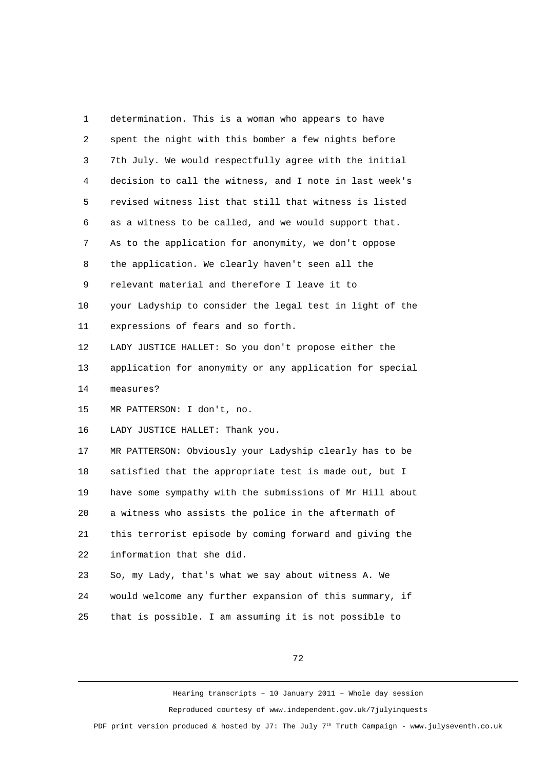1 determination. This is a woman who appears to have 2 spent the night with this bomber a few nights before 3 7th July. We would respectfully agree with the initial 4 decision to call the witness, and I note in last week's 5 revised witness list that still that witness is listed 6 as a witness to be called, and we would support that. 7 As to the application for anonymity, we don't oppose 8 the application. We clearly haven't seen all the 9 relevant material and therefore I leave it to 10 your Ladyship to consider the legal test in light of the 11 expressions of fears and so forth. 12 LADY JUSTICE HALLET: So you don't propose either the 13 application for anonymity or any application for special 14 measures? 15 MR PATTERSON: I don't, no. 16 LADY JUSTICE HALLET: Thank you. 17 MR PATTERSON: Obviously your Ladyship clearly has to be 18 satisfied that the appropriate test is made out, but I 19 have some sympathy with the submissions of Mr Hill about 20 a witness who assists the police in the aftermath of 21 this terrorist episode by coming forward and giving the 22 information that she did. 23 So, my Lady, that's what we say about witness A. We 24 would welcome any further expansion of this summary, if 25 that is possible. I am assuming it is not possible to

72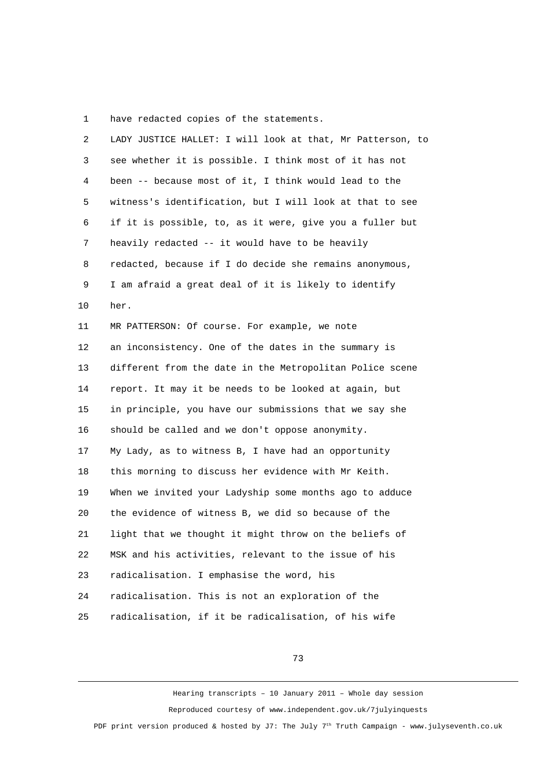1 have redacted copies of the statements.

| $\overline{2}$ | LADY JUSTICE HALLET: I will look at that, Mr Patterson, to |
|----------------|------------------------------------------------------------|
| 3              | see whether it is possible. I think most of it has not     |
| 4              | been -- because most of it, I think would lead to the      |
| 5              | witness's identification, but I will look at that to see   |
| 6              | if it is possible, to, as it were, give you a fuller but   |
| $\overline{7}$ | heavily redacted -- it would have to be heavily            |
| 8              | redacted, because if I do decide she remains anonymous,    |
| 9              | I am afraid a great deal of it is likely to identify       |
| 10             | her.                                                       |
| 11             | MR PATTERSON: Of course. For example, we note              |
| 12             | an inconsistency. One of the dates in the summary is       |
| 13             | different from the date in the Metropolitan Police scene   |
| 14             | report. It may it be needs to be looked at again, but      |
| 15             | in principle, you have our submissions that we say she     |
| 16             | should be called and we don't oppose anonymity.            |
| 17             | My Lady, as to witness B, I have had an opportunity        |
| 18             | this morning to discuss her evidence with Mr Keith.        |
| 19             | When we invited your Ladyship some months ago to adduce    |
| 20             | the evidence of witness B, we did so because of the        |
| 21             | light that we thought it might throw on the beliefs of     |
| 22             | MSK and his activities, relevant to the issue of his       |
| 23             | radicalisation. I emphasise the word, his                  |
| 24             | radicalisation. This is not an exploration of the          |
| 25             | radicalisation, if it be radicalisation, of his wife       |

73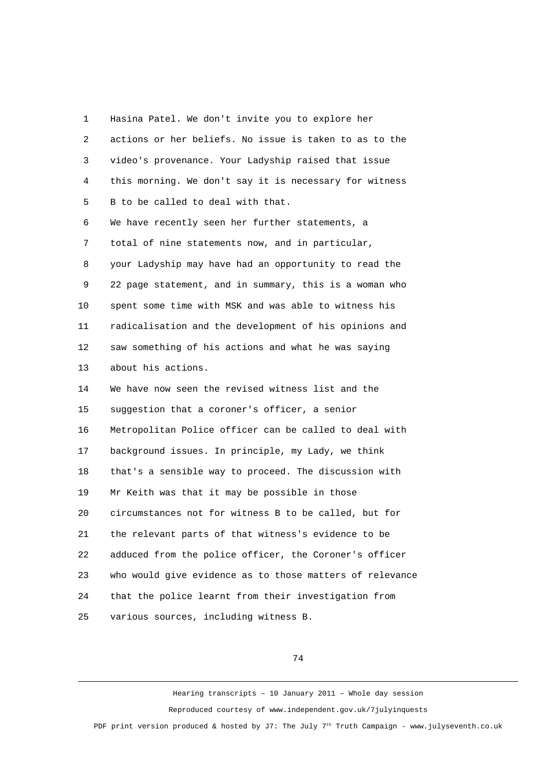1 Hasina Patel. We don't invite you to explore her 2 actions or her beliefs. No issue is taken to as to the 3 video's provenance. Your Ladyship raised that issue 4 this morning. We don't say it is necessary for witness 5 B to be called to deal with that. 6 We have recently seen her further statements, a 7 total of nine statements now, and in particular, 8 your Ladyship may have had an opportunity to read the 9 22 page statement, and in summary, this is a woman who 10 spent some time with MSK and was able to witness his 11 radicalisation and the development of his opinions and 12 saw something of his actions and what he was saying 13 about his actions. 14 We have now seen the revised witness list and the 15 suggestion that a coroner's officer, a senior 16 Metropolitan Police officer can be called to deal with 17 background issues. In principle, my Lady, we think 18 that's a sensible way to proceed. The discussion with 19 Mr Keith was that it may be possible in those 20 circumstances not for witness B to be called, but for 21 the relevant parts of that witness's evidence to be 22 adduced from the police officer, the Coroner's officer 23 who would give evidence as to those matters of relevance 24 that the police learnt from their investigation from 25 various sources, including witness B.

74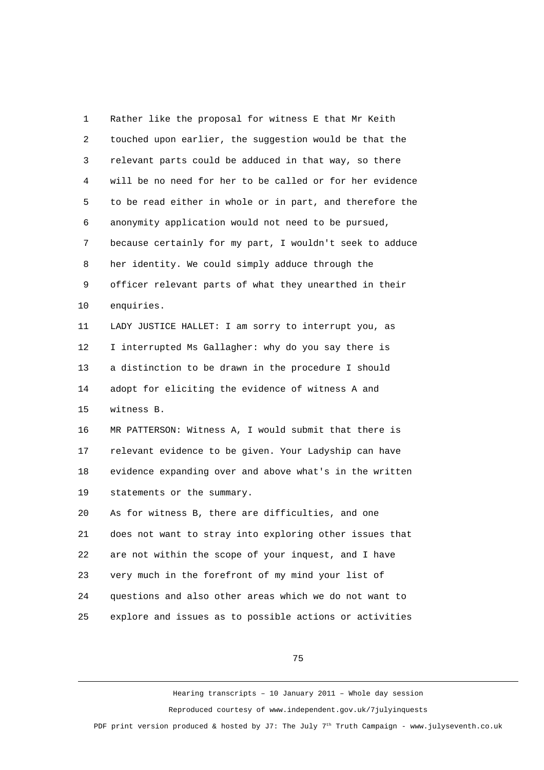1 Rather like the proposal for witness E that Mr Keith 2 touched upon earlier, the suggestion would be that the 3 relevant parts could be adduced in that way, so there 4 will be no need for her to be called or for her evidence 5 to be read either in whole or in part, and therefore the 6 anonymity application would not need to be pursued, 7 because certainly for my part, I wouldn't seek to adduce 8 her identity. We could simply adduce through the 9 officer relevant parts of what they unearthed in their 10 enquiries. 11 LADY JUSTICE HALLET: I am sorry to interrupt you, as 12 I interrupted Ms Gallagher: why do you say there is 13 a distinction to be drawn in the procedure I should 14 adopt for eliciting the evidence of witness A and 15 witness B. 16 MR PATTERSON: Witness A, I would submit that there is 17 relevant evidence to be given. Your Ladyship can have 18 evidence expanding over and above what's in the written 19 statements or the summary. 20 As for witness B, there are difficulties, and one 21 does not want to stray into exploring other issues that 22 are not within the scope of your inquest, and I have 23 very much in the forefront of my mind your list of 24 questions and also other areas which we do not want to 25 explore and issues as to possible actions or activities

75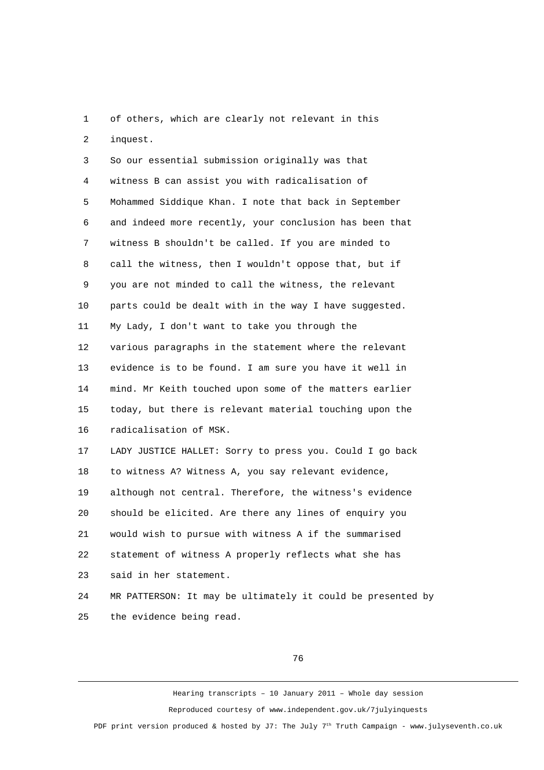1 of others, which are clearly not relevant in this 2 inquest.

 3 So our essential submission originally was that 4 witness B can assist you with radicalisation of 5 Mohammed Siddique Khan. I note that back in September 6 and indeed more recently, your conclusion has been that 7 witness B shouldn't be called. If you are minded to 8 call the witness, then I wouldn't oppose that, but if 9 you are not minded to call the witness, the relevant 10 parts could be dealt with in the way I have suggested. 11 My Lady, I don't want to take you through the 12 various paragraphs in the statement where the relevant 13 evidence is to be found. I am sure you have it well in 14 mind. Mr Keith touched upon some of the matters earlier 15 today, but there is relevant material touching upon the 16 radicalisation of MSK. 17 LADY JUSTICE HALLET: Sorry to press you. Could I go back 18 to witness A? Witness A, you say relevant evidence, 19 although not central. Therefore, the witness's evidence 20 should be elicited. Are there any lines of enquiry you 21 would wish to pursue with witness A if the summarised

22 statement of witness A properly reflects what she has

23 said in her statement.

24 MR PATTERSON: It may be ultimately it could be presented by 25 the evidence being read.

76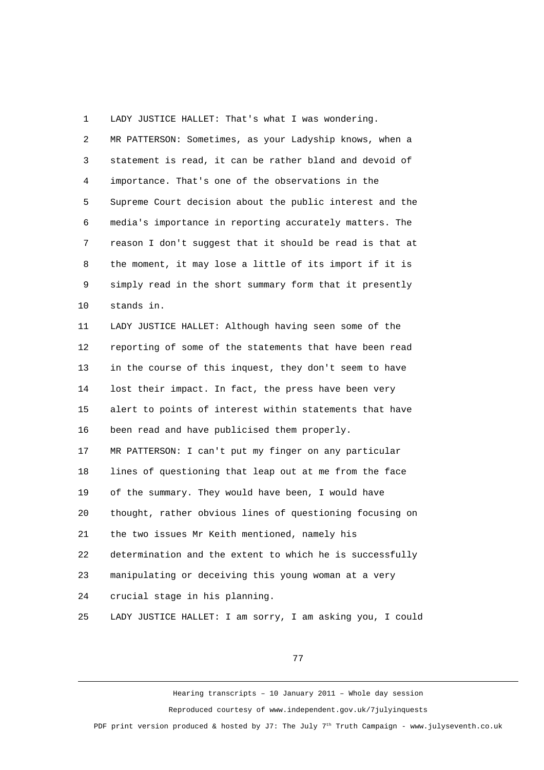1 LADY JUSTICE HALLET: That's what I was wondering.

| 2  | MR PATTERSON: Sometimes, as your Ladyship knows, when a   |
|----|-----------------------------------------------------------|
| 3  | statement is read, it can be rather bland and devoid of   |
| 4  | importance. That's one of the observations in the         |
| 5  | Supreme Court decision about the public interest and the  |
| 6  | media's importance in reporting accurately matters. The   |
| 7  | reason I don't suggest that it should be read is that at  |
| 8  | the moment, it may lose a little of its import if it is   |
| 9  | simply read in the short summary form that it presently   |
| 10 | stands in.                                                |
| 11 | LADY JUSTICE HALLET: Although having seen some of the     |
| 12 | reporting of some of the statements that have been read   |
| 13 | in the course of this inquest, they don't seem to have    |
| 14 | lost their impact. In fact, the press have been very      |
| 15 | alert to points of interest within statements that have   |
| 16 | been read and have publicised them properly.              |
| 17 | MR PATTERSON: I can't put my finger on any particular     |
| 18 | lines of questioning that leap out at me from the face    |
| 19 | of the summary. They would have been, I would have        |
| 20 | thought, rather obvious lines of questioning focusing on  |
| 21 | the two issues Mr Keith mentioned, namely his             |
| 22 | determination and the extent to which he is successfully  |
| 23 | manipulating or deceiving this young woman at a very      |
| 24 | crucial stage in his planning.                            |
| 25 | LADY JUSTICE HALLET: I am sorry, I am asking you, I could |

77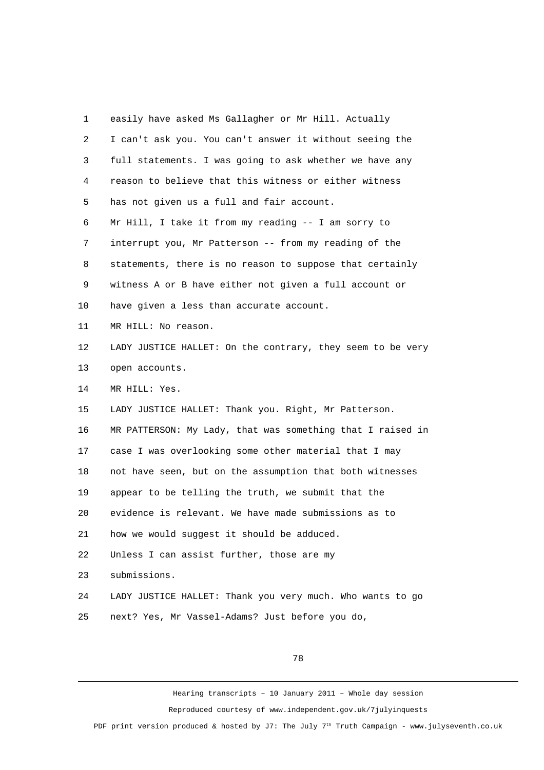1 easily have asked Ms Gallagher or Mr Hill. Actually 2 I can't ask you. You can't answer it without seeing the 3 full statements. I was going to ask whether we have any 4 reason to believe that this witness or either witness 5 has not given us a full and fair account. 6 Mr Hill, I take it from my reading -- I am sorry to 7 interrupt you, Mr Patterson -- from my reading of the 8 statements, there is no reason to suppose that certainly 9 witness A or B have either not given a full account or 10 have given a less than accurate account. 11 MR HILL: No reason. 12 LADY JUSTICE HALLET: On the contrary, they seem to be very 13 open accounts. 14 MR HILL: Yes. 15 LADY JUSTICE HALLET: Thank you. Right, Mr Patterson. 16 MR PATTERSON: My Lady, that was something that I raised in 17 case I was overlooking some other material that I may 18 not have seen, but on the assumption that both witnesses 19 appear to be telling the truth, we submit that the 20 evidence is relevant. We have made submissions as to 21 how we would suggest it should be adduced. 22 Unless I can assist further, those are my 23 submissions. 24 LADY JUSTICE HALLET: Thank you very much. Who wants to go 25 next? Yes, Mr Vassel-Adams? Just before you do,

78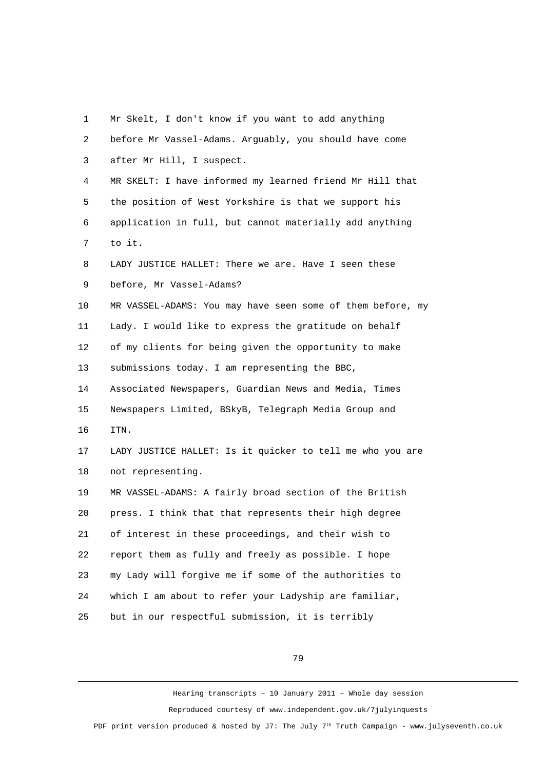| 1  | Mr Skelt, I don't know if you want to add anything         |
|----|------------------------------------------------------------|
| 2  | before Mr Vassel-Adams. Arguably, you should have come     |
| 3  | after Mr Hill, I suspect.                                  |
| 4  | MR SKELT: I have informed my learned friend Mr Hill that   |
| 5  | the position of West Yorkshire is that we support his      |
| 6  | application in full, but cannot materially add anything    |
| 7  | to it.                                                     |
| 8  | LADY JUSTICE HALLET: There we are. Have I seen these       |
| 9  | before, Mr Vassel-Adams?                                   |
| 10 | MR VASSEL-ADAMS: You may have seen some of them before, my |
| 11 | Lady. I would like to express the gratitude on behalf      |
| 12 | of my clients for being given the opportunity to make      |
| 13 | submissions today. I am representing the BBC,              |
| 14 | Associated Newspapers, Guardian News and Media, Times      |
| 15 | Newspapers Limited, BSkyB, Telegraph Media Group and       |
| 16 | ITN.                                                       |
| 17 | LADY JUSTICE HALLET: Is it quicker to tell me who you are  |
| 18 | not representing.                                          |
| 19 | MR VASSEL-ADAMS: A fairly broad section of the British     |
| 20 | press. I think that that represents their high degree      |
| 21 | of interest in these proceedings, and their wish to        |
| 22 | report them as fully and freely as possible. I hope        |
| 23 | my Lady will forgive me if some of the authorities to      |
| 24 | which I am about to refer your Ladyship are familiar,      |
| 25 | but in our respectful submission, it is terribly           |
|    |                                                            |

79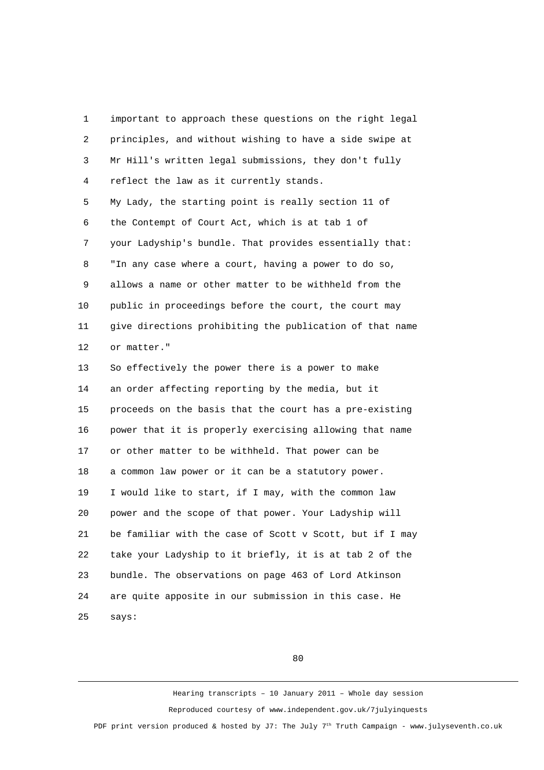1 important to approach these questions on the right legal 2 principles, and without wishing to have a side swipe at 3 Mr Hill's written legal submissions, they don't fully 4 reflect the law as it currently stands. 5 My Lady, the starting point is really section 11 of 6 the Contempt of Court Act, which is at tab 1 of 7 your Ladyship's bundle. That provides essentially that: 8 "In any case where a court, having a power to do so, 9 allows a name or other matter to be withheld from the 10 public in proceedings before the court, the court may 11 give directions prohibiting the publication of that name 12 or matter." 13 So effectively the power there is a power to make 14 an order affecting reporting by the media, but it 15 proceeds on the basis that the court has a pre-existing 16 power that it is properly exercising allowing that name 17 or other matter to be withheld. That power can be 18 a common law power or it can be a statutory power. 19 I would like to start, if I may, with the common law 20 power and the scope of that power. Your Ladyship will 21 be familiar with the case of Scott v Scott, but if I may 22 take your Ladyship to it briefly, it is at tab 2 of the 23 bundle. The observations on page 463 of Lord Atkinson 24 are quite apposite in our submission in this case. He 25 says:

80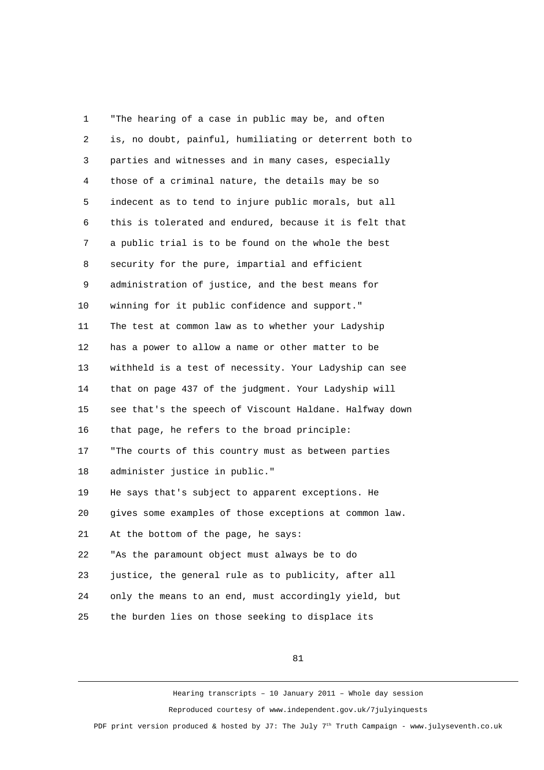1 "The hearing of a case in public may be, and often 2 is, no doubt, painful, humiliating or deterrent both to 3 parties and witnesses and in many cases, especially 4 those of a criminal nature, the details may be so 5 indecent as to tend to injure public morals, but all 6 this is tolerated and endured, because it is felt that 7 a public trial is to be found on the whole the best 8 security for the pure, impartial and efficient 9 administration of justice, and the best means for 10 winning for it public confidence and support." 11 The test at common law as to whether your Ladyship 12 has a power to allow a name or other matter to be 13 withheld is a test of necessity. Your Ladyship can see 14 that on page 437 of the judgment. Your Ladyship will 15 see that's the speech of Viscount Haldane. Halfway down 16 that page, he refers to the broad principle: 17 "The courts of this country must as between parties 18 administer justice in public." 19 He says that's subject to apparent exceptions. He 20 gives some examples of those exceptions at common law. 21 At the bottom of the page, he says: 22 "As the paramount object must always be to do 23 justice, the general rule as to publicity, after all 24 only the means to an end, must accordingly yield, but 25 the burden lies on those seeking to displace its

81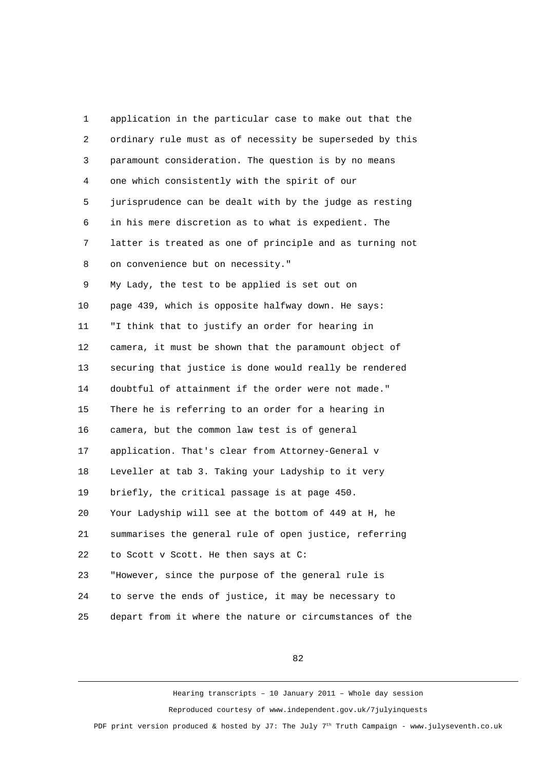1 application in the particular case to make out that the 2 ordinary rule must as of necessity be superseded by this 3 paramount consideration. The question is by no means 4 one which consistently with the spirit of our 5 jurisprudence can be dealt with by the judge as resting 6 in his mere discretion as to what is expedient. The 7 latter is treated as one of principle and as turning not 8 on convenience but on necessity." 9 My Lady, the test to be applied is set out on 10 page 439, which is opposite halfway down. He says: 11 "I think that to justify an order for hearing in 12 camera, it must be shown that the paramount object of 13 securing that justice is done would really be rendered 14 doubtful of attainment if the order were not made." 15 There he is referring to an order for a hearing in 16 camera, but the common law test is of general 17 application. That's clear from Attorney-General v 18 Leveller at tab 3. Taking your Ladyship to it very 19 briefly, the critical passage is at page 450. 20 Your Ladyship will see at the bottom of 449 at H, he 21 summarises the general rule of open justice, referring 22 to Scott v Scott. He then says at C: 23 "However, since the purpose of the general rule is 24 to serve the ends of justice, it may be necessary to 25 depart from it where the nature or circumstances of the

82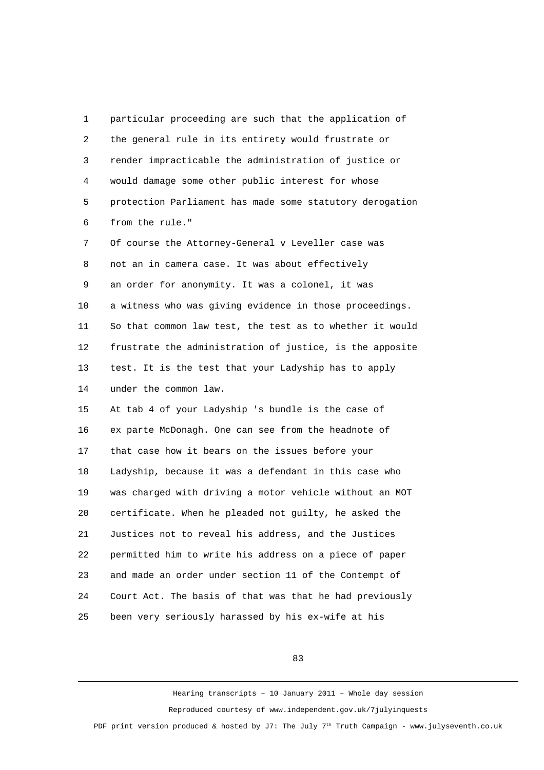1 particular proceeding are such that the application of 2 the general rule in its entirety would frustrate or 3 render impracticable the administration of justice or 4 would damage some other public interest for whose 5 protection Parliament has made some statutory derogation 6 from the rule." 7 Of course the Attorney-General v Leveller case was 8 not an in camera case. It was about effectively 9 an order for anonymity. It was a colonel, it was 10 a witness who was giving evidence in those proceedings. 11 So that common law test, the test as to whether it would 12 frustrate the administration of justice, is the apposite 13 test. It is the test that your Ladyship has to apply 14 under the common law. 15 At tab 4 of your Ladyship 's bundle is the case of 16 ex parte McDonagh. One can see from the headnote of 17 that case how it bears on the issues before your 18 Ladyship, because it was a defendant in this case who 19 was charged with driving a motor vehicle without an MOT 20 certificate. When he pleaded not guilty, he asked the 21 Justices not to reveal his address, and the Justices 22 permitted him to write his address on a piece of paper 23 and made an order under section 11 of the Contempt of 24 Court Act. The basis of that was that he had previously 25 been very seriously harassed by his ex-wife at his

83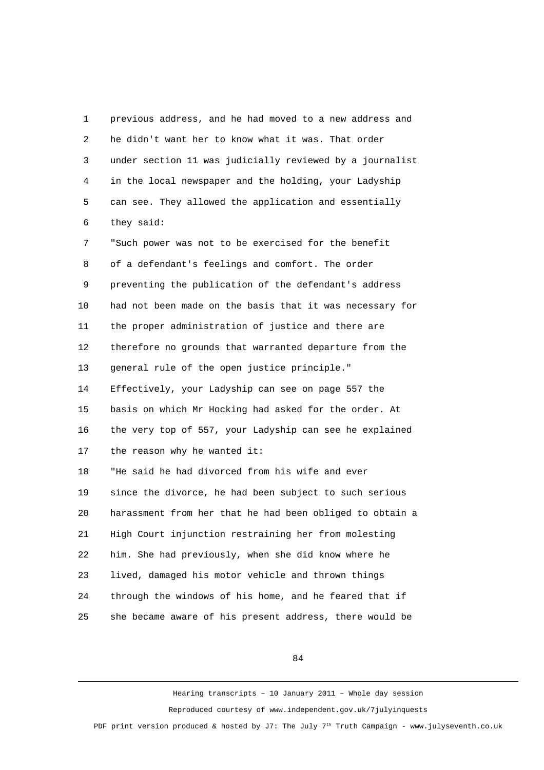1 previous address, and he had moved to a new address and 2 he didn't want her to know what it was. That order 3 under section 11 was judicially reviewed by a journalist 4 in the local newspaper and the holding, your Ladyship 5 can see. They allowed the application and essentially 6 they said: 7 "Such power was not to be exercised for the benefit 8 of a defendant's feelings and comfort. The order 9 preventing the publication of the defendant's address 10 had not been made on the basis that it was necessary for 11 the proper administration of justice and there are 12 therefore no grounds that warranted departure from the 13 general rule of the open justice principle." 14 Effectively, your Ladyship can see on page 557 the 15 basis on which Mr Hocking had asked for the order. At 16 the very top of 557, your Ladyship can see he explained 17 the reason why he wanted it: 18 "He said he had divorced from his wife and ever 19 since the divorce, he had been subject to such serious 20 harassment from her that he had been obliged to obtain a 21 High Court injunction restraining her from molesting 22 him. She had previously, when she did know where he 23 lived, damaged his motor vehicle and thrown things 24 through the windows of his home, and he feared that if 25 she became aware of his present address, there would be

84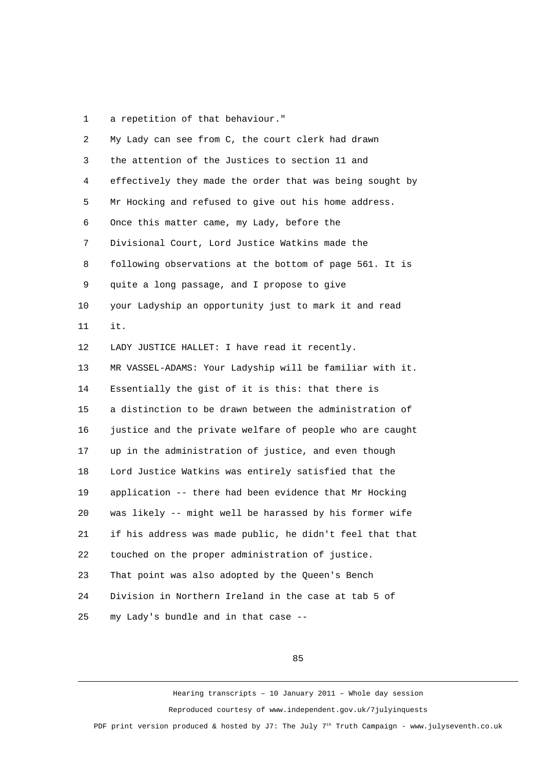1 a repetition of that behaviour."

| $\overline{2}$ | My Lady can see from C, the court clerk had drawn        |
|----------------|----------------------------------------------------------|
| 3              | the attention of the Justices to section 11 and          |
| 4              | effectively they made the order that was being sought by |
| 5              | Mr Hocking and refused to give out his home address.     |
| 6              | Once this matter came, my Lady, before the               |
| 7              | Divisional Court, Lord Justice Watkins made the          |
| 8              | following observations at the bottom of page 561. It is  |
| 9              | quite a long passage, and I propose to give              |
| 10             | your Ladyship an opportunity just to mark it and read    |
| 11             | it.                                                      |
| 12             | LADY JUSTICE HALLET: I have read it recently.            |
| 13             | MR VASSEL-ADAMS: Your Ladyship will be familiar with it. |
| 14             | Essentially the gist of it is this: that there is        |
| 15             | a distinction to be drawn between the administration of  |
| 16             | justice and the private welfare of people who are caught |
| 17             | up in the administration of justice, and even though     |
| 18             | Lord Justice Watkins was entirely satisfied that the     |
| 19             | application -- there had been evidence that Mr Hocking   |
| 20             | was likely -- might well be harassed by his former wife  |
| 21             | if his address was made public, he didn't feel that that |
| 22             | touched on the proper administration of justice.         |
| 23             | That point was also adopted by the Queen's Bench         |
| 24             | Division in Northern Ireland in the case at tab 5 of     |
| 25             | my Lady's bundle and in that case --                     |

85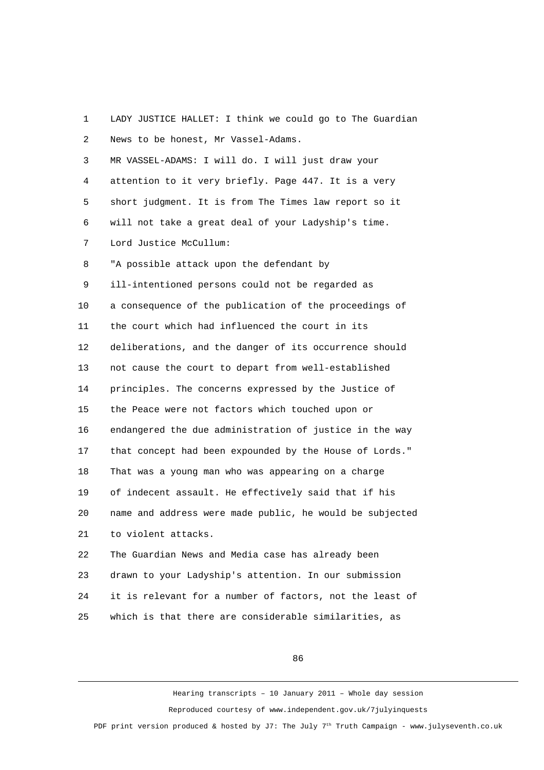2 News to be honest, Mr Vassel-Adams. 3 MR VASSEL-ADAMS: I will do. I will just draw your 4 attention to it very briefly. Page 447. It is a very 5 short judgment. It is from The Times law report so it 6 will not take a great deal of your Ladyship's time. 7 Lord Justice McCullum: 8 "A possible attack upon the defendant by 9 ill-intentioned persons could not be regarded as 10 a consequence of the publication of the proceedings of 11 the court which had influenced the court in its 12 deliberations, and the danger of its occurrence should 13 not cause the court to depart from well-established 14 principles. The concerns expressed by the Justice of 15 the Peace were not factors which touched upon or 16 endangered the due administration of justice in the way 17 that concept had been expounded by the House of Lords." 18 That was a young man who was appearing on a charge 19 of indecent assault. He effectively said that if his 20 name and address were made public, he would be subjected 21 to violent attacks. 22 The Guardian News and Media case has already been 23 drawn to your Ladyship's attention. In our submission 24 it is relevant for a number of factors, not the least of

25 which is that there are considerable similarities, as

1 LADY JUSTICE HALLET: I think we could go to The Guardian

86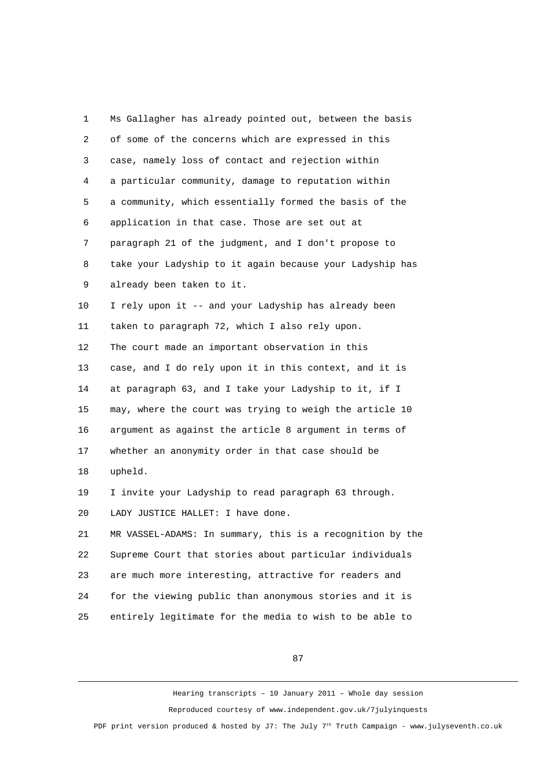1 Ms Gallagher has already pointed out, between the basis 2 of some of the concerns which are expressed in this 3 case, namely loss of contact and rejection within 4 a particular community, damage to reputation within 5 a community, which essentially formed the basis of the 6 application in that case. Those are set out at 7 paragraph 21 of the judgment, and I don't propose to 8 take your Ladyship to it again because your Ladyship has 9 already been taken to it. 10 I rely upon it -- and your Ladyship has already been 11 taken to paragraph 72, which I also rely upon. 12 The court made an important observation in this 13 case, and I do rely upon it in this context, and it is 14 at paragraph 63, and I take your Ladyship to it, if I 15 may, where the court was trying to weigh the article 10 16 argument as against the article 8 argument in terms of 17 whether an anonymity order in that case should be 18 upheld. 19 I invite your Ladyship to read paragraph 63 through. 20 LADY JUSTICE HALLET: I have done. 21 MR VASSEL-ADAMS: In summary, this is a recognition by the 22 Supreme Court that stories about particular individuals 23 are much more interesting, attractive for readers and 24 for the viewing public than anonymous stories and it is 25 entirely legitimate for the media to wish to be able to

87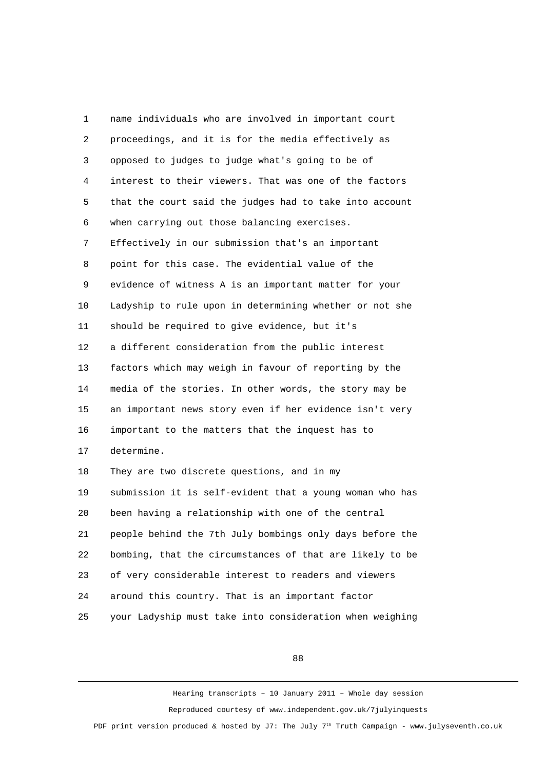1 name individuals who are involved in important court 2 proceedings, and it is for the media effectively as 3 opposed to judges to judge what's going to be of 4 interest to their viewers. That was one of the factors 5 that the court said the judges had to take into account 6 when carrying out those balancing exercises. 7 Effectively in our submission that's an important 8 point for this case. The evidential value of the 9 evidence of witness A is an important matter for your 10 Ladyship to rule upon in determining whether or not she 11 should be required to give evidence, but it's 12 a different consideration from the public interest 13 factors which may weigh in favour of reporting by the 14 media of the stories. In other words, the story may be 15 an important news story even if her evidence isn't very 16 important to the matters that the inquest has to 17 determine. 18 They are two discrete questions, and in my 19 submission it is self-evident that a young woman who has 20 been having a relationship with one of the central 21 people behind the 7th July bombings only days before the 22 bombing, that the circumstances of that are likely to be 23 of very considerable interest to readers and viewers 24 around this country. That is an important factor 25 your Ladyship must take into consideration when weighing

88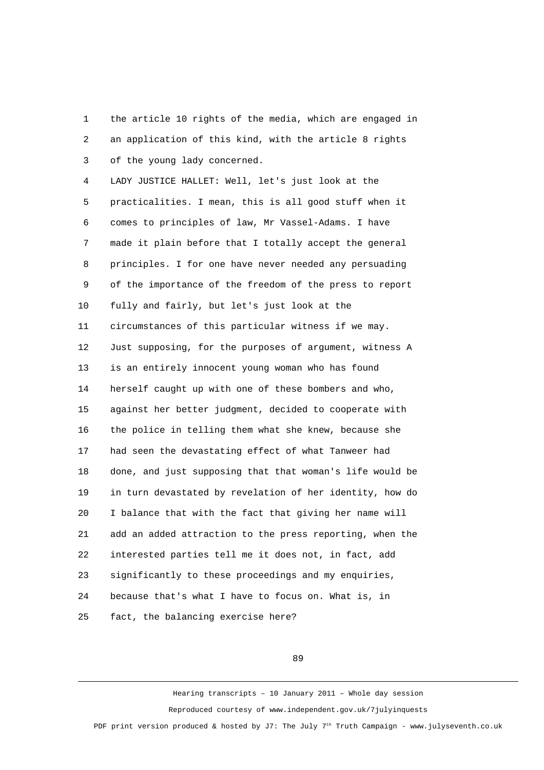1 the article 10 rights of the media, which are engaged in 2 an application of this kind, with the article 8 rights 3 of the young lady concerned.

 4 LADY JUSTICE HALLET: Well, let's just look at the 5 practicalities. I mean, this is all good stuff when it 6 comes to principles of law, Mr Vassel-Adams. I have 7 made it plain before that I totally accept the general 8 principles. I for one have never needed any persuading 9 of the importance of the freedom of the press to report 10 fully and fairly, but let's just look at the 11 circumstances of this particular witness if we may. 12 Just supposing, for the purposes of argument, witness A 13 is an entirely innocent young woman who has found 14 herself caught up with one of these bombers and who, 15 against her better judgment, decided to cooperate with 16 the police in telling them what she knew, because she 17 had seen the devastating effect of what Tanweer had 18 done, and just supposing that that woman's life would be 19 in turn devastated by revelation of her identity, how do 20 I balance that with the fact that giving her name will 21 add an added attraction to the press reporting, when the 22 interested parties tell me it does not, in fact, add 23 significantly to these proceedings and my enquiries, 24 because that's what I have to focus on. What is, in 25 fact, the balancing exercise here?

89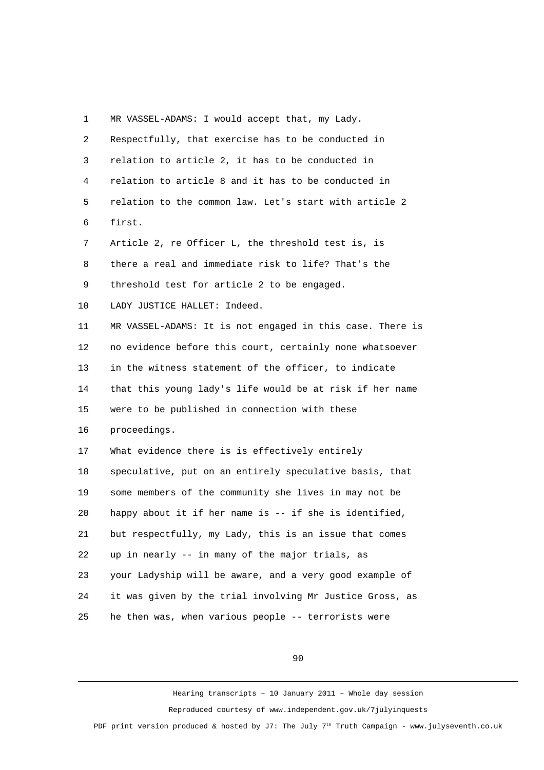1 MR VASSEL-ADAMS: I would accept that, my Lady. 2 Respectfully, that exercise has to be conducted in 3 relation to article 2, it has to be conducted in 4 relation to article 8 and it has to be conducted in 5 relation to the common law. Let's start with article 2 6 first. 7 Article 2, re Officer L, the threshold test is, is 8 there a real and immediate risk to life? That's the 9 threshold test for article 2 to be engaged. 10 LADY JUSTICE HALLET: Indeed. 11 MR VASSEL-ADAMS: It is not engaged in this case. There is 12 no evidence before this court, certainly none whatsoever 13 in the witness statement of the officer, to indicate 14 that this young lady's life would be at risk if her name 15 were to be published in connection with these 16 proceedings. 17 What evidence there is is effectively entirely 18 speculative, put on an entirely speculative basis, that 19 some members of the community she lives in may not be 20 happy about it if her name is -- if she is identified, 21 but respectfully, my Lady, this is an issue that comes 22 up in nearly -- in many of the major trials, as 23 your Ladyship will be aware, and a very good example of 24 it was given by the trial involving Mr Justice Gross, as 25 he then was, when various people -- terrorists were

90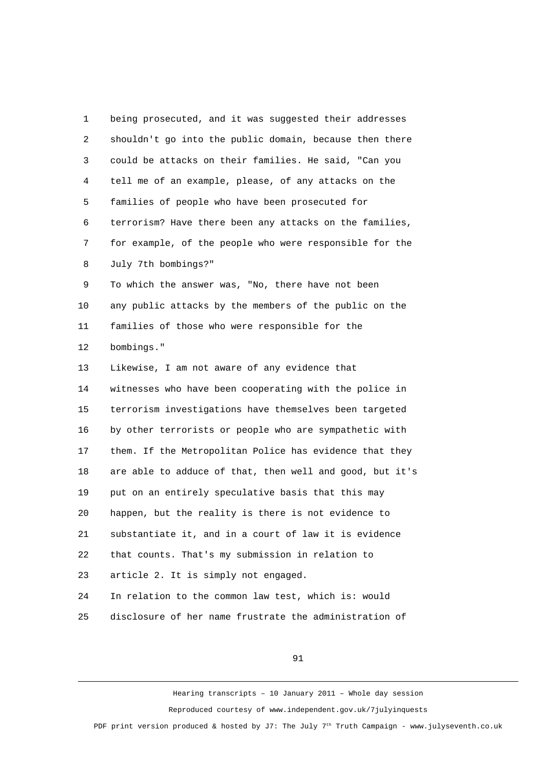1 being prosecuted, and it was suggested their addresses 2 shouldn't go into the public domain, because then there 3 could be attacks on their families. He said, "Can you 4 tell me of an example, please, of any attacks on the 5 families of people who have been prosecuted for 6 terrorism? Have there been any attacks on the families, 7 for example, of the people who were responsible for the 8 July 7th bombings?" 9 To which the answer was, "No, there have not been 10 any public attacks by the members of the public on the 11 families of those who were responsible for the 12 bombings." 13 Likewise, I am not aware of any evidence that 14 witnesses who have been cooperating with the police in 15 terrorism investigations have themselves been targeted 16 by other terrorists or people who are sympathetic with 17 them. If the Metropolitan Police has evidence that they 18 are able to adduce of that, then well and good, but it's 19 put on an entirely speculative basis that this may 20 happen, but the reality is there is not evidence to 21 substantiate it, and in a court of law it is evidence 22 that counts. That's my submission in relation to 23 article 2. It is simply not engaged. 24 In relation to the common law test, which is: would 25 disclosure of her name frustrate the administration of

91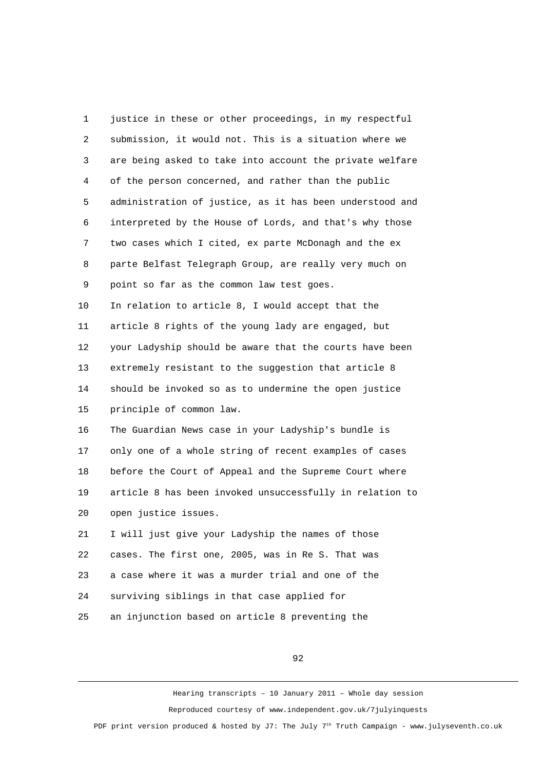1 justice in these or other proceedings, in my respectful 2 submission, it would not. This is a situation where we 3 are being asked to take into account the private welfare 4 of the person concerned, and rather than the public 5 administration of justice, as it has been understood and 6 interpreted by the House of Lords, and that's why those 7 two cases which I cited, ex parte McDonagh and the ex 8 parte Belfast Telegraph Group, are really very much on 9 point so far as the common law test goes. 10 In relation to article 8, I would accept that the 11 article 8 rights of the young lady are engaged, but 12 your Ladyship should be aware that the courts have been 13 extremely resistant to the suggestion that article 8 14 should be invoked so as to undermine the open justice 15 principle of common law. 16 The Guardian News case in your Ladyship's bundle is 17 only one of a whole string of recent examples of cases 18 before the Court of Appeal and the Supreme Court where 19 article 8 has been invoked unsuccessfully in relation to 20 open justice issues. 21 I will just give your Ladyship the names of those 22 cases. The first one, 2005, was in Re S. That was 23 a case where it was a murder trial and one of the 24 surviving siblings in that case applied for 25 an injunction based on article 8 preventing the

92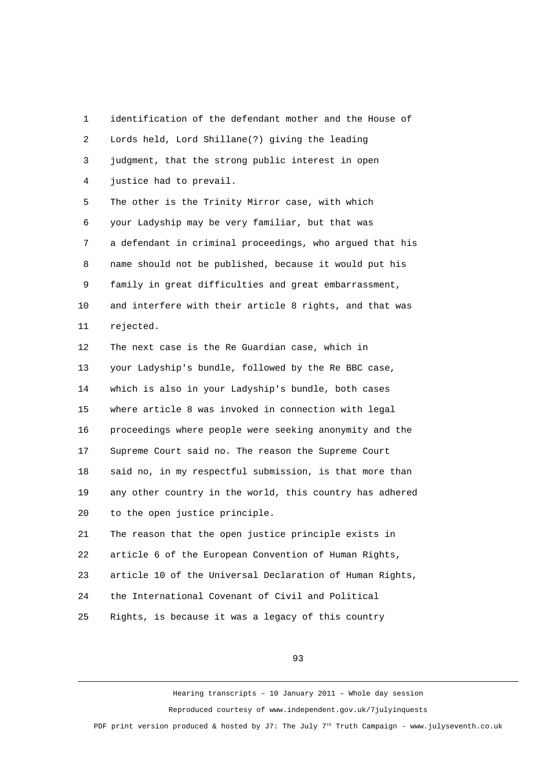1 identification of the defendant mother and the House of 2 Lords held, Lord Shillane(?) giving the leading 3 judgment, that the strong public interest in open 4 justice had to prevail. 5 The other is the Trinity Mirror case, with which 6 your Ladyship may be very familiar, but that was 7 a defendant in criminal proceedings, who argued that his 8 name should not be published, because it would put his 9 family in great difficulties and great embarrassment, 10 and interfere with their article 8 rights, and that was 11 rejected. 12 The next case is the Re Guardian case, which in 13 your Ladyship's bundle, followed by the Re BBC case, 14 which is also in your Ladyship's bundle, both cases 15 where article 8 was invoked in connection with legal 16 proceedings where people were seeking anonymity and the 17 Supreme Court said no. The reason the Supreme Court 18 said no, in my respectful submission, is that more than 19 any other country in the world, this country has adhered 20 to the open justice principle. 21 The reason that the open justice principle exists in 22 article 6 of the European Convention of Human Rights, 23 article 10 of the Universal Declaration of Human Rights, 24 the International Covenant of Civil and Political 25 Rights, is because it was a legacy of this country

93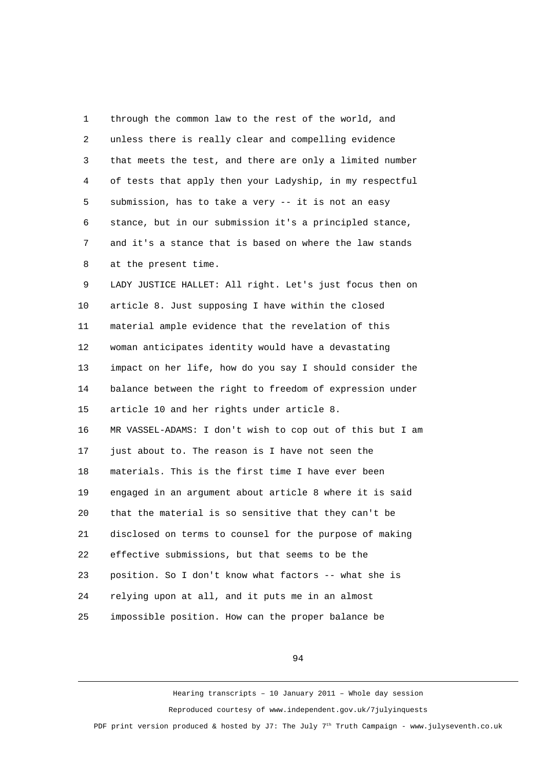1 through the common law to the rest of the world, and 2 unless there is really clear and compelling evidence 3 that meets the test, and there are only a limited number 4 of tests that apply then your Ladyship, in my respectful 5 submission, has to take a very -- it is not an easy 6 stance, but in our submission it's a principled stance, 7 and it's a stance that is based on where the law stands 8 at the present time.

 9 LADY JUSTICE HALLET: All right. Let's just focus then on 10 article 8. Just supposing I have within the closed 11 material ample evidence that the revelation of this 12 woman anticipates identity would have a devastating 13 impact on her life, how do you say I should consider the 14 balance between the right to freedom of expression under 15 article 10 and her rights under article 8. 16 MR VASSEL-ADAMS: I don't wish to cop out of this but I am 17 just about to. The reason is I have not seen the 18 materials. This is the first time I have ever been 19 engaged in an argument about article 8 where it is said 20 that the material is so sensitive that they can't be 21 disclosed on terms to counsel for the purpose of making 22 effective submissions, but that seems to be the 23 position. So I don't know what factors -- what she is 24 relying upon at all, and it puts me in an almost 25 impossible position. How can the proper balance be

94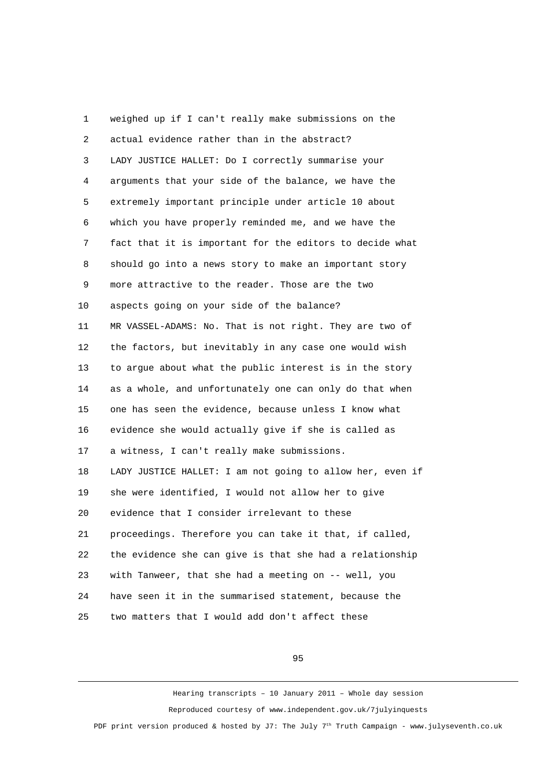1 weighed up if I can't really make submissions on the 2 actual evidence rather than in the abstract? 3 LADY JUSTICE HALLET: Do I correctly summarise your 4 arguments that your side of the balance, we have the 5 extremely important principle under article 10 about 6 which you have properly reminded me, and we have the 7 fact that it is important for the editors to decide what 8 should go into a news story to make an important story 9 more attractive to the reader. Those are the two 10 aspects going on your side of the balance? 11 MR VASSEL-ADAMS: No. That is not right. They are two of 12 the factors, but inevitably in any case one would wish 13 to argue about what the public interest is in the story 14 as a whole, and unfortunately one can only do that when 15 one has seen the evidence, because unless I know what 16 evidence she would actually give if she is called as 17 a witness, I can't really make submissions. 18 LADY JUSTICE HALLET: I am not going to allow her, even if 19 she were identified, I would not allow her to give 20 evidence that I consider irrelevant to these 21 proceedings. Therefore you can take it that, if called, 22 the evidence she can give is that she had a relationship 23 with Tanweer, that she had a meeting on -- well, you 24 have seen it in the summarised statement, because the 25 two matters that I would add don't affect these

95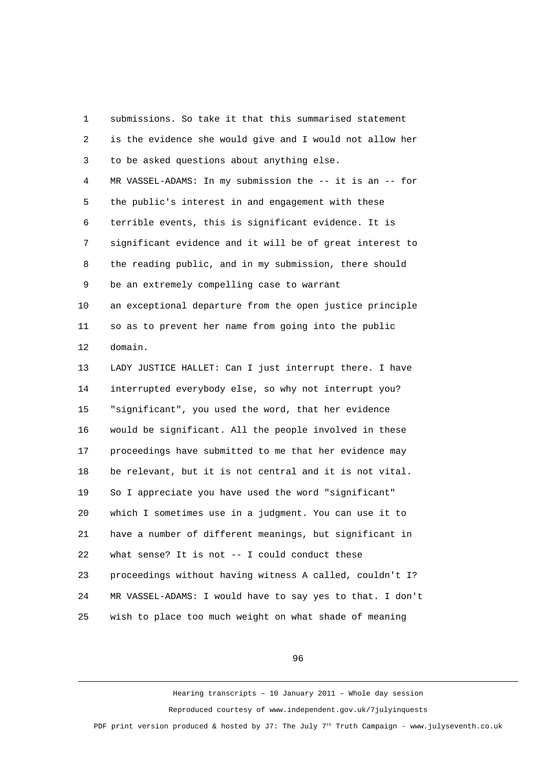1 submissions. So take it that this summarised statement 2 is the evidence she would give and I would not allow her 3 to be asked questions about anything else. 4 MR VASSEL-ADAMS: In my submission the -- it is an -- for 5 the public's interest in and engagement with these 6 terrible events, this is significant evidence. It is 7 significant evidence and it will be of great interest to 8 the reading public, and in my submission, there should 9 be an extremely compelling case to warrant 10 an exceptional departure from the open justice principle 11 so as to prevent her name from going into the public 12 domain. 13 LADY JUSTICE HALLET: Can I just interrupt there. I have 14 interrupted everybody else, so why not interrupt you? 15 "significant", you used the word, that her evidence 16 would be significant. All the people involved in these 17 proceedings have submitted to me that her evidence may 18 be relevant, but it is not central and it is not vital. 19 So I appreciate you have used the word "significant" 20 which I sometimes use in a judgment. You can use it to 21 have a number of different meanings, but significant in 22 what sense? It is not -- I could conduct these 23 proceedings without having witness A called, couldn't I? 24 MR VASSEL-ADAMS: I would have to say yes to that. I don't 25 wish to place too much weight on what shade of meaning

96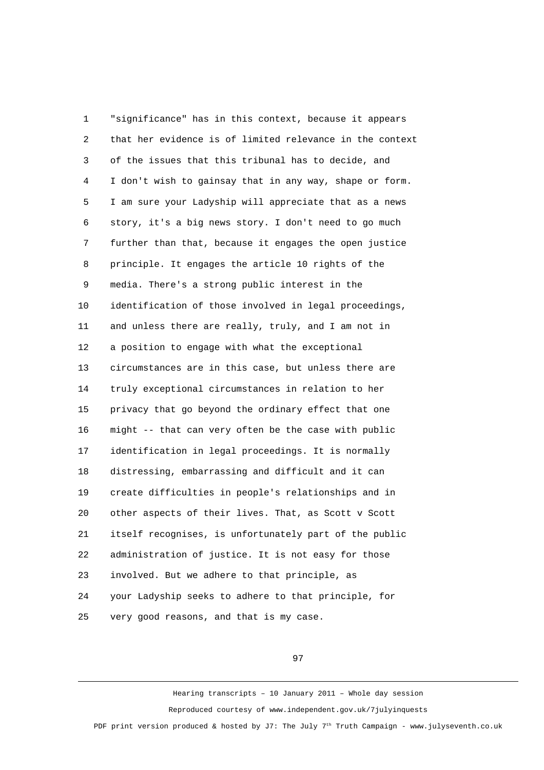1 "significance" has in this context, because it appears 2 that her evidence is of limited relevance in the context 3 of the issues that this tribunal has to decide, and 4 I don't wish to gainsay that in any way, shape or form. 5 I am sure your Ladyship will appreciate that as a news 6 story, it's a big news story. I don't need to go much 7 further than that, because it engages the open justice 8 principle. It engages the article 10 rights of the 9 media. There's a strong public interest in the 10 identification of those involved in legal proceedings, 11 and unless there are really, truly, and I am not in 12 a position to engage with what the exceptional 13 circumstances are in this case, but unless there are 14 truly exceptional circumstances in relation to her 15 privacy that go beyond the ordinary effect that one 16 might -- that can very often be the case with public 17 identification in legal proceedings. It is normally 18 distressing, embarrassing and difficult and it can 19 create difficulties in people's relationships and in 20 other aspects of their lives. That, as Scott v Scott 21 itself recognises, is unfortunately part of the public 22 administration of justice. It is not easy for those 23 involved. But we adhere to that principle, as 24 your Ladyship seeks to adhere to that principle, for 25 very good reasons, and that is my case.

97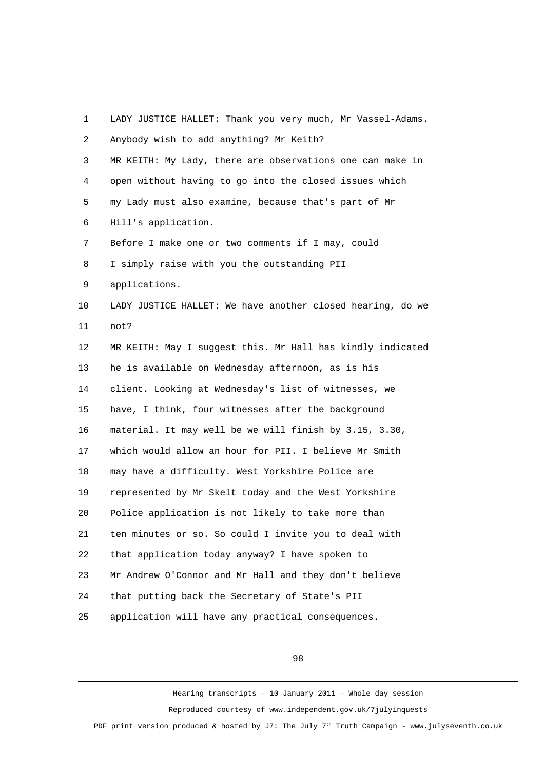| 1  | LADY JUSTICE HALLET: Thank you very much, Mr Vassel-Adams. |
|----|------------------------------------------------------------|
| 2  | Anybody wish to add anything? Mr Keith?                    |
| 3  | MR KEITH: My Lady, there are observations one can make in  |
| 4  | open without having to go into the closed issues which     |
| 5  | my Lady must also examine, because that's part of Mr       |
| 6  | Hill's application.                                        |
| 7  | Before I make one or two comments if I may, could          |
| 8  | I simply raise with you the outstanding PII                |
| 9  | applications.                                              |
| 10 | LADY JUSTICE HALLET: We have another closed hearing, do we |
| 11 | not?                                                       |
| 12 | MR KEITH: May I suggest this. Mr Hall has kindly indicated |
| 13 | he is available on Wednesday afternoon, as is his          |
| 14 | client. Looking at Wednesday's list of witnesses, we       |
| 15 | have, I think, four witnesses after the background         |
| 16 | material. It may well be we will finish by 3.15, 3.30,     |
| 17 | which would allow an hour for PII. I believe Mr Smith      |
| 18 | may have a difficulty. West Yorkshire Police are           |
| 19 | represented by Mr Skelt today and the West Yorkshire       |
| 20 | Police application is not likely to take more than         |
| 21 | ten minutes or so. So could I invite you to deal with      |
| 22 | that application today anyway? I have spoken to            |
| 23 | Mr Andrew O'Connor and Mr Hall and they don't believe      |
| 24 | that putting back the Secretary of State's PII             |
| 25 | application will have any practical consequences.          |

98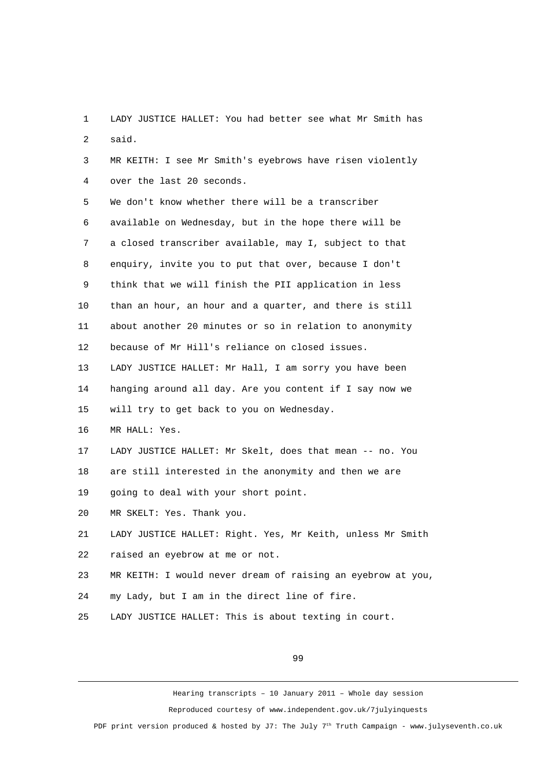1 LADY JUSTICE HALLET: You had better see what Mr Smith has 2 said.

 3 MR KEITH: I see Mr Smith's eyebrows have risen violently 4 over the last 20 seconds.

 5 We don't know whether there will be a transcriber 6 available on Wednesday, but in the hope there will be 7 a closed transcriber available, may I, subject to that 8 enquiry, invite you to put that over, because I don't 9 think that we will finish the PII application in less 10 than an hour, an hour and a quarter, and there is still 11 about another 20 minutes or so in relation to anonymity 12 because of Mr Hill's reliance on closed issues.

13 LADY JUSTICE HALLET: Mr Hall, I am sorry you have been 14 hanging around all day. Are you content if I say now we 15 will try to get back to you on Wednesday.

16 MR HALL: Yes.

17 LADY JUSTICE HALLET: Mr Skelt, does that mean -- no. You

18 are still interested in the anonymity and then we are

19 going to deal with your short point.

20 MR SKELT: Yes. Thank you.

21 LADY JUSTICE HALLET: Right. Yes, Mr Keith, unless Mr Smith 22 raised an eyebrow at me or not.

23 MR KEITH: I would never dream of raising an eyebrow at you,

24 my Lady, but I am in the direct line of fire.

25 LADY JUSTICE HALLET: This is about texting in court.

99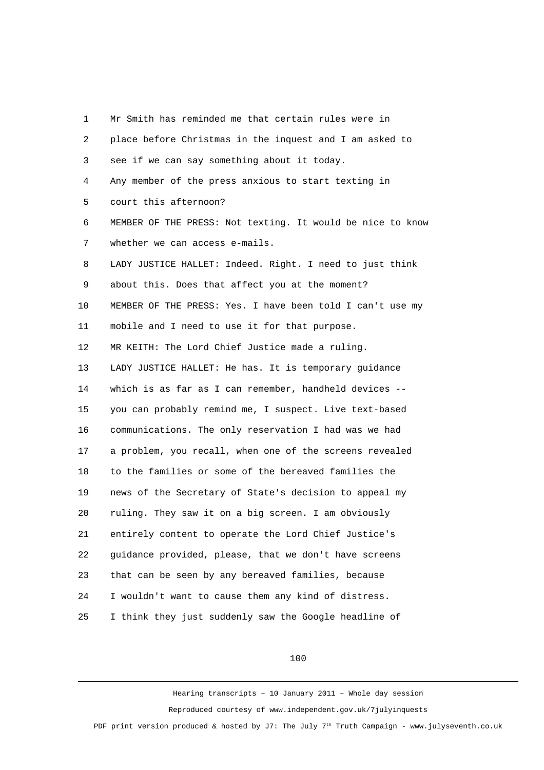1 Mr Smith has reminded me that certain rules were in 2 place before Christmas in the inquest and I am asked to 3 see if we can say something about it today. 4 Any member of the press anxious to start texting in 5 court this afternoon? 6 MEMBER OF THE PRESS: Not texting. It would be nice to know 7 whether we can access e-mails. 8 LADY JUSTICE HALLET: Indeed. Right. I need to just think 9 about this. Does that affect you at the moment? 10 MEMBER OF THE PRESS: Yes. I have been told I can't use my 11 mobile and I need to use it for that purpose. 12 MR KEITH: The Lord Chief Justice made a ruling. 13 LADY JUSTICE HALLET: He has. It is temporary guidance 14 which is as far as I can remember, handheld devices -- 15 you can probably remind me, I suspect. Live text-based 16 communications. The only reservation I had was we had 17 a problem, you recall, when one of the screens revealed 18 to the families or some of the bereaved families the 19 news of the Secretary of State's decision to appeal my 20 ruling. They saw it on a big screen. I am obviously 21 entirely content to operate the Lord Chief Justice's 22 guidance provided, please, that we don't have screens 23 that can be seen by any bereaved families, because 24 I wouldn't want to cause them any kind of distress. 25 I think they just suddenly saw the Google headline of

## 100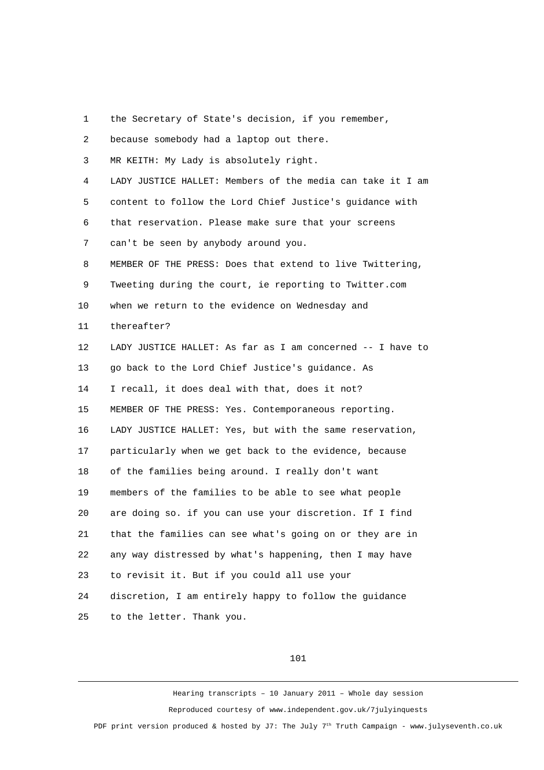1 the Secretary of State's decision, if you remember,

 2 because somebody had a laptop out there. 3 MR KEITH: My Lady is absolutely right. 4 LADY JUSTICE HALLET: Members of the media can take it I am 5 content to follow the Lord Chief Justice's guidance with 6 that reservation. Please make sure that your screens 7 can't be seen by anybody around you. 8 MEMBER OF THE PRESS: Does that extend to live Twittering, 9 Tweeting during the court, ie reporting to Twitter.com 10 when we return to the evidence on Wednesday and 11 thereafter? 12 LADY JUSTICE HALLET: As far as I am concerned -- I have to 13 go back to the Lord Chief Justice's guidance. As 14 I recall, it does deal with that, does it not? 15 MEMBER OF THE PRESS: Yes. Contemporaneous reporting. 16 LADY JUSTICE HALLET: Yes, but with the same reservation, 17 particularly when we get back to the evidence, because 18 of the families being around. I really don't want 19 members of the families to be able to see what people 20 are doing so. if you can use your discretion. If I find 21 that the families can see what's going on or they are in 22 any way distressed by what's happening, then I may have 23 to revisit it. But if you could all use your 24 discretion, I am entirely happy to follow the guidance 25 to the letter. Thank you.

#### 101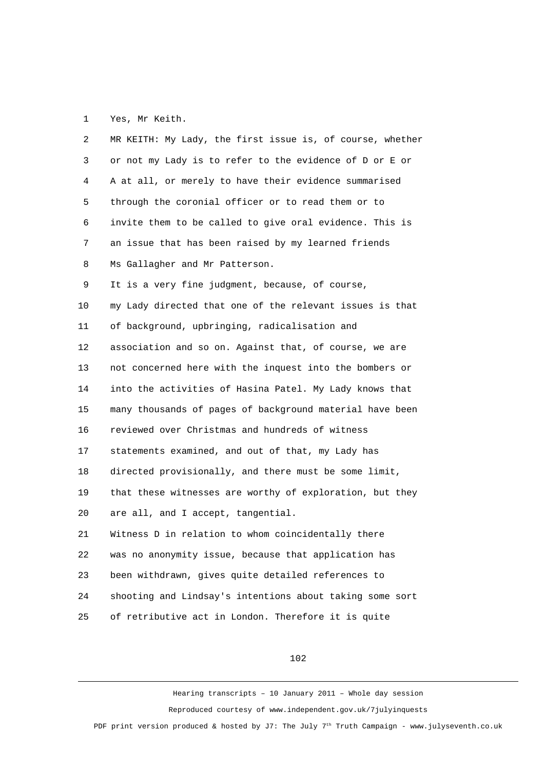# 1 Yes, Mr Keith.

| $\overline{c}$ | MR KEITH: My Lady, the first issue is, of course, whether |
|----------------|-----------------------------------------------------------|
| 3              | or not my Lady is to refer to the evidence of D or E or   |
| 4              | A at all, or merely to have their evidence summarised     |
| 5              | through the coronial officer or to read them or to        |
| 6              | invite them to be called to give oral evidence. This is   |
| 7              | an issue that has been raised by my learned friends       |
| 8              | Ms Gallagher and Mr Patterson.                            |
| 9              | It is a very fine judgment, because, of course,           |
| 10             | my Lady directed that one of the relevant issues is that  |
| 11             | of background, upbringing, radicalisation and             |
| 12             | association and so on. Against that, of course, we are    |
| 13             | not concerned here with the inquest into the bombers or   |
| 14             | into the activities of Hasina Patel. My Lady knows that   |
| 15             | many thousands of pages of background material have been  |
| 16             | reviewed over Christmas and hundreds of witness           |
| 17             | statements examined, and out of that, my Lady has         |
| 18             | directed provisionally, and there must be some limit,     |
| 19             | that these witnesses are worthy of exploration, but they  |
| 20             | are all, and I accept, tangential.                        |
| 21             | Witness D in relation to whom coincidentally there        |
| 22             | was no anonymity issue, because that application has      |
| 23             | been withdrawn, gives quite detailed references to        |
| 24             | shooting and Lindsay's intentions about taking some sort  |
| 25             | of retributive act in London. Therefore it is quite       |

102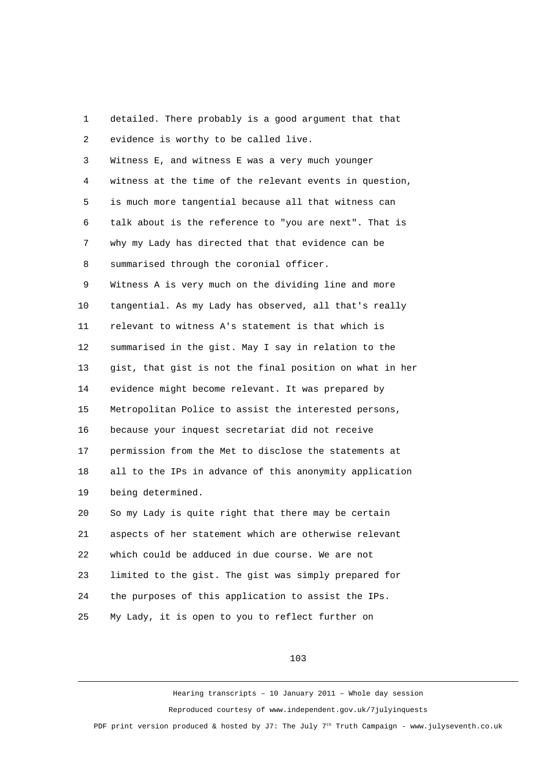1 detailed. There probably is a good argument that that 2 evidence is worthy to be called live. 3 Witness E, and witness E was a very much younger 4 witness at the time of the relevant events in question, 5 is much more tangential because all that witness can 6 talk about is the reference to "you are next". That is 7 why my Lady has directed that that evidence can be 8 summarised through the coronial officer. 9 Witness A is very much on the dividing line and more 10 tangential. As my Lady has observed, all that's really 11 relevant to witness A's statement is that which is 12 summarised in the gist. May I say in relation to the 13 gist, that gist is not the final position on what in her 14 evidence might become relevant. It was prepared by 15 Metropolitan Police to assist the interested persons, 16 because your inquest secretariat did not receive 17 permission from the Met to disclose the statements at 18 all to the IPs in advance of this anonymity application 19 being determined. 20 So my Lady is quite right that there may be certain 21 aspects of her statement which are otherwise relevant 22 which could be adduced in due course. We are not 23 limited to the gist. The gist was simply prepared for 24 the purposes of this application to assist the IPs. 25 My Lady, it is open to you to reflect further on

## 103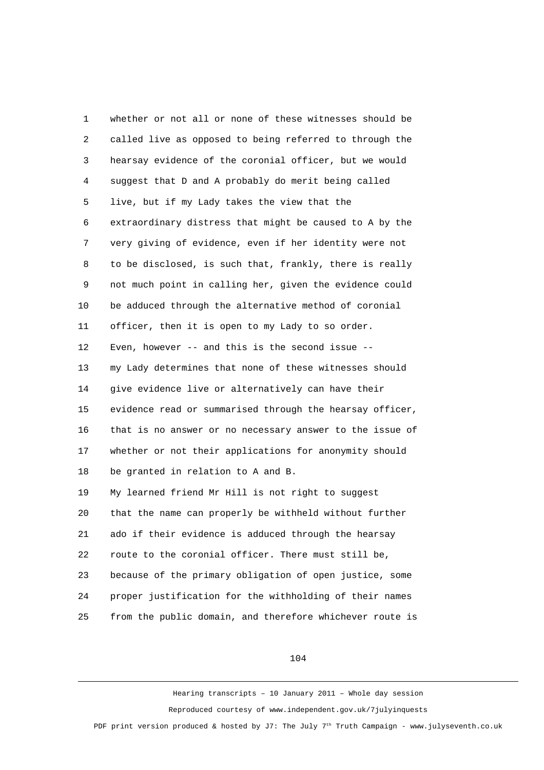1 whether or not all or none of these witnesses should be 2 called live as opposed to being referred to through the 3 hearsay evidence of the coronial officer, but we would 4 suggest that D and A probably do merit being called 5 live, but if my Lady takes the view that the 6 extraordinary distress that might be caused to A by the 7 very giving of evidence, even if her identity were not 8 to be disclosed, is such that, frankly, there is really 9 not much point in calling her, given the evidence could 10 be adduced through the alternative method of coronial 11 officer, then it is open to my Lady to so order. 12 Even, however -- and this is the second issue -- 13 my Lady determines that none of these witnesses should 14 give evidence live or alternatively can have their 15 evidence read or summarised through the hearsay officer, 16 that is no answer or no necessary answer to the issue of 17 whether or not their applications for anonymity should 18 be granted in relation to A and B. 19 My learned friend Mr Hill is not right to suggest 20 that the name can properly be withheld without further 21 ado if their evidence is adduced through the hearsay 22 route to the coronial officer. There must still be, 23 because of the primary obligation of open justice, some 24 proper justification for the withholding of their names 25 from the public domain, and therefore whichever route is

104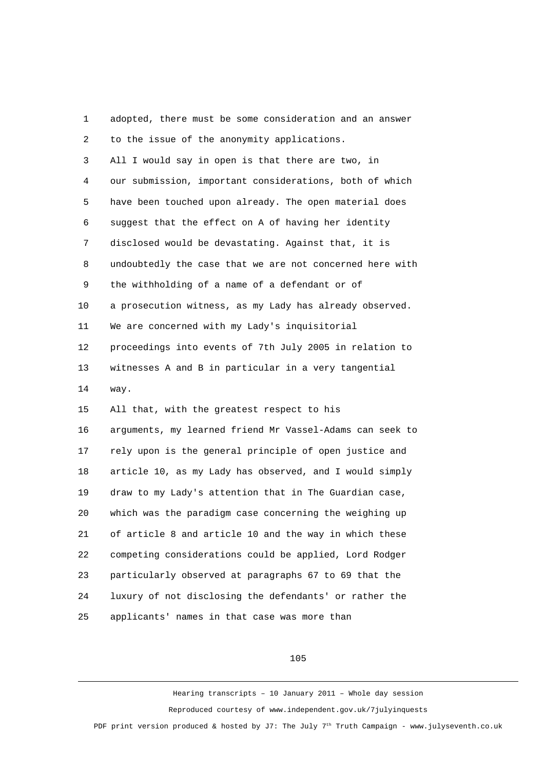1 adopted, there must be some consideration and an answer 2 to the issue of the anonymity applications. 3 All I would say in open is that there are two, in 4 our submission, important considerations, both of which 5 have been touched upon already. The open material does 6 suggest that the effect on A of having her identity 7 disclosed would be devastating. Against that, it is 8 undoubtedly the case that we are not concerned here with 9 the withholding of a name of a defendant or of 10 a prosecution witness, as my Lady has already observed. 11 We are concerned with my Lady's inquisitorial 12 proceedings into events of 7th July 2005 in relation to 13 witnesses A and B in particular in a very tangential 14 way. 15 All that, with the greatest respect to his 16 arguments, my learned friend Mr Vassel-Adams can seek to 17 rely upon is the general principle of open justice and 18 article 10, as my Lady has observed, and I would simply 19 draw to my Lady's attention that in The Guardian case, 20 which was the paradigm case concerning the weighing up 21 of article 8 and article 10 and the way in which these 22 competing considerations could be applied, Lord Rodger 23 particularly observed at paragraphs 67 to 69 that the 24 luxury of not disclosing the defendants' or rather the 25 applicants' names in that case was more than

## 105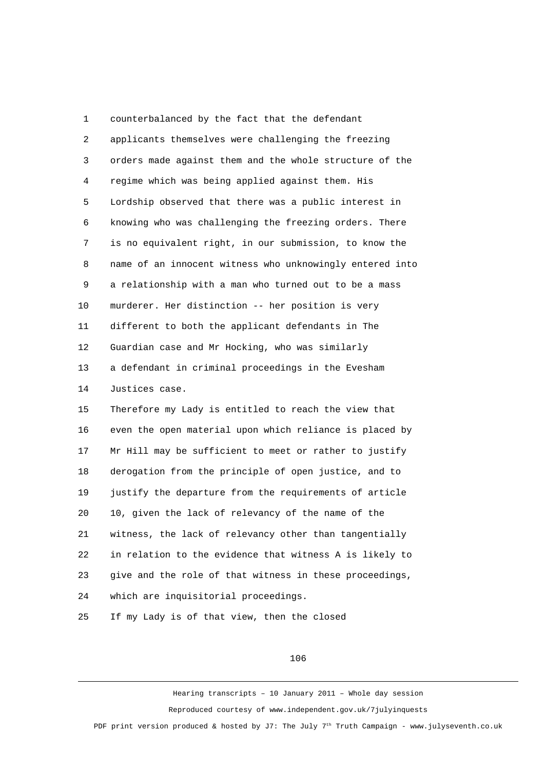1 counterbalanced by the fact that the defendant 2 applicants themselves were challenging the freezing 3 orders made against them and the whole structure of the 4 regime which was being applied against them. His 5 Lordship observed that there was a public interest in 6 knowing who was challenging the freezing orders. There 7 is no equivalent right, in our submission, to know the 8 name of an innocent witness who unknowingly entered into 9 a relationship with a man who turned out to be a mass 10 murderer. Her distinction -- her position is very 11 different to both the applicant defendants in The 12 Guardian case and Mr Hocking, who was similarly 13 a defendant in criminal proceedings in the Evesham 14 Justices case.

15 Therefore my Lady is entitled to reach the view that 16 even the open material upon which reliance is placed by 17 Mr Hill may be sufficient to meet or rather to justify 18 derogation from the principle of open justice, and to 19 justify the departure from the requirements of article 20 10, given the lack of relevancy of the name of the 21 witness, the lack of relevancy other than tangentially 22 in relation to the evidence that witness A is likely to 23 give and the role of that witness in these proceedings, 24 which are inquisitorial proceedings. 25 If my Lady is of that view, then the closed

#### 106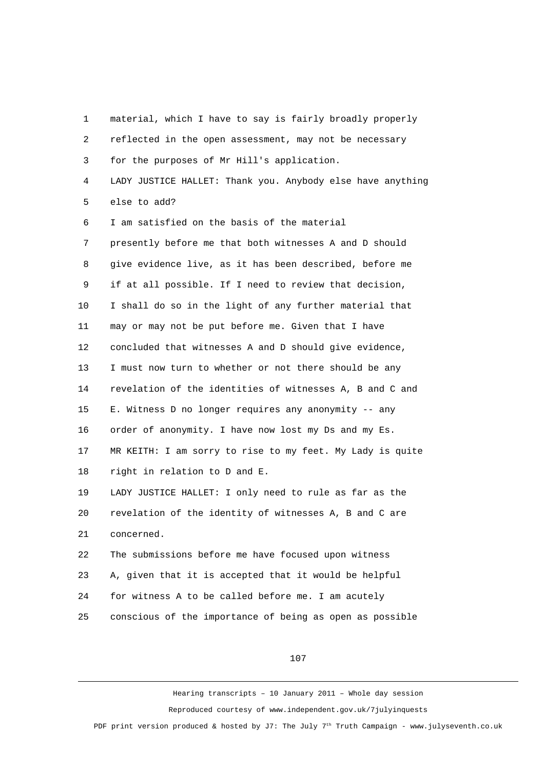| 1              | material, which I have to say is fairly broadly properly   |
|----------------|------------------------------------------------------------|
| $\overline{c}$ | reflected in the open assessment, may not be necessary     |
| 3              | for the purposes of Mr Hill's application.                 |
| 4              | LADY JUSTICE HALLET: Thank you. Anybody else have anything |
| 5              | else to add?                                               |
| 6              | I am satisfied on the basis of the material                |
| 7              | presently before me that both witnesses A and D should     |
| 8              | give evidence live, as it has been described, before me    |
| 9              | if at all possible. If I need to review that decision,     |
| 10             | I shall do so in the light of any further material that    |
| 11             | may or may not be put before me. Given that I have         |
| 12             | concluded that witnesses A and D should give evidence,     |
| 13             | I must now turn to whether or not there should be any      |
| 14             | revelation of the identities of witnesses A, B and C and   |
| 15             | E. Witness D no longer requires any anonymity -- any       |
| 16             | order of anonymity. I have now lost my Ds and my Es.       |
| 17             | MR KEITH: I am sorry to rise to my feet. My Lady is quite  |
| 18             | right in relation to D and E.                              |
| 19             | LADY JUSTICE HALLET: I only need to rule as far as the     |
| 20             | revelation of the identity of witnesses A, B and C are     |
| 21             | concerned.                                                 |
| 22             | The submissions before me have focused upon witness        |
| 23             | A, given that it is accepted that it would be helpful      |
| 24             | for witness A to be called before me. I am acutely         |
| 25             | conscious of the importance of being as open as possible   |

107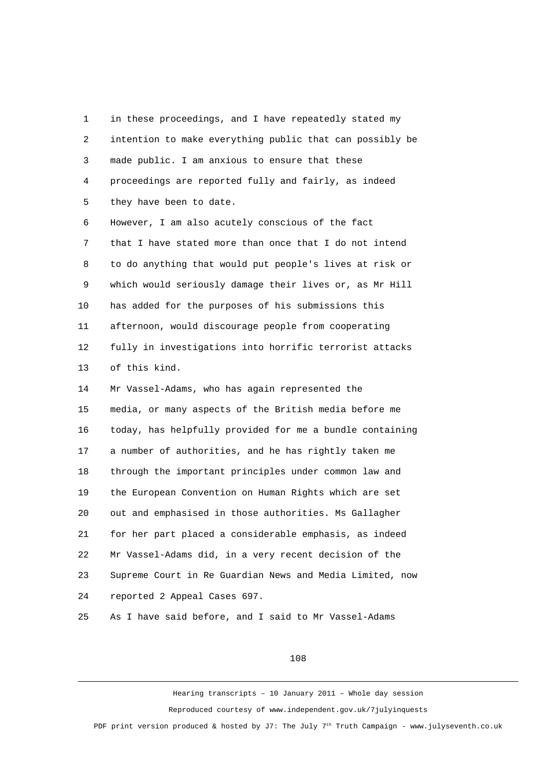1 in these proceedings, and I have repeatedly stated my 2 intention to make everything public that can possibly be 3 made public. I am anxious to ensure that these 4 proceedings are reported fully and fairly, as indeed 5 they have been to date. 6 However, I am also acutely conscious of the fact 7 that I have stated more than once that I do not intend 8 to do anything that would put people's lives at risk or 9 which would seriously damage their lives or, as Mr Hill 10 has added for the purposes of his submissions this 11 afternoon, would discourage people from cooperating 12 fully in investigations into horrific terrorist attacks 13 of this kind. 14 Mr Vassel-Adams, who has again represented the 15 media, or many aspects of the British media before me 16 today, has helpfully provided for me a bundle containing 17 a number of authorities, and he has rightly taken me 18 through the important principles under common law and 19 the European Convention on Human Rights which are set 20 out and emphasised in those authorities. Ms Gallagher 21 for her part placed a considerable emphasis, as indeed 22 Mr Vassel-Adams did, in a very recent decision of the 23 Supreme Court in Re Guardian News and Media Limited, now 24 reported 2 Appeal Cases 697.

25 As I have said before, and I said to Mr Vassel-Adams

#### 108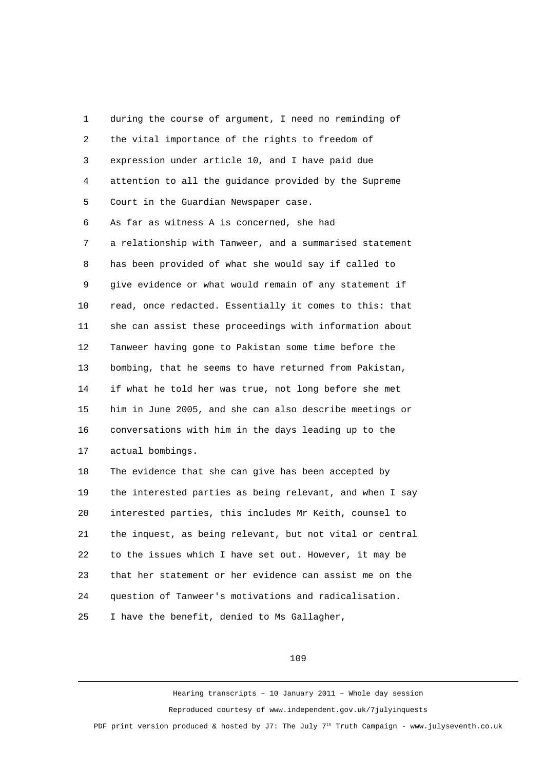1 during the course of argument, I need no reminding of 2 the vital importance of the rights to freedom of 3 expression under article 10, and I have paid due 4 attention to all the guidance provided by the Supreme 5 Court in the Guardian Newspaper case. 6 As far as witness A is concerned, she had 7 a relationship with Tanweer, and a summarised statement 8 has been provided of what she would say if called to 9 give evidence or what would remain of any statement if 10 read, once redacted. Essentially it comes to this: that 11 she can assist these proceedings with information about 12 Tanweer having gone to Pakistan some time before the 13 bombing, that he seems to have returned from Pakistan, 14 if what he told her was true, not long before she met 15 him in June 2005, and she can also describe meetings or 16 conversations with him in the days leading up to the 17 actual bombings. 18 The evidence that she can give has been accepted by 19 the interested parties as being relevant, and when I say 20 interested parties, this includes Mr Keith, counsel to 21 the inquest, as being relevant, but not vital or central 22 to the issues which I have set out. However, it may be 23 that her statement or her evidence can assist me on the 24 question of Tanweer's motivations and radicalisation. 25 I have the benefit, denied to Ms Gallagher,

109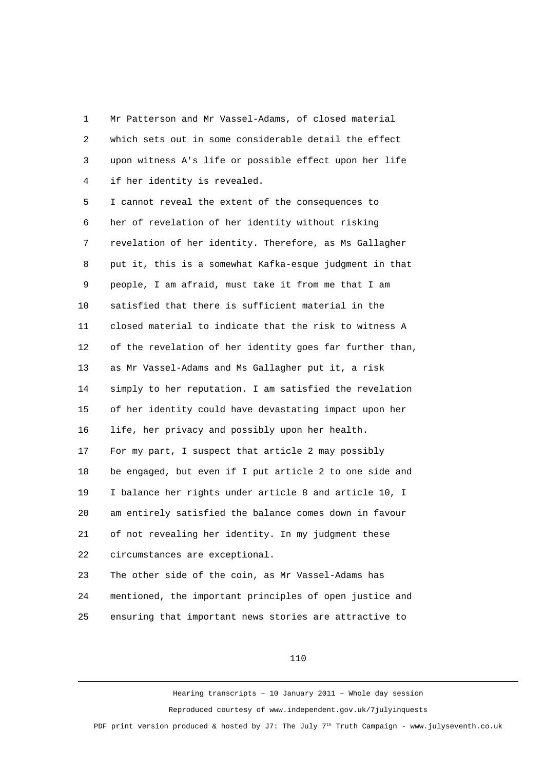1 Mr Patterson and Mr Vassel-Adams, of closed material 2 which sets out in some considerable detail the effect 3 upon witness A's life or possible effect upon her life 4 if her identity is revealed.

 5 I cannot reveal the extent of the consequences to 6 her of revelation of her identity without risking 7 revelation of her identity. Therefore, as Ms Gallagher 8 put it, this is a somewhat Kafka-esque judgment in that 9 people, I am afraid, must take it from me that I am 10 satisfied that there is sufficient material in the 11 closed material to indicate that the risk to witness A 12 of the revelation of her identity goes far further than, 13 as Mr Vassel-Adams and Ms Gallagher put it, a risk 14 simply to her reputation. I am satisfied the revelation 15 of her identity could have devastating impact upon her 16 life, her privacy and possibly upon her health. 17 For my part, I suspect that article 2 may possibly 18 be engaged, but even if I put article 2 to one side and 19 I balance her rights under article 8 and article 10, I 20 am entirely satisfied the balance comes down in favour 21 of not revealing her identity. In my judgment these 22 circumstances are exceptional.

23 The other side of the coin, as Mr Vassel-Adams has 24 mentioned, the important principles of open justice and 25 ensuring that important news stories are attractive to

110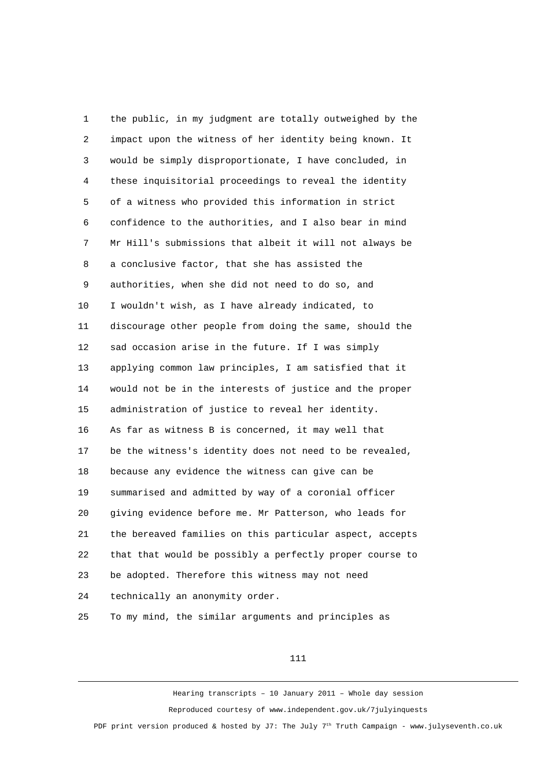1 the public, in my judgment are totally outweighed by the 2 impact upon the witness of her identity being known. It 3 would be simply disproportionate, I have concluded, in 4 these inquisitorial proceedings to reveal the identity 5 of a witness who provided this information in strict 6 confidence to the authorities, and I also bear in mind 7 Mr Hill's submissions that albeit it will not always be 8 a conclusive factor, that she has assisted the 9 authorities, when she did not need to do so, and 10 I wouldn't wish, as I have already indicated, to 11 discourage other people from doing the same, should the 12 sad occasion arise in the future. If I was simply 13 applying common law principles, I am satisfied that it 14 would not be in the interests of justice and the proper 15 administration of justice to reveal her identity. 16 As far as witness B is concerned, it may well that 17 be the witness's identity does not need to be revealed, 18 because any evidence the witness can give can be 19 summarised and admitted by way of a coronial officer 20 giving evidence before me. Mr Patterson, who leads for 21 the bereaved families on this particular aspect, accepts 22 that that would be possibly a perfectly proper course to 23 be adopted. Therefore this witness may not need 24 technically an anonymity order. 25 To my mind, the similar arguments and principles as

## 111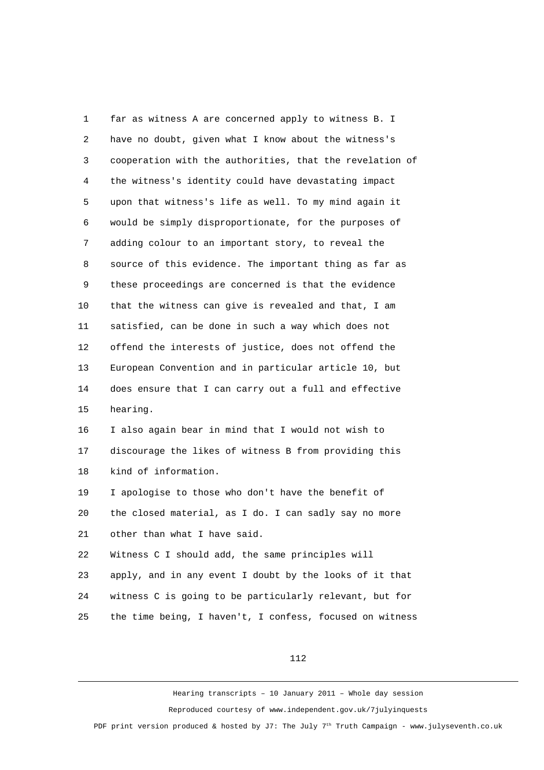1 far as witness A are concerned apply to witness B. I 2 have no doubt, given what I know about the witness's 3 cooperation with the authorities, that the revelation of 4 the witness's identity could have devastating impact 5 upon that witness's life as well. To my mind again it 6 would be simply disproportionate, for the purposes of 7 adding colour to an important story, to reveal the 8 source of this evidence. The important thing as far as 9 these proceedings are concerned is that the evidence 10 that the witness can give is revealed and that, I am 11 satisfied, can be done in such a way which does not 12 offend the interests of justice, does not offend the 13 European Convention and in particular article 10, but 14 does ensure that I can carry out a full and effective 15 hearing. 16 I also again bear in mind that I would not wish to 17 discourage the likes of witness B from providing this 18 kind of information. 19 I apologise to those who don't have the benefit of

20 the closed material, as I do. I can sadly say no more 21 other than what I have said.

22 Witness C I should add, the same principles will 23 apply, and in any event I doubt by the looks of it that 24 witness C is going to be particularly relevant, but for 25 the time being, I haven't, I confess, focused on witness

112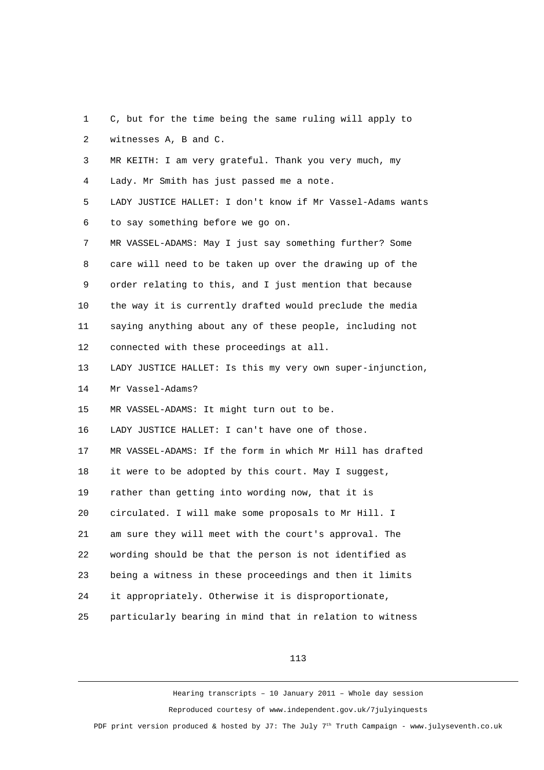1 C, but for the time being the same ruling will apply to 2 witnesses A, B and C. 3 MR KEITH: I am very grateful. Thank you very much, my 4 Lady. Mr Smith has just passed me a note. 5 LADY JUSTICE HALLET: I don't know if Mr Vassel-Adams wants 6 to say something before we go on. 7 MR VASSEL-ADAMS: May I just say something further? Some 8 care will need to be taken up over the drawing up of the 9 order relating to this, and I just mention that because 10 the way it is currently drafted would preclude the media 11 saying anything about any of these people, including not 12 connected with these proceedings at all. 13 LADY JUSTICE HALLET: Is this my very own super-injunction, 14 Mr Vassel-Adams? 15 MR VASSEL-ADAMS: It might turn out to be. 16 LADY JUSTICE HALLET: I can't have one of those. 17 MR VASSEL-ADAMS: If the form in which Mr Hill has drafted 18 it were to be adopted by this court. May I suggest, 19 rather than getting into wording now, that it is 20 circulated. I will make some proposals to Mr Hill. I 21 am sure they will meet with the court's approval. The 22 wording should be that the person is not identified as 23 being a witness in these proceedings and then it limits 24 it appropriately. Otherwise it is disproportionate, 25 particularly bearing in mind that in relation to witness

113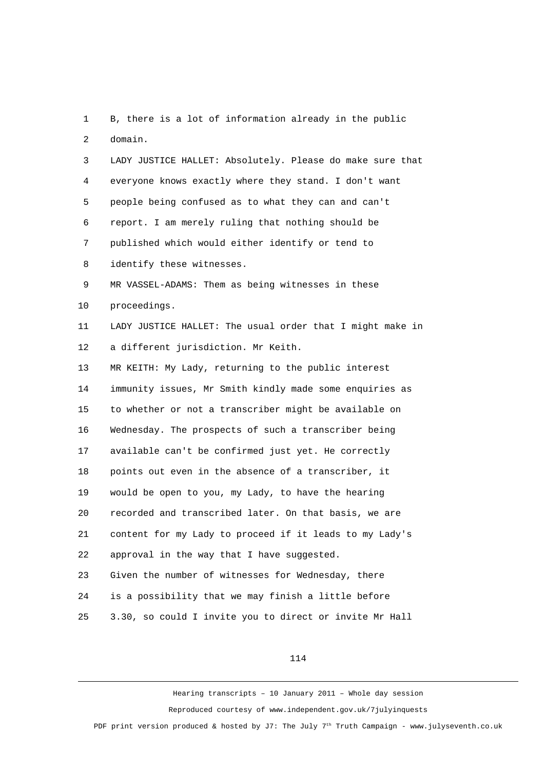1 B, there is a lot of information already in the public 2 domain.

 3 LADY JUSTICE HALLET: Absolutely. Please do make sure that 4 everyone knows exactly where they stand. I don't want 5 people being confused as to what they can and can't 6 report. I am merely ruling that nothing should be 7 published which would either identify or tend to 8 identify these witnesses. 9 MR VASSEL-ADAMS: Them as being witnesses in these 10 proceedings. 11 LADY JUSTICE HALLET: The usual order that I might make in 12 a different jurisdiction. Mr Keith. 13 MR KEITH: My Lady, returning to the public interest 14 immunity issues, Mr Smith kindly made some enquiries as 15 to whether or not a transcriber might be available on 16 Wednesday. The prospects of such a transcriber being 17 available can't be confirmed just yet. He correctly 18 points out even in the absence of a transcriber, it 19 would be open to you, my Lady, to have the hearing 20 recorded and transcribed later. On that basis, we are 21 content for my Lady to proceed if it leads to my Lady's 22 approval in the way that I have suggested. 23 Given the number of witnesses for Wednesday, there 24 is a possibility that we may finish a little before 25 3.30, so could I invite you to direct or invite Mr Hall

114